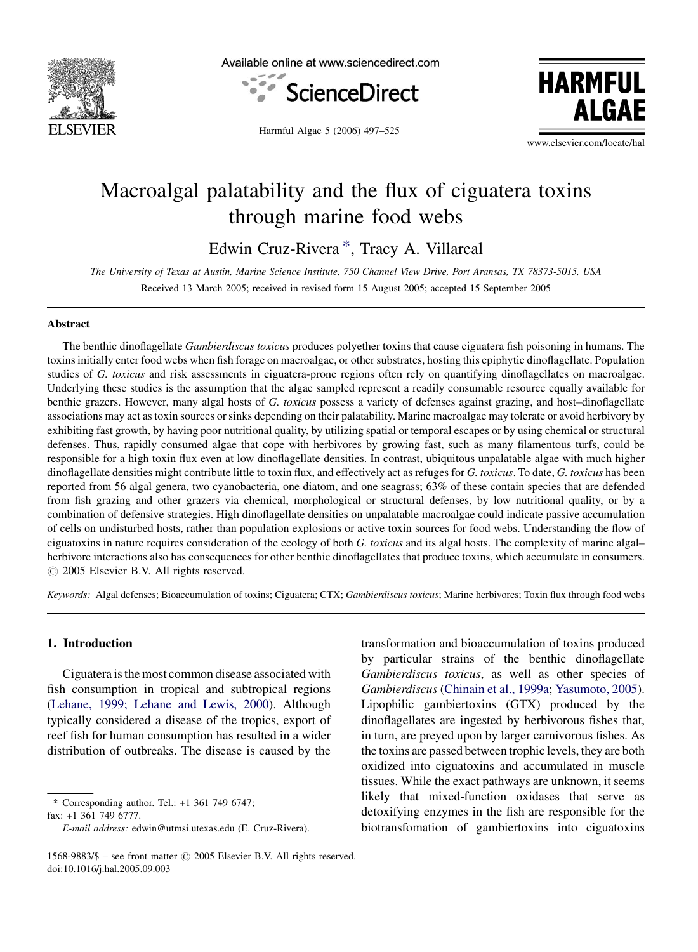

Available online at www.sciencedirect.com



**HARMFUL AI GAF** 

Harmful Algae 5 (2006) 497–525

www.elsevier.com/locate/hal

# Macroalgal palatability and the flux of ciguatera toxins through marine food webs

Edwin Cruz-Rivera \*, Tracy A. Villareal

The University of Texas at Austin, Marine Science Institute, 750 Channel View Drive, Port Aransas, TX 78373-5015, USA Received 13 March 2005; received in revised form 15 August 2005; accepted 15 September 2005

#### Abstract

The benthic dinoflagellate Gambierdiscus toxicus produces polyether toxins that cause ciguatera fish poisoning in humans. The toxins initially enter food webs when fish forage on macroalgae, or other substrates, hosting this epiphytic dinoflagellate. Population studies of G. toxicus and risk assessments in ciguatera-prone regions often rely on quantifying dinoflagellates on macroalgae. Underlying these studies is the assumption that the algae sampled represent a readily consumable resource equally available for benthic grazers. However, many algal hosts of G. toxicus possess a variety of defenses against grazing, and host-dinoflagellate associations may act as toxin sources or sinks depending on their palatability. Marine macroalgae may tolerate or avoid herbivory by exhibiting fast growth, by having poor nutritional quality, by utilizing spatial or temporal escapes or by using chemical or structural defenses. Thus, rapidly consumed algae that cope with herbivores by growing fast, such as many filamentous turfs, could be responsible for a high toxin flux even at low dinoflagellate densities. In contrast, ubiquitous unpalatable algae with much higher dinoflagellate densities might contribute little to toxin flux, and effectively act as refuges for G. toxicus. To date, G. toxicus has been reported from 56 algal genera, two cyanobacteria, one diatom, and one seagrass; 63% of these contain species that are defended from fish grazing and other grazers via chemical, morphological or structural defenses, by low nutritional quality, or by a combination of defensive strategies. High dinoflagellate densities on unpalatable macroalgae could indicate passive accumulation of cells on undisturbed hosts, rather than population explosions or active toxin sources for food webs. Understanding the flow of ciguatoxins in nature requires consideration of the ecology of both G. toxicus and its algal hosts. The complexity of marine algal– herbivore interactions also has consequences for other benthic dinoflagellates that produce toxins, which accumulate in consumers.  $\odot$  2005 Elsevier B.V. All rights reserved.

Keywords: Algal defenses; Bioaccumulation of toxins; Ciguatera; CTX; Gambierdiscus toxicus; Marine herbivores; Toxin flux through food webs

### 1. Introduction

Ciguatera is the most common disease associated with fish consumption in tropical and subtropical regions [\(Lehane, 1999; Lehane and Lewis, 2000\)](#page-24-0). Although typically considered a disease of the tropics, export of reef fish for human consumption has resulted in a wider distribution of outbreaks. The disease is caused by the

\* Corresponding author. Tel.: +1 361 749 6747; fax: +1 361 749 6777.

transformation and bioaccumulation of toxins produced by particular strains of the benthic dinoflagellate Gambierdiscus toxicus, as well as other species of Gambierdiscus ([Chinain et al., 1999a](#page-21-0); [Yasumoto, 2005](#page-28-0)). Lipophilic gambiertoxins (GTX) produced by the dinoflagellates are ingested by herbivorous fishes that, in turn, are preyed upon by larger carnivorous fishes. As the toxins are passed between trophic levels, they are both oxidized into ciguatoxins and accumulated in muscle tissues. While the exact pathways are unknown, it seems likely that mixed-function oxidases that serve as detoxifying enzymes in the fish are responsible for the biotransfomation of gambiertoxins into ciguatoxins

E-mail address: edwin@utmsi.utexas.edu (E. Cruz-Rivera).

<sup>1568-9883/\$ –</sup> see front matter  $\odot$  2005 Elsevier B.V. All rights reserved. doi:10.1016/j.hal.2005.09.003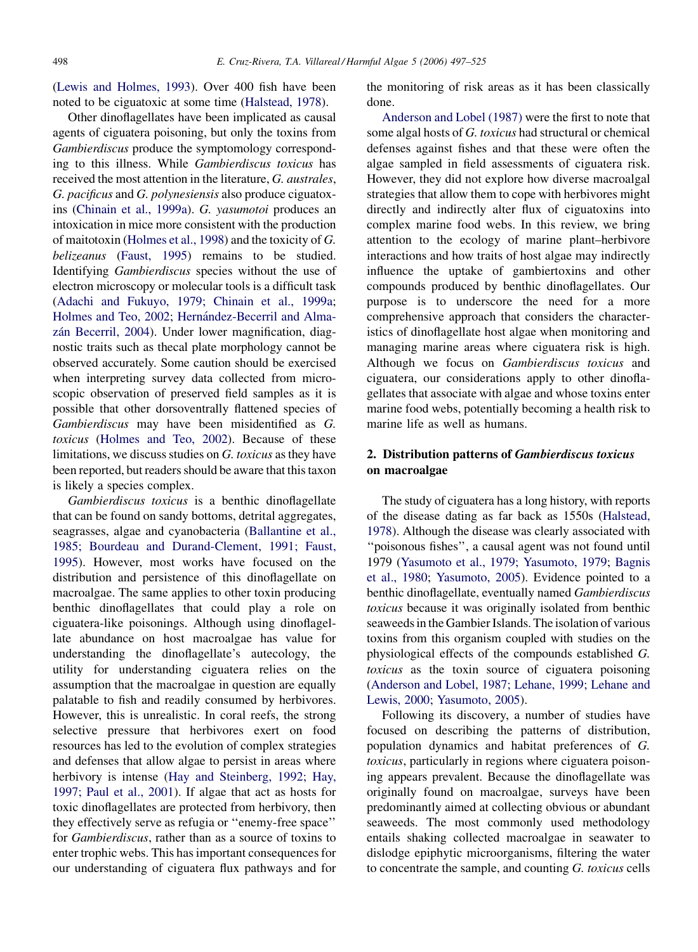[\(Lewis and Holmes, 1993\)](#page-24-0). Over 400 fish have been noted to be ciguatoxic at some time [\(Halstead, 1978\)](#page-22-0).

Other dinoflagellates have been implicated as causal agents of ciguatera poisoning, but only the toxins from Gambierdiscus produce the symptomology corresponding to this illness. While Gambierdiscus toxicus has received the most attention in the literature, G. australes, G. pacificus and G. polynesiensis also produce ciguatoxins ([Chinain et al., 1999a\)](#page-21-0). G. yasumotoi produces an intoxication in mice more consistent with the production of maitotoxin [\(Holmes et al., 1998\)](#page-23-0) and the toxicity of G. belizeanus [\(Faust, 1995](#page-22-0)) remains to be studied. Identifying Gambierdiscus species without the use of electron microscopy or molecular tools is a difficult task [\(Adachi and Fukuyo, 1979; Chinain et al., 1999a](#page-20-0); [Holmes and Teo, 2002;](#page-23-0) Hernández-Becerril and Almazán Becerril, 2004). Under lower magnification, diagnostic traits such as thecal plate morphology cannot be observed accurately. Some caution should be exercised when interpreting survey data collected from microscopic observation of preserved field samples as it is possible that other dorsoventrally flattened species of Gambierdiscus may have been misidentified as G. toxicus [\(Holmes and Teo, 2002\)](#page-23-0). Because of these limitations, we discuss studies on G. toxicus as they have been reported, but readers should be aware that this taxon is likely a species complex.

Gambierdiscus toxicus is a benthic dinoflagellate that can be found on sandy bottoms, detrital aggregates, seagrasses, algae and cyanobacteria [\(Ballantine et al.,](#page-20-0) [1985; Bourdeau and Durand-Clement, 1991; Faust,](#page-20-0) [1995](#page-20-0)). However, most works have focused on the distribution and persistence of this dinoflagellate on macroalgae. The same applies to other toxin producing benthic dinoflagellates that could play a role on ciguatera-like poisonings. Although using dinoflagellate abundance on host macroalgae has value for understanding the dinoflagellate's autecology, the utility for understanding ciguatera relies on the assumption that the macroalgae in question are equally palatable to fish and readily consumed by herbivores. However, this is unrealistic. In coral reefs, the strong selective pressure that herbivores exert on food resources has led to the evolution of complex strategies and defenses that allow algae to persist in areas where herbivory is intense [\(Hay and Steinberg, 1992; Hay,](#page-23-0) [1997; Paul et al., 2001\)](#page-23-0). If algae that act as hosts for toxic dinoflagellates are protected from herbivory, then they effectively serve as refugia or ''enemy-free space'' for Gambierdiscus, rather than as a source of toxins to enter trophic webs. This has important consequences for our understanding of ciguatera flux pathways and for the monitoring of risk areas as it has been classically done.

[Anderson and Lobel \(1987\)](#page-20-0) were the first to note that some algal hosts of G. toxicus had structural or chemical defenses against fishes and that these were often the algae sampled in field assessments of ciguatera risk. However, they did not explore how diverse macroalgal strategies that allow them to cope with herbivores might directly and indirectly alter flux of ciguatoxins into complex marine food webs. In this review, we bring attention to the ecology of marine plant–herbivore interactions and how traits of host algae may indirectly influence the uptake of gambiertoxins and other compounds produced by benthic dinoflagellates. Our purpose is to underscore the need for a more comprehensive approach that considers the characteristics of dinoflagellate host algae when monitoring and managing marine areas where ciguatera risk is high. Although we focus on Gambierdiscus toxicus and ciguatera, our considerations apply to other dinoflagellates that associate with algae and whose toxins enter marine food webs, potentially becoming a health risk to marine life as well as humans.

# 2. Distribution patterns of Gambierdiscus toxicus on macroalgae

The study of ciguatera has a long history, with reports of the disease dating as far back as 1550s [\(Halstead,](#page-22-0) [1978\)](#page-22-0). Although the disease was clearly associated with "poisonous fishes", a causal agent was not found until 1979 ([Yasumoto et al., 1979; Yasumoto, 1979;](#page-28-0) [Bagnis](#page-20-0) [et al., 1980](#page-20-0); [Yasumoto, 2005](#page-28-0)). Evidence pointed to a benthic dinoflagellate, eventually named Gambierdiscus toxicus because it was originally isolated from benthic seaweeds in the Gambier Islands. The isolation of various toxins from this organism coupled with studies on the physiological effects of the compounds established G. toxicus as the toxin source of ciguatera poisoning [\(Anderson and Lobel, 1987; Lehane, 1999; Lehane and](#page-20-0) [Lewis, 2000; Yasumoto, 2005\)](#page-20-0).

Following its discovery, a number of studies have focused on describing the patterns of distribution, population dynamics and habitat preferences of G. toxicus, particularly in regions where ciguatera poisoning appears prevalent. Because the dinoflagellate was originally found on macroalgae, surveys have been predominantly aimed at collecting obvious or abundant seaweeds. The most commonly used methodology entails shaking collected macroalgae in seawater to dislodge epiphytic microorganisms, filtering the water to concentrate the sample, and counting G. toxicus cells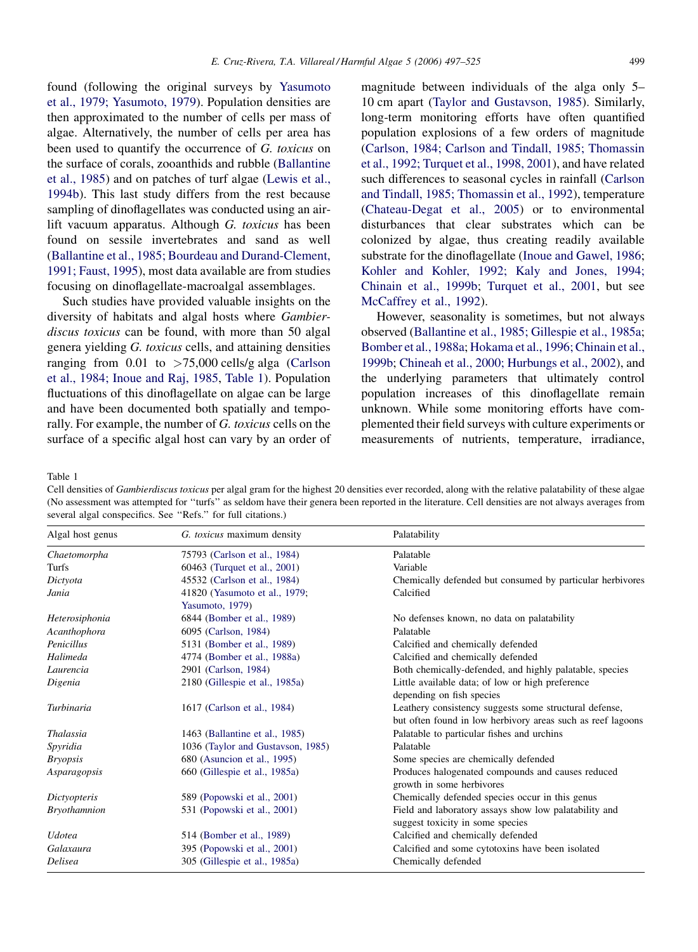<span id="page-2-0"></span>found (following the original surveys by [Yasumoto](#page-28-0) [et al., 1979; Yasumoto, 1979](#page-28-0)). Population densities are then approximated to the number of cells per mass of algae. Alternatively, the number of cells per area has been used to quantify the occurrence of G. toxicus on the surface of corals, zooanthids and rubble ([Ballantine](#page-20-0) [et al., 1985](#page-20-0)) and on patches of turf algae [\(Lewis et al.,](#page-24-0) [1994b\)](#page-24-0). This last study differs from the rest because sampling of dinoflagellates was conducted using an airlift vacuum apparatus. Although G. toxicus has been found on sessile invertebrates and sand as well [\(Ballantine et al., 1985; Bourdeau and Durand-Clement,](#page-20-0) [1991; Faust, 1995\)](#page-20-0), most data available are from studies

Such studies have provided valuable insights on the diversity of habitats and algal hosts where Gambierdiscus toxicus can be found, with more than 50 algal genera yielding G. toxicus cells, and attaining densities ranging from  $0.01$  to  $>75,000$  cells/g alga ([Carlson](#page-21-0) [et al., 1984; Inoue and Raj, 1985](#page-21-0), Table 1). Population fluctuations of this dinoflagellate on algae can be large and have been documented both spatially and temporally. For example, the number of G. toxicus cells on the surface of a specific algal host can vary by an order of

focusing on dinoflagellate-macroalgal assemblages.

magnitude between individuals of the alga only 5– 10 cm apart ([Taylor and Gustavson, 1985](#page-27-0)). Similarly, long-term monitoring efforts have often quantified population explosions of a few orders of magnitude [\(Carlson, 1984; Carlson and Tindall, 1985; Thomassin](#page-21-0) [et al., 1992; Turquet et al., 1998, 2001\)](#page-21-0), and have related such differences to seasonal cycles in rainfall ([Carlson](#page-21-0) [and Tindall, 1985; Thomassin et al., 1992](#page-21-0)), temperature [\(Chateau-Degat et al., 2005](#page-21-0)) or to environmental disturbances that clear substrates which can be colonized by algae, thus creating readily available substrate for the dinoflagellate [\(Inoue and Gawel, 1986](#page-24-0); [Kohler and Kohler, 1992; Kaly and Jones, 1994;](#page-24-0) [Chinain et al., 1999b;](#page-24-0) [Turquet et al., 2001,](#page-28-0) but see [McCaffrey et al., 1992\)](#page-25-0).

However, seasonality is sometimes, but not always observed [\(Ballantine et al., 1985; Gillespie et al., 1985a](#page-20-0); [Bomber et al., 1988a](#page-20-0); [Hokama et al., 1996; Chinain et al.,](#page-23-0) [1999b;](#page-23-0) [Chineah et al., 2000; Hurbungs et al., 2002\)](#page-21-0), and the underlying parameters that ultimately control population increases of this dinoflagellate remain unknown. While some monitoring efforts have complemented their field surveys with culture experiments or measurements of nutrients, temperature, irradiance,

Table 1

Cell densities of Gambierdiscus toxicus per algal gram for the highest 20 densities ever recorded, along with the relative palatability of these algae (No assessment was attempted for ''turfs'' as seldom have their genera been reported in the literature. Cell densities are not always averages from several algal conspecifics. See ''Refs.'' for full citations.)

| Algal host genus    | G. toxicus maximum density        | Palatability                                                |
|---------------------|-----------------------------------|-------------------------------------------------------------|
| Chaetomorpha        | 75793 (Carlson et al., 1984)      | Palatable                                                   |
| Turfs               | 60463 (Turquet et al., 2001)      | Variable                                                    |
| Dictyota            | 45532 (Carlson et al., 1984)      | Chemically defended but consumed by particular herbivores   |
| Jania               | 41820 (Yasumoto et al., 1979;     | Calcified                                                   |
|                     | Yasumoto, 1979)                   |                                                             |
| Heterosiphonia      | 6844 (Bomber et al., 1989)        | No defenses known, no data on palatability                  |
| Acanthophora        | 6095 (Carlson, 1984)              | Palatable                                                   |
| Penicillus          | 5131 (Bomber et al., 1989)        | Calcified and chemically defended                           |
| Halimeda            | 4774 (Bomber et al., 1988a)       | Calcified and chemically defended                           |
| Laurencia           | 2901 (Carlson, 1984)              | Both chemically-defended, and highly palatable, species     |
| Digenia             | 2180 (Gillespie et al., 1985a)    | Little available data; of low or high preference            |
|                     |                                   | depending on fish species                                   |
| Turbinaria          | 1617 (Carlson et al., 1984)       | Leathery consistency suggests some structural defense,      |
|                     |                                   | but often found in low herbivory areas such as reef lagoons |
| Thalassia           | 1463 (Ballantine et al., 1985)    | Palatable to particular fishes and urchins                  |
| Spyridia            | 1036 (Taylor and Gustavson, 1985) | Palatable                                                   |
| <i>Bryopsis</i>     | 680 (Asuncion et al., 1995)       | Some species are chemically defended                        |
| Asparagopsis        | 660 (Gillespie et al., 1985a)     | Produces halogenated compounds and causes reduced           |
|                     |                                   | growth in some herbivores                                   |
| Dictyopteris        | 589 (Popowski et al., 2001)       | Chemically defended species occur in this genus             |
| <b>Bryothamnion</b> | 531 (Popowski et al., 2001)       | Field and laboratory assays show low palatability and       |
|                     |                                   | suggest toxicity in some species                            |
| <b>Udotea</b>       | 514 (Bomber et al., 1989)         | Calcified and chemically defended                           |
| Galaxaura           | 395 (Popowski et al., 2001)       | Calcified and some cytotoxins have been isolated            |
| Delisea             | 305 (Gillespie et al., 1985a)     | Chemically defended                                         |
|                     |                                   |                                                             |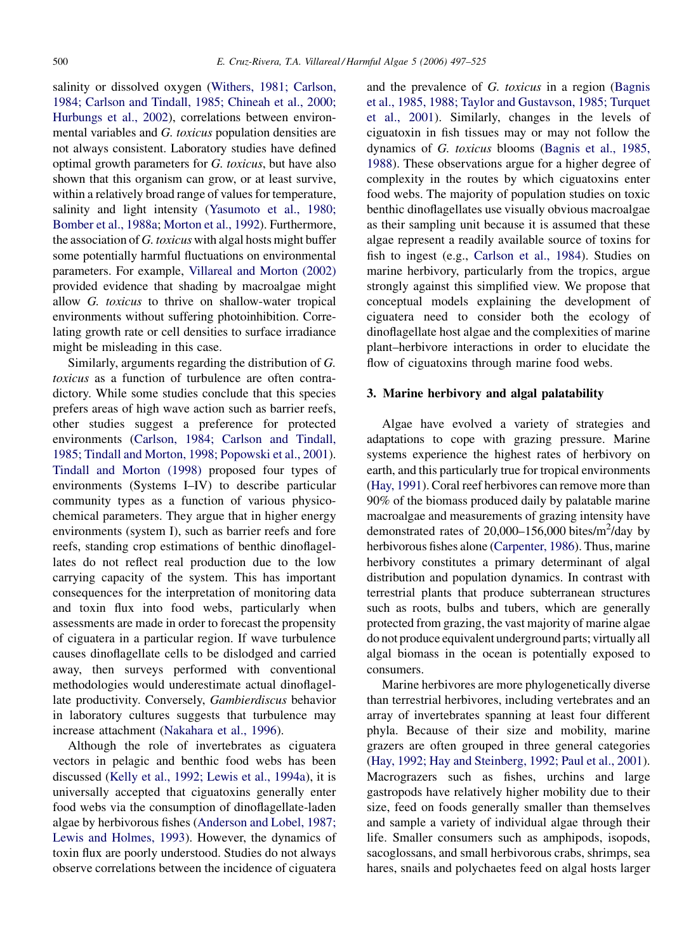salinity or dissolved oxygen ([Withers, 1981; Carlson,](#page-28-0) [1984; Carlson and Tindall, 1985; Chineah et al., 2000;](#page-28-0) [Hurbungs et al., 2002](#page-28-0)), correlations between environmental variables and G. toxicus population densities are not always consistent. Laboratory studies have defined optimal growth parameters for G. toxicus, but have also shown that this organism can grow, or at least survive, within a relatively broad range of values for temperature, salinity and light intensity [\(Yasumoto et al., 1980;](#page-28-0) [Bomber et al., 1988a;](#page-28-0) [Morton et al., 1992\)](#page-25-0). Furthermore, the association of G. toxicus with algal hosts might buffer some potentially harmful fluctuations on environmental parameters. For example, [Villareal and Morton \(2002\)](#page-28-0) provided evidence that shading by macroalgae might allow G. toxicus to thrive on shallow-water tropical environments without suffering photoinhibition. Correlating growth rate or cell densities to surface irradiance might be misleading in this case.

Similarly, arguments regarding the distribution of G. toxicus as a function of turbulence are often contradictory. While some studies conclude that this species prefers areas of high wave action such as barrier reefs, other studies suggest a preference for protected environments ([Carlson, 1984; Carlson and Tindall,](#page-21-0) [1985; Tindall and Morton, 1998; Popowski et al., 2001](#page-21-0)). [Tindall and Morton \(1998\)](#page-27-0) proposed four types of environments (Systems I–IV) to describe particular community types as a function of various physicochemical parameters. They argue that in higher energy environments (system I), such as barrier reefs and fore reefs, standing crop estimations of benthic dinoflagellates do not reflect real production due to the low carrying capacity of the system. This has important consequences for the interpretation of monitoring data and toxin flux into food webs, particularly when assessments are made in order to forecast the propensity of ciguatera in a particular region. If wave turbulence causes dinoflagellate cells to be dislodged and carried away, then surveys performed with conventional methodologies would underestimate actual dinoflagellate productivity. Conversely, Gambierdiscus behavior in laboratory cultures suggests that turbulence may increase attachment [\(Nakahara et al., 1996\)](#page-25-0).

Although the role of invertebrates as ciguatera vectors in pelagic and benthic food webs has been discussed ([Kelly et al., 1992; Lewis et al., 1994a](#page-24-0)), it is universally accepted that ciguatoxins generally enter food webs via the consumption of dinoflagellate-laden algae by herbivorous fishes [\(Anderson and Lobel, 1987;](#page-20-0) [Lewis and Holmes, 1993](#page-20-0)). However, the dynamics of toxin flux are poorly understood. Studies do not always observe correlations between the incidence of ciguatera

and the prevalence of G. toxicus in a region ([Bagnis](#page-20-0) [et al., 1985, 1988; Taylor and Gustavson, 1985; Turquet](#page-20-0) [et al., 2001\)](#page-20-0). Similarly, changes in the levels of ciguatoxin in fish tissues may or may not follow the dynamics of G. toxicus blooms ([Bagnis et al., 1985,](#page-20-0) [1988](#page-20-0)). These observations argue for a higher degree of complexity in the routes by which ciguatoxins enter food webs. The majority of population studies on toxic benthic dinoflagellates use visually obvious macroalgae as their sampling unit because it is assumed that these algae represent a readily available source of toxins for fish to ingest (e.g., [Carlson et al., 1984](#page-21-0)). Studies on marine herbivory, particularly from the tropics, argue strongly against this simplified view. We propose that conceptual models explaining the development of ciguatera need to consider both the ecology of dinoflagellate host algae and the complexities of marine plant–herbivore interactions in order to elucidate the flow of ciguatoxins through marine food webs.

#### 3. Marine herbivory and algal palatability

Algae have evolved a variety of strategies and adaptations to cope with grazing pressure. Marine systems experience the highest rates of herbivory on earth, and this particularly true for tropical environments [\(Hay, 1991](#page-23-0)). Coral reef herbivores can remove more than 90% of the biomass produced daily by palatable marine macroalgae and measurements of grazing intensity have demonstrated rates of  $20,000-156,000$  bites/m<sup>2</sup>/day by herbivorous fishes alone ([Carpenter, 1986](#page-21-0)). Thus, marine herbivory constitutes a primary determinant of algal distribution and population dynamics. In contrast with terrestrial plants that produce subterranean structures such as roots, bulbs and tubers, which are generally protected from grazing, the vast majority of marine algae do not produce equivalent underground parts; virtually all algal biomass in the ocean is potentially exposed to consumers.

Marine herbivores are more phylogenetically diverse than terrestrial herbivores, including vertebrates and an array of invertebrates spanning at least four different phyla. Because of their size and mobility, marine grazers are often grouped in three general categories ([Hay, 1992; Hay and Steinberg, 1992; Paul et al., 2001\)](#page-23-0). Macrograzers such as fishes, urchins and large gastropods have relatively higher mobility due to their size, feed on foods generally smaller than themselves and sample a variety of individual algae through their life. Smaller consumers such as amphipods, isopods, sacoglossans, and small herbivorous crabs, shrimps, sea hares, snails and polychaetes feed on algal hosts larger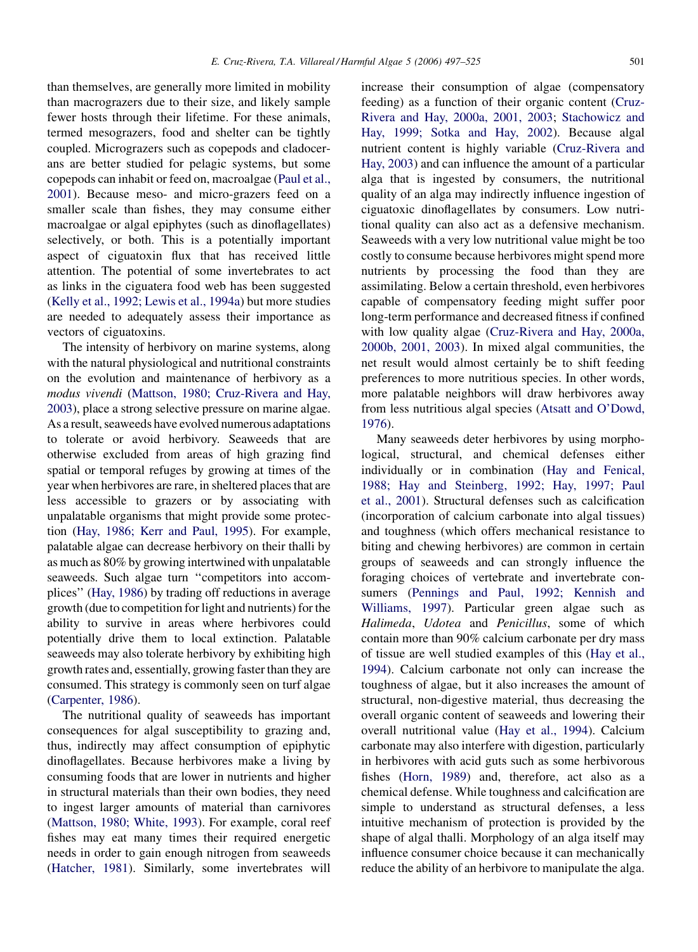than themselves, are generally more limited in mobility than macrograzers due to their size, and likely sample fewer hosts through their lifetime. For these animals, termed mesograzers, food and shelter can be tightly coupled. Micrograzers such as copepods and cladocerans are better studied for pelagic systems, but some copepods can inhabit or feed on, macroalgae [\(Paul et al.,](#page-25-0) [2001\)](#page-25-0). Because meso- and micro-grazers feed on a smaller scale than fishes, they may consume either macroalgae or algal epiphytes (such as dinoflagellates) selectively, or both. This is a potentially important aspect of ciguatoxin flux that has received little attention. The potential of some invertebrates to act as links in the ciguatera food web has been suggested [\(Kelly et al., 1992; Lewis et al., 1994a](#page-24-0)) but more studies are needed to adequately assess their importance as vectors of ciguatoxins.

The intensity of herbivory on marine systems, along with the natural physiological and nutritional constraints on the evolution and maintenance of herbivory as a modus vivendi ([Mattson, 1980; Cruz-Rivera and Hay,](#page-25-0) [2003\)](#page-25-0), place a strong selective pressure on marine algae. As a result, seaweeds have evolved numerous adaptations to tolerate or avoid herbivory. Seaweeds that are otherwise excluded from areas of high grazing find spatial or temporal refuges by growing at times of the year when herbivores are rare, in sheltered places that are less accessible to grazers or by associating with unpalatable organisms that might provide some protection ([Hay, 1986; Kerr and Paul, 1995](#page-23-0)). For example, palatable algae can decrease herbivory on their thalli by as much as 80% by growing intertwined with unpalatable seaweeds. Such algae turn ''competitors into accomplices'' [\(Hay, 1986\)](#page-23-0) by trading off reductions in average growth (due to competition for light and nutrients) for the ability to survive in areas where herbivores could potentially drive them to local extinction. Palatable seaweeds may also tolerate herbivory by exhibiting high growth rates and, essentially, growing faster than they are consumed. This strategy is commonly seen on turf algae [\(Carpenter, 1986\)](#page-21-0).

The nutritional quality of seaweeds has important consequences for algal susceptibility to grazing and, thus, indirectly may affect consumption of epiphytic dinoflagellates. Because herbivores make a living by consuming foods that are lower in nutrients and higher in structural materials than their own bodies, they need to ingest larger amounts of material than carnivores [\(Mattson, 1980; White, 1993](#page-25-0)). For example, coral reef fishes may eat many times their required energetic needs in order to gain enough nitrogen from seaweeds [\(Hatcher, 1981](#page-22-0)). Similarly, some invertebrates will increase their consumption of algae (compensatory feeding) as a function of their organic content [\(Cruz-](#page-21-0)[Rivera and Hay, 2000a, 2001, 2003;](#page-21-0) [Stachowicz and](#page-27-0) [Hay, 1999; Sotka and Hay, 2002](#page-27-0)). Because algal nutrient content is highly variable ([Cruz-Rivera and](#page-21-0) [Hay, 2003\)](#page-21-0) and can influence the amount of a particular alga that is ingested by consumers, the nutritional quality of an alga may indirectly influence ingestion of ciguatoxic dinoflagellates by consumers. Low nutritional quality can also act as a defensive mechanism. Seaweeds with a very low nutritional value might be too costly to consume because herbivores might spend more nutrients by processing the food than they are assimilating. Below a certain threshold, even herbivores capable of compensatory feeding might suffer poor long-term performance and decreased fitness if confined with low quality algae [\(Cruz-Rivera and Hay, 2000a,](#page-21-0) [2000b, 2001, 2003](#page-21-0)). In mixed algal communities, the net result would almost certainly be to shift feeding preferences to more nutritious species. In other words, more palatable neighbors will draw herbivores away from less nutritious algal species ([Atsatt and O'Dowd,](#page-20-0) [1976\)](#page-20-0).

Many seaweeds deter herbivores by using morphological, structural, and chemical defenses either individually or in combination ([Hay and Fenical,](#page-23-0) [1988; Hay and Steinberg, 1992; Hay, 1997; Paul](#page-23-0) [et al., 2001\)](#page-23-0). Structural defenses such as calcification (incorporation of calcium carbonate into algal tissues) and toughness (which offers mechanical resistance to biting and chewing herbivores) are common in certain groups of seaweeds and can strongly influence the foraging choices of vertebrate and invertebrate consumers ([Pennings and Paul, 1992; Kennish and](#page-26-0) [Williams, 1997\)](#page-26-0). Particular green algae such as Halimeda, Udotea and Penicillus, some of which contain more than 90% calcium carbonate per dry mass of tissue are well studied examples of this ([Hay et al.,](#page-23-0) [1994\)](#page-23-0). Calcium carbonate not only can increase the toughness of algae, but it also increases the amount of structural, non-digestive material, thus decreasing the overall organic content of seaweeds and lowering their overall nutritional value [\(Hay et al., 1994\)](#page-23-0). Calcium carbonate may also interfere with digestion, particularly in herbivores with acid guts such as some herbivorous fishes [\(Horn, 1989](#page-23-0)) and, therefore, act also as a chemical defense. While toughness and calcification are simple to understand as structural defenses, a less intuitive mechanism of protection is provided by the shape of algal thalli. Morphology of an alga itself may influence consumer choice because it can mechanically reduce the ability of an herbivore to manipulate the alga.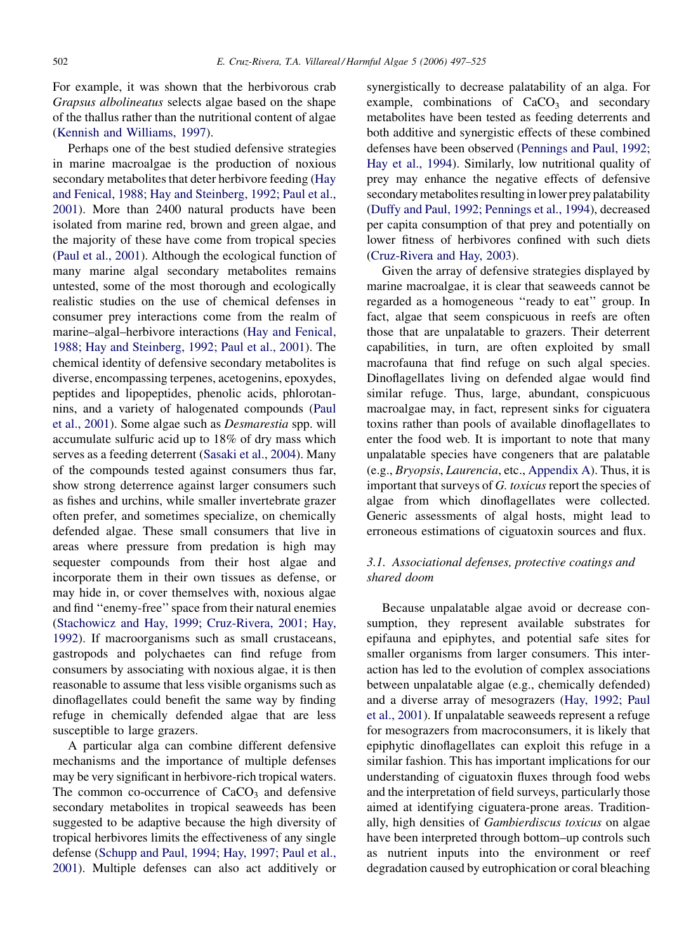For example, it was shown that the herbivorous crab Grapsus albolineatus selects algae based on the shape of the thallus rather than the nutritional content of algae [\(Kennish and Williams, 1997\)](#page-24-0).

Perhaps one of the best studied defensive strategies in marine macroalgae is the production of noxious secondary metabolites that deter herbivore feeding ([Hay](#page-23-0) [and Fenical, 1988; Hay and Steinberg, 1992; Paul et al.,](#page-23-0) [2001](#page-23-0)). More than 2400 natural products have been isolated from marine red, brown and green algae, and the majority of these have come from tropical species [\(Paul et al., 2001\)](#page-25-0). Although the ecological function of many marine algal secondary metabolites remains untested, some of the most thorough and ecologically realistic studies on the use of chemical defenses in consumer prey interactions come from the realm of marine–algal–herbivore interactions ([Hay and Fenical,](#page-23-0) [1988; Hay and Steinberg, 1992; Paul et al., 2001](#page-23-0)). The chemical identity of defensive secondary metabolites is diverse, encompassing terpenes, acetogenins, epoxydes, peptides and lipopeptides, phenolic acids, phlorotannins, and a variety of halogenated compounds ([Paul](#page-25-0) [et al., 2001\)](#page-25-0). Some algae such as Desmarestia spp. will accumulate sulfuric acid up to 18% of dry mass which serves as a feeding deterrent ([Sasaki et al., 2004](#page-26-0)). Many of the compounds tested against consumers thus far, show strong deterrence against larger consumers such as fishes and urchins, while smaller invertebrate grazer often prefer, and sometimes specialize, on chemically defended algae. These small consumers that live in areas where pressure from predation is high may sequester compounds from their host algae and incorporate them in their own tissues as defense, or may hide in, or cover themselves with, noxious algae and find ''enemy-free'' space from their natural enemies [\(Stachowicz and Hay, 1999; Cruz-Rivera, 2001; Hay,](#page-27-0) [1992](#page-27-0)). If macroorganisms such as small crustaceans, gastropods and polychaetes can find refuge from consumers by associating with noxious algae, it is then reasonable to assume that less visible organisms such as dinoflagellates could benefit the same way by finding refuge in chemically defended algae that are less susceptible to large grazers.

A particular alga can combine different defensive mechanisms and the importance of multiple defenses may be very significant in herbivore-rich tropical waters. The common co-occurrence of  $CaCO<sub>3</sub>$  and defensive secondary metabolites in tropical seaweeds has been suggested to be adaptive because the high diversity of tropical herbivores limits the effectiveness of any single defense [\(Schupp and Paul, 1994;](#page-27-0) [Hay, 1997; Paul et al.,](#page-23-0) [2001\)](#page-23-0). Multiple defenses can also act additively or

synergistically to decrease palatability of an alga. For example, combinations of  $CaCO<sub>3</sub>$  and secondary metabolites have been tested as feeding deterrents and both additive and synergistic effects of these combined defenses have been observed ([Pennings and Paul, 1992;](#page-26-0) [Hay et al., 1994\)](#page-26-0). Similarly, low nutritional quality of prey may enhance the negative effects of defensive secondary metabolites resulting in lower prey palatability [\(Duffy and Paul, 1992; Pennings et al., 1994](#page-22-0)), decreased per capita consumption of that prey and potentially on lower fitness of herbivores confined with such diets [\(Cruz-Rivera and Hay, 2003](#page-21-0)).

Given the array of defensive strategies displayed by marine macroalgae, it is clear that seaweeds cannot be regarded as a homogeneous ''ready to eat'' group. In fact, algae that seem conspicuous in reefs are often those that are unpalatable to grazers. Their deterrent capabilities, in turn, are often exploited by small macrofauna that find refuge on such algal species. Dinoflagellates living on defended algae would find similar refuge. Thus, large, abundant, conspicuous macroalgae may, in fact, represent sinks for ciguatera toxins rather than pools of available dinoflagellates to enter the food web. It is important to note that many unpalatable species have congeners that are palatable (e.g., Bryopsis, Laurencia, etc., [Appendix A\)](#page-11-0). Thus, it is important that surveys of G. toxicus report the species of algae from which dinoflagellates were collected. Generic assessments of algal hosts, might lead to erroneous estimations of ciguatoxin sources and flux.

# 3.1. Associational defenses, protective coatings and shared doom

Because unpalatable algae avoid or decrease consumption, they represent available substrates for epifauna and epiphytes, and potential safe sites for smaller organisms from larger consumers. This interaction has led to the evolution of complex associations between unpalatable algae (e.g., chemically defended) and a diverse array of mesograzers [\(Hay, 1992; Paul](#page-23-0) [et al., 2001](#page-23-0)). If unpalatable seaweeds represent a refuge for mesograzers from macroconsumers, it is likely that epiphytic dinoflagellates can exploit this refuge in a similar fashion. This has important implications for our understanding of ciguatoxin fluxes through food webs and the interpretation of field surveys, particularly those aimed at identifying ciguatera-prone areas. Traditionally, high densities of Gambierdiscus toxicus on algae have been interpreted through bottom–up controls such as nutrient inputs into the environment or reef degradation caused by eutrophication or coral bleaching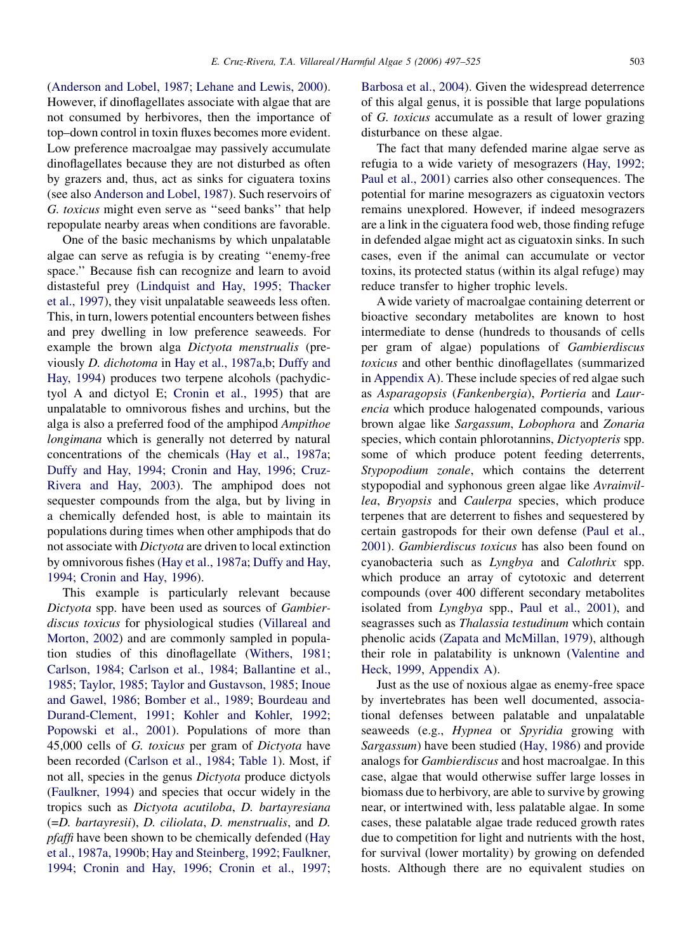[\(Anderson and Lobel, 1987; Lehane and Lewis, 2000](#page-20-0)). However, if dinoflagellates associate with algae that are not consumed by herbivores, then the importance of top–down control in toxin fluxes becomes more evident. Low preference macroalgae may passively accumulate dinoflagellates because they are not disturbed as often by grazers and, thus, act as sinks for ciguatera toxins (see also [Anderson and Lobel, 1987](#page-20-0)). Such reservoirs of G. toxicus might even serve as ''seed banks'' that help repopulate nearby areas when conditions are favorable.

One of the basic mechanisms by which unpalatable algae can serve as refugia is by creating ''enemy-free space.'' Because fish can recognize and learn to avoid distasteful prey ([Lindquist and Hay, 1995; Thacker](#page-24-0) [et al., 1997](#page-24-0)), they visit unpalatable seaweeds less often. This, in turn, lowers potential encounters between fishes and prey dwelling in low preference seaweeds. For example the brown alga Dictyota menstrualis (previously D. dichotoma in [Hay et al., 1987a,b](#page-23-0); [Duffy and](#page-22-0) [Hay, 1994](#page-22-0)) produces two terpene alcohols (pachydictyol A and dictyol E; [Cronin et al., 1995\)](#page-21-0) that are unpalatable to omnivorous fishes and urchins, but the alga is also a preferred food of the amphipod Ampithoe longimana which is generally not deterred by natural concentrations of the chemicals [\(Hay et al., 1987a](#page-23-0); [Duffy and Hay, 1994; Cronin and Hay, 1996; Cruz-](#page-22-0)[Rivera and Hay, 2003](#page-22-0)). The amphipod does not sequester compounds from the alga, but by living in a chemically defended host, is able to maintain its populations during times when other amphipods that do not associate with Dictyota are driven to local extinction by omnivorous fishes [\(Hay et al., 1987a;](#page-23-0) [Duffy and Hay,](#page-22-0) [1994; Cronin and Hay, 1996\)](#page-22-0).

This example is particularly relevant because Dictyota spp. have been used as sources of Gambierdiscus toxicus for physiological studies [\(Villareal and](#page-28-0) [Morton, 2002\)](#page-28-0) and are commonly sampled in population studies of this dinoflagellate ([Withers, 1981;](#page-28-0) [Carlson, 1984; Carlson et al., 1984; Ballantine et al.,](#page-28-0) [1985; Taylor, 1985; Taylor and Gustavson, 1985](#page-28-0); [Inoue](#page-24-0) [and Gawel, 1986;](#page-24-0) [Bomber et al., 1989;](#page-21-0) [Bourdeau and](#page-21-0) [Durand-Clement, 1991](#page-21-0); [Kohler and Kohler, 1992;](#page-24-0) [Popowski et al., 2001](#page-24-0)). Populations of more than 45,000 cells of G. toxicus per gram of Dictyota have been recorded [\(Carlson et al., 1984;](#page-21-0) [Table 1\)](#page-2-0). Most, if not all, species in the genus Dictyota produce dictyols [\(Faulkner, 1994](#page-22-0)) and species that occur widely in the tropics such as Dictyota acutiloba, D. bartayresiana (=D. bartayresii), D. ciliolata, D. menstrualis, and D. pfaffi have been shown to be chemically defended [\(Hay](#page-23-0) [et al., 1987a, 1990b;](#page-23-0) [Hay and Steinberg, 1992; Faulkner,](#page-23-0) [1994; Cronin and Hay, 1996; Cronin et al., 1997;](#page-23-0)

[Barbosa et al., 2004\)](#page-23-0). Given the widespread deterrence of this algal genus, it is possible that large populations of G. toxicus accumulate as a result of lower grazing disturbance on these algae.

The fact that many defended marine algae serve as refugia to a wide variety of mesograzers ([Hay, 1992;](#page-23-0) [Paul et al., 2001](#page-23-0)) carries also other consequences. The potential for marine mesograzers as ciguatoxin vectors remains unexplored. However, if indeed mesograzers are a link in the ciguatera food web, those finding refuge in defended algae might act as ciguatoxin sinks. In such cases, even if the animal can accumulate or vector toxins, its protected status (within its algal refuge) may reduce transfer to higher trophic levels.

A wide variety of macroalgae containing deterrent or bioactive secondary metabolites are known to host intermediate to dense (hundreds to thousands of cells per gram of algae) populations of Gambierdiscus toxicus and other benthic dinoflagellates (summarized in [Appendix A](#page-11-0)). These include species of red algae such as Asparagopsis (Fankenbergia), Portieria and Laurencia which produce halogenated compounds, various brown algae like Sargassum, Lobophora and Zonaria species, which contain phlorotannins, Dictyopteris spp. some of which produce potent feeding deterrents, Stypopodium zonale, which contains the deterrent stypopodial and syphonous green algae like Avrainvillea, Bryopsis and Caulerpa species, which produce terpenes that are deterrent to fishes and sequestered by certain gastropods for their own defense ([Paul et al.,](#page-25-0) [2001\)](#page-25-0). Gambierdiscus toxicus has also been found on cyanobacteria such as Lyngbya and Calothrix spp. which produce an array of cytotoxic and deterrent compounds (over 400 different secondary metabolites isolated from Lyngbya spp., [Paul et al., 2001\)](#page-25-0), and seagrasses such as *Thalassia testudinum* which contain phenolic acids [\(Zapata and McMillan, 1979](#page-28-0)), although their role in palatability is unknown ([Valentine and](#page-28-0) [Heck, 1999,](#page-28-0) [Appendix A\)](#page-11-0).

Just as the use of noxious algae as enemy-free space by invertebrates has been well documented, associational defenses between palatable and unpalatable seaweeds (e.g., Hypnea or Spyridia growing with Sargassum) have been studied ([Hay, 1986\)](#page-23-0) and provide analogs for Gambierdiscus and host macroalgae. In this case, algae that would otherwise suffer large losses in biomass due to herbivory, are able to survive by growing near, or intertwined with, less palatable algae. In some cases, these palatable algae trade reduced growth rates due to competition for light and nutrients with the host, for survival (lower mortality) by growing on defended hosts. Although there are no equivalent studies on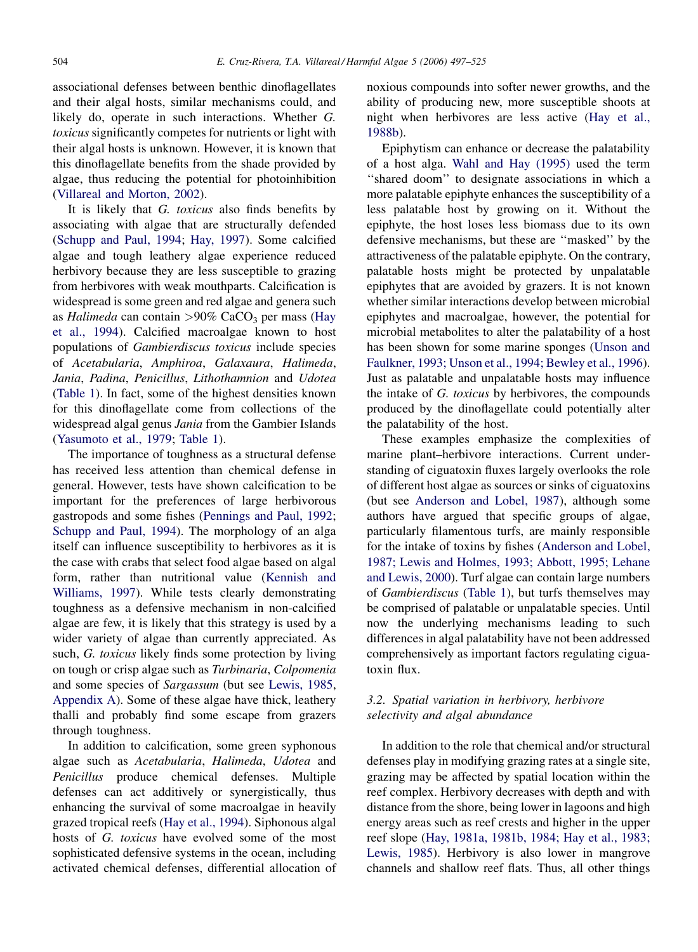associational defenses between benthic dinoflagellates and their algal hosts, similar mechanisms could, and likely do, operate in such interactions. Whether G. toxicus significantly competes for nutrients or light with their algal hosts is unknown. However, it is known that this dinoflagellate benefits from the shade provided by algae, thus reducing the potential for photoinhibition [\(Villareal and Morton, 2002\)](#page-28-0).

It is likely that G. toxicus also finds benefits by associating with algae that are structurally defended [\(Schupp and Paul, 1994;](#page-27-0) [Hay, 1997](#page-23-0)). Some calcified algae and tough leathery algae experience reduced herbivory because they are less susceptible to grazing from herbivores with weak mouthparts. Calcification is widespread is some green and red algae and genera such as Halimeda can contain >90% CaCO<sub>3</sub> per mass ([Hay](#page-23-0) [et al., 1994\)](#page-23-0). Calcified macroalgae known to host populations of Gambierdiscus toxicus include species of Acetabularia, Amphiroa, Galaxaura, Halimeda, Jania, Padina, Penicillus, Lithothamnion and Udotea [\(Table 1\)](#page-2-0). In fact, some of the highest densities known for this dinoflagellate come from collections of the widespread algal genus Jania from the Gambier Islands [\(Yasumoto et al., 1979](#page-28-0); [Table 1\)](#page-2-0).

The importance of toughness as a structural defense has received less attention than chemical defense in general. However, tests have shown calcification to be important for the preferences of large herbivorous gastropods and some fishes ([Pennings and Paul, 1992](#page-26-0); [Schupp and Paul, 1994\)](#page-27-0). The morphology of an alga itself can influence susceptibility to herbivores as it is the case with crabs that select food algae based on algal form, rather than nutritional value [\(Kennish and](#page-24-0) [Williams, 1997\)](#page-24-0). While tests clearly demonstrating toughness as a defensive mechanism in non-calcified algae are few, it is likely that this strategy is used by a wider variety of algae than currently appreciated. As such, G. toxicus likely finds some protection by living on tough or crisp algae such as Turbinaria, Colpomenia and some species of Sargassum (but see [Lewis, 1985,](#page-24-0) [Appendix A](#page-11-0)). Some of these algae have thick, leathery thalli and probably find some escape from grazers through toughness.

In addition to calcification, some green syphonous algae such as Acetabularia, Halimeda, Udotea and Penicillus produce chemical defenses. Multiple defenses can act additively or synergistically, thus enhancing the survival of some macroalgae in heavily grazed tropical reefs ([Hay et al., 1994](#page-23-0)). Siphonous algal hosts of G. toxicus have evolved some of the most sophisticated defensive systems in the ocean, including activated chemical defenses, differential allocation of noxious compounds into softer newer growths, and the ability of producing new, more susceptible shoots at night when herbivores are less active ([Hay et al.,](#page-23-0) [1988b](#page-23-0)).

Epiphytism can enhance or decrease the palatability of a host alga. [Wahl and Hay \(1995\)](#page-28-0) used the term "shared doom" to designate associations in which a more palatable epiphyte enhances the susceptibility of a less palatable host by growing on it. Without the epiphyte, the host loses less biomass due to its own defensive mechanisms, but these are ''masked'' by the attractiveness of the palatable epiphyte. On the contrary, palatable hosts might be protected by unpalatable epiphytes that are avoided by grazers. It is not known whether similar interactions develop between microbial epiphytes and macroalgae, however, the potential for microbial metabolites to alter the palatability of a host has been shown for some marine sponges ([Unson and](#page-28-0) [Faulkner, 1993; Unson et al., 1994; Bewley et al., 1996\)](#page-28-0). Just as palatable and unpalatable hosts may influence the intake of G. toxicus by herbivores, the compounds produced by the dinoflagellate could potentially alter the palatability of the host.

These examples emphasize the complexities of marine plant–herbivore interactions. Current understanding of ciguatoxin fluxes largely overlooks the role of different host algae as sources or sinks of ciguatoxins (but see [Anderson and Lobel, 1987](#page-20-0)), although some authors have argued that specific groups of algae, particularly filamentous turfs, are mainly responsible for the intake of toxins by fishes ([Anderson and Lobel,](#page-20-0) [1987; Lewis and Holmes, 1993; Abbott, 1995; Lehane](#page-20-0) [and Lewis, 2000\)](#page-20-0). Turf algae can contain large numbers of Gambierdiscus ([Table 1](#page-2-0)), but turfs themselves may be comprised of palatable or unpalatable species. Until now the underlying mechanisms leading to such differences in algal palatability have not been addressed comprehensively as important factors regulating ciguatoxin flux.

# 3.2. Spatial variation in herbivory, herbivore selectivity and algal abundance

In addition to the role that chemical and/or structural defenses play in modifying grazing rates at a single site, grazing may be affected by spatial location within the reef complex. Herbivory decreases with depth and with distance from the shore, being lower in lagoons and high energy areas such as reef crests and higher in the upper reef slope [\(Hay, 1981a, 1981b, 1984; Hay et al., 1983;](#page-23-0) [Lewis, 1985\)](#page-23-0). Herbivory is also lower in mangrove channels and shallow reef flats. Thus, all other things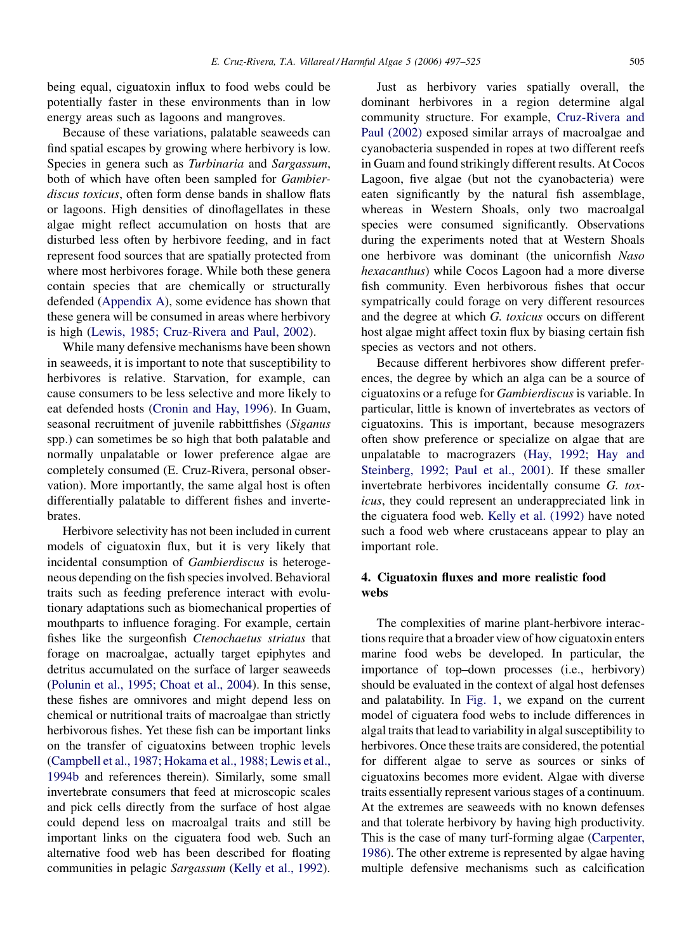being equal, ciguatoxin influx to food webs could be potentially faster in these environments than in low energy areas such as lagoons and mangroves.

Because of these variations, palatable seaweeds can find spatial escapes by growing where herbivory is low. Species in genera such as Turbinaria and Sargassum, both of which have often been sampled for Gambierdiscus toxicus, often form dense bands in shallow flats or lagoons. High densities of dinoflagellates in these algae might reflect accumulation on hosts that are disturbed less often by herbivore feeding, and in fact represent food sources that are spatially protected from where most herbivores forage. While both these genera contain species that are chemically or structurally defended [\(Appendix A\)](#page-11-0), some evidence has shown that these genera will be consumed in areas where herbivory is high [\(Lewis, 1985; Cruz-Rivera and Paul, 2002](#page-24-0)).

While many defensive mechanisms have been shown in seaweeds, it is important to note that susceptibility to herbivores is relative. Starvation, for example, can cause consumers to be less selective and more likely to eat defended hosts [\(Cronin and Hay, 1996](#page-21-0)). In Guam, seasonal recruitment of juvenile rabbittfishes (Siganus spp.) can sometimes be so high that both palatable and normally unpalatable or lower preference algae are completely consumed (E. Cruz-Rivera, personal observation). More importantly, the same algal host is often differentially palatable to different fishes and invertebrates.

Herbivore selectivity has not been included in current models of ciguatoxin flux, but it is very likely that incidental consumption of Gambierdiscus is heterogeneous depending on the fish species involved. Behavioral traits such as feeding preference interact with evolutionary adaptations such as biomechanical properties of mouthparts to influence foraging. For example, certain fishes like the surgeonfish Ctenochaetus striatus that forage on macroalgae, actually target epiphytes and detritus accumulated on the surface of larger seaweeds [\(Polunin et al., 1995; Choat et al., 2004\)](#page-26-0). In this sense, these fishes are omnivores and might depend less on chemical or nutritional traits of macroalgae than strictly herbivorous fishes. Yet these fish can be important links on the transfer of ciguatoxins between trophic levels [\(Campbell et al., 1987; Hokama et al., 1988; Lewis et al.,](#page-21-0) [1994b](#page-21-0) and references therein). Similarly, some small invertebrate consumers that feed at microscopic scales and pick cells directly from the surface of host algae could depend less on macroalgal traits and still be important links on the ciguatera food web. Such an alternative food web has been described for floating communities in pelagic Sargassum [\(Kelly et al., 1992\)](#page-24-0).

Just as herbivory varies spatially overall, the dominant herbivores in a region determine algal community structure. For example, [Cruz-Rivera and](#page-21-0) [Paul \(2002\)](#page-21-0) exposed similar arrays of macroalgae and cyanobacteria suspended in ropes at two different reefs in Guam and found strikingly different results. At Cocos Lagoon, five algae (but not the cyanobacteria) were eaten significantly by the natural fish assemblage, whereas in Western Shoals, only two macroalgal species were consumed significantly. Observations during the experiments noted that at Western Shoals one herbivore was dominant (the unicornfish Naso hexacanthus) while Cocos Lagoon had a more diverse fish community. Even herbivorous fishes that occur sympatrically could forage on very different resources and the degree at which G. toxicus occurs on different host algae might affect toxin flux by biasing certain fish species as vectors and not others.

Because different herbivores show different preferences, the degree by which an alga can be a source of ciguatoxins or a refuge for Gambierdiscus is variable. In particular, little is known of invertebrates as vectors of ciguatoxins. This is important, because mesograzers often show preference or specialize on algae that are unpalatable to macrograzers [\(Hay, 1992; Hay and](#page-23-0) [Steinberg, 1992; Paul et al., 2001](#page-23-0)). If these smaller invertebrate herbivores incidentally consume G. toxicus, they could represent an underappreciated link in the ciguatera food web. [Kelly et al. \(1992\)](#page-24-0) have noted such a food web where crustaceans appear to play an important role.

# 4. Ciguatoxin fluxes and more realistic food webs

The complexities of marine plant-herbivore interactions require that a broader view of how ciguatoxin enters marine food webs be developed. In particular, the importance of top–down processes (i.e., herbivory) should be evaluated in the context of algal host defenses and palatability. In [Fig. 1,](#page-9-0) we expand on the current model of ciguatera food webs to include differences in algal traits that lead to variability in algal susceptibility to herbivores. Once these traits are considered, the potential for different algae to serve as sources or sinks of ciguatoxins becomes more evident. Algae with diverse traits essentially represent various stages of a continuum. At the extremes are seaweeds with no known defenses and that tolerate herbivory by having high productivity. This is the case of many turf-forming algae [\(Carpenter,](#page-21-0) [1986\)](#page-21-0). The other extreme is represented by algae having multiple defensive mechanisms such as calcification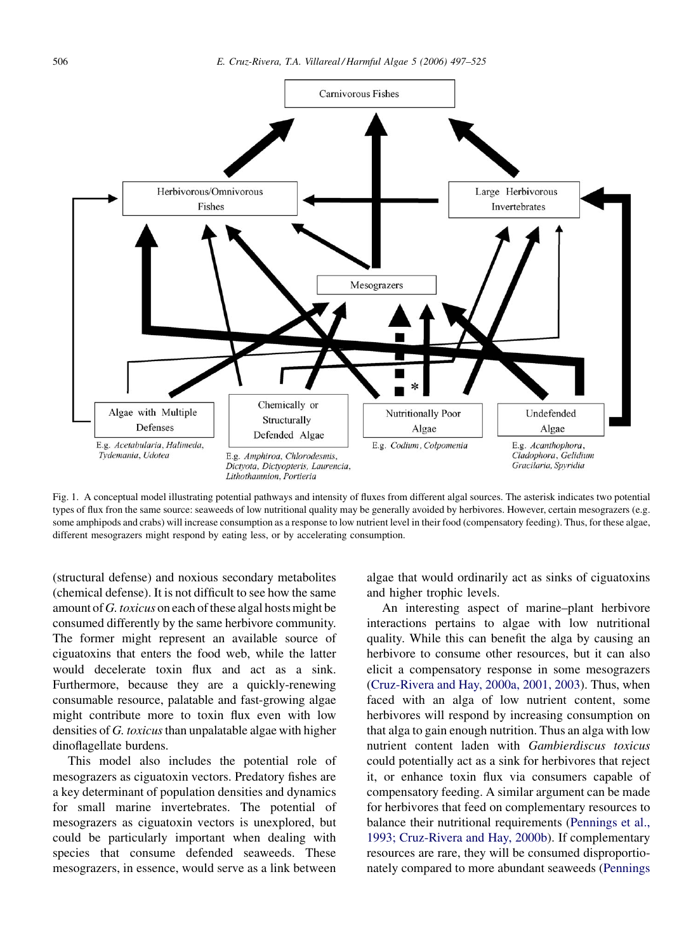<span id="page-9-0"></span>

Fig. 1. A conceptual model illustrating potential pathways and intensity of fluxes from different algal sources. The asterisk indicates two potential types of flux fron the same source: seaweeds of low nutritional quality may be generally avoided by herbivores. However, certain mesograzers (e.g. some amphipods and crabs) will increase consumption as a response to low nutrient level in their food (compensatory feeding). Thus, for these algae, different mesograzers might respond by eating less, or by accelerating consumption.

(structural defense) and noxious secondary metabolites (chemical defense). It is not difficult to see how the same amount of G. toxicus on each of these algal hosts might be consumed differently by the same herbivore community. The former might represent an available source of ciguatoxins that enters the food web, while the latter would decelerate toxin flux and act as a sink. Furthermore, because they are a quickly-renewing consumable resource, palatable and fast-growing algae might contribute more to toxin flux even with low densities of  $G$ . toxicus than unpalatable algae with higher dinoflagellate burdens.

This model also includes the potential role of mesograzers as ciguatoxin vectors. Predatory fishes are a key determinant of population densities and dynamics for small marine invertebrates. The potential of mesograzers as ciguatoxin vectors is unexplored, but could be particularly important when dealing with species that consume defended seaweeds. These mesograzers, in essence, would serve as a link between algae that would ordinarily act as sinks of ciguatoxins and higher trophic levels.

An interesting aspect of marine–plant herbivore interactions pertains to algae with low nutritional quality. While this can benefit the alga by causing an herbivore to consume other resources, but it can also elicit a compensatory response in some mesograzers ([Cruz-Rivera and Hay, 2000a, 2001, 2003\)](#page-21-0). Thus, when faced with an alga of low nutrient content, some herbivores will respond by increasing consumption on that alga to gain enough nutrition. Thus an alga with low nutrient content laden with Gambierdiscus toxicus could potentially act as a sink for herbivores that reject it, or enhance toxin flux via consumers capable of compensatory feeding. A similar argument can be made for herbivores that feed on complementary resources to balance their nutritional requirements [\(Pennings et al.,](#page-26-0) [1993; Cruz-Rivera and Hay, 2000b](#page-26-0)). If complementary resources are rare, they will be consumed disproportionately compared to more abundant seaweeds ([Pennings](#page-26-0)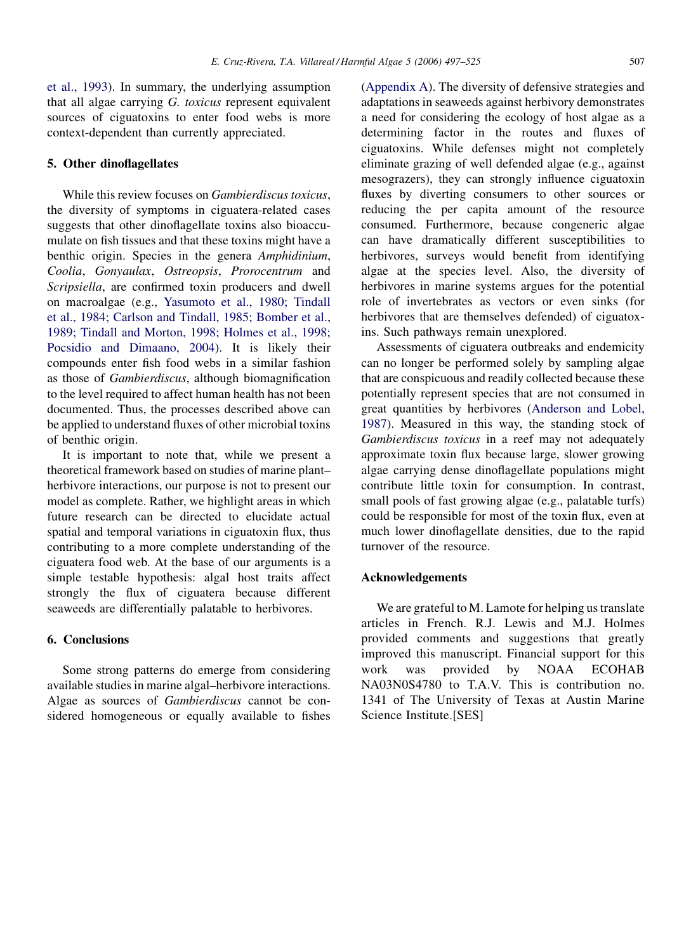[et al., 1993](#page-26-0)). In summary, the underlying assumption that all algae carrying G. toxicus represent equivalent sources of ciguatoxins to enter food webs is more context-dependent than currently appreciated.

### 5. Other dinoflagellates

While this review focuses on Gambierdiscus toxicus, the diversity of symptoms in ciguatera-related cases suggests that other dinoflagellate toxins also bioaccumulate on fish tissues and that these toxins might have a benthic origin. Species in the genera Amphidinium, Coolia, Gonyaulax, Ostreopsis, Prorocentrum and Scripsiella, are confirmed toxin producers and dwell on macroalgae (e.g., [Yasumoto et al., 1980; Tindall](#page-28-0) [et al., 1984; Carlson and Tindall, 1985; Bomber et al.,](#page-28-0) [1989; Tindall and Morton, 1998; Holmes et al., 1998;](#page-28-0) [Pocsidio and Dimaano, 2004\)](#page-28-0). It is likely their compounds enter fish food webs in a similar fashion as those of Gambierdiscus, although biomagnification to the level required to affect human health has not been documented. Thus, the processes described above can be applied to understand fluxes of other microbial toxins of benthic origin.

It is important to note that, while we present a theoretical framework based on studies of marine plant– herbivore interactions, our purpose is not to present our model as complete. Rather, we highlight areas in which future research can be directed to elucidate actual spatial and temporal variations in ciguatoxin flux, thus contributing to a more complete understanding of the ciguatera food web. At the base of our arguments is a simple testable hypothesis: algal host traits affect strongly the flux of ciguatera because different seaweeds are differentially palatable to herbivores.

# 6. Conclusions

Some strong patterns do emerge from considering available studies in marine algal–herbivore interactions. Algae as sources of Gambierdiscus cannot be considered homogeneous or equally available to fishes [\(Appendix A](#page-11-0)). The diversity of defensive strategies and adaptations in seaweeds against herbivory demonstrates a need for considering the ecology of host algae as a determining factor in the routes and fluxes of ciguatoxins. While defenses might not completely eliminate grazing of well defended algae (e.g., against mesograzers), they can strongly influence ciguatoxin fluxes by diverting consumers to other sources or reducing the per capita amount of the resource consumed. Furthermore, because congeneric algae can have dramatically different susceptibilities to herbivores, surveys would benefit from identifying algae at the species level. Also, the diversity of herbivores in marine systems argues for the potential role of invertebrates as vectors or even sinks (for herbivores that are themselves defended) of ciguatoxins. Such pathways remain unexplored.

Assessments of ciguatera outbreaks and endemicity can no longer be performed solely by sampling algae that are conspicuous and readily collected because these potentially represent species that are not consumed in great quantities by herbivores ([Anderson and Lobel,](#page-20-0) [1987\)](#page-20-0). Measured in this way, the standing stock of Gambierdiscus toxicus in a reef may not adequately approximate toxin flux because large, slower growing algae carrying dense dinoflagellate populations might contribute little toxin for consumption. In contrast, small pools of fast growing algae (e.g., palatable turfs) could be responsible for most of the toxin flux, even at much lower dinoflagellate densities, due to the rapid turnover of the resource.

#### Acknowledgements

We are grateful to M. Lamote for helping us translate articles in French. R.J. Lewis and M.J. Holmes provided comments and suggestions that greatly improved this manuscript. Financial support for this work was provided by NOAA ECOHAB NA03N0S4780 to T.A.V. This is contribution no. 1341 of The University of Texas at Austin Marine Science Institute.[SES]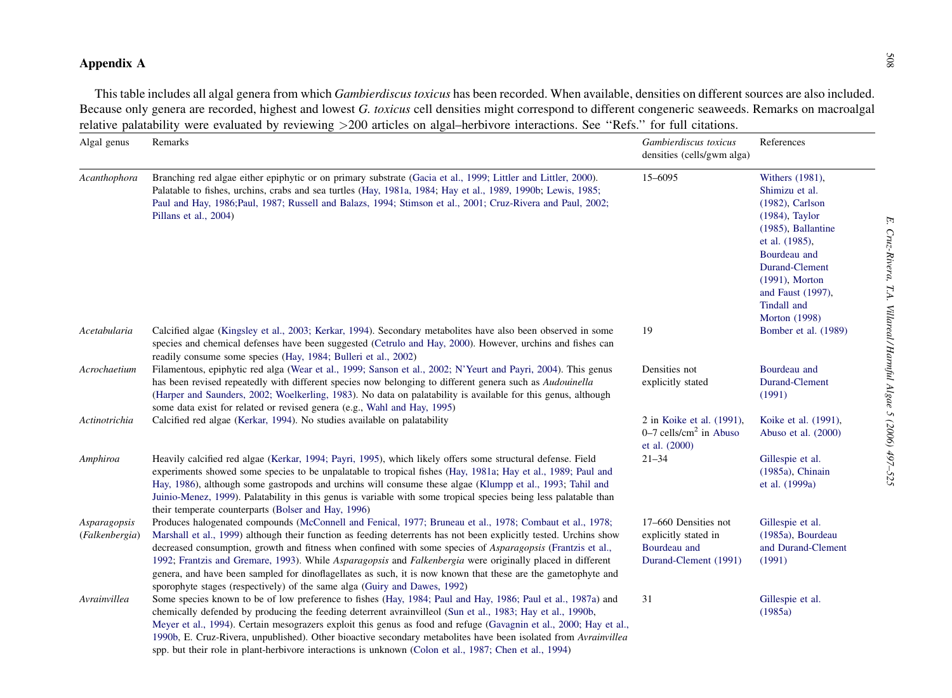<span id="page-11-0"></span>

|                                | Because only genera are recorded, highest and lowest G. toxicus cell densities might correspond to different congeneric seaweeds. Remarks on macroalgal<br>relative palatability were evaluated by reviewing >200 articles on algal-herbivore interactions. See "Refs." for full citations.                                                                                                                                                                                                                                                                                                                                                                     |                                                                                       |                                                                                                                                                                                                                                            |
|--------------------------------|-----------------------------------------------------------------------------------------------------------------------------------------------------------------------------------------------------------------------------------------------------------------------------------------------------------------------------------------------------------------------------------------------------------------------------------------------------------------------------------------------------------------------------------------------------------------------------------------------------------------------------------------------------------------|---------------------------------------------------------------------------------------|--------------------------------------------------------------------------------------------------------------------------------------------------------------------------------------------------------------------------------------------|
| Algal genus                    | Remarks                                                                                                                                                                                                                                                                                                                                                                                                                                                                                                                                                                                                                                                         | Gambierdiscus toxicus<br>densities (cells/gwm alga)                                   | References                                                                                                                                                                                                                                 |
| Acanthophora                   | Branching red algae either epiphytic or on primary substrate (Gacia et al., 1999; Littler and Littler, 2000).<br>Palatable to fishes, urchins, crabs and sea turtles (Hay, 1981a, 1984; Hay et al., 1989, 1990b; Lewis, 1985;<br>Paul and Hay, 1986;Paul, 1987; Russell and Balazs, 1994; Stimson et al., 2001; Cruz-Rivera and Paul, 2002;<br>Pillans et al., 2004)                                                                                                                                                                                                                                                                                            | 15-6095                                                                               | Withers (1981),<br>Shimizu et al.<br>$(1982)$ , Carlson<br>$(1984)$ , Taylor<br>$(1985)$ , Ballantine<br>et al. (1985),<br>Bourdeau and<br>Durand-Clement<br>$(1991)$ , Morton<br>and Faust (1997),<br>Tindall and<br><b>Morton</b> (1998) |
| Acetabularia                   | Calcified algae (Kingsley et al., 2003; Kerkar, 1994). Secondary metabolites have also been observed in some<br>species and chemical defenses have been suggested (Cetrulo and Hay, 2000). However, urchins and fishes can<br>readily consume some species (Hay, 1984; Bulleri et al., 2002)                                                                                                                                                                                                                                                                                                                                                                    | 19                                                                                    | Bomber et al. (1989)                                                                                                                                                                                                                       |
| Acrochaetium                   | Filamentous, epiphytic red alga (Wear et al., 1999; Sanson et al., 2002; N'Yeurt and Payri, 2004). This genus<br>has been revised repeatedly with different species now belonging to different genera such as <i>Audouinella</i><br>(Harper and Saunders, 2002; Woelkerling, 1983). No data on palatability is available for this genus, although<br>some data exist for related or revised genera (e.g., Wahl and Hay, 1995)                                                                                                                                                                                                                                   | Densities not<br>explicitly stated                                                    | Bourdeau and<br>Durand-Clement<br>(1991)                                                                                                                                                                                                   |
| Actinotrichia                  | Calcified red algae (Kerkar, 1994). No studies available on palatability                                                                                                                                                                                                                                                                                                                                                                                                                                                                                                                                                                                        | 2 in Koike et al. (1991),<br>$0-7$ cells/cm <sup>2</sup> in Abuso<br>et al. (2000)    | Koike et al. (1991),<br>Abuso et al. (2000)                                                                                                                                                                                                |
| Amphiroa                       | Heavily calcified red algae (Kerkar, 1994; Payri, 1995), which likely offers some structural defense. Field<br>experiments showed some species to be unpalatable to tropical fishes (Hay, 1981a; Hay et al., 1989; Paul and<br>Hay, 1986), although some gastropods and urchins will consume these algae (Klumpp et al., 1993; Tahil and<br>Juinio-Menez, 1999). Palatability in this genus is variable with some tropical species being less palatable than<br>their temperate counterparts (Bolser and Hay, 1996)                                                                                                                                             | $21 - 34$                                                                             | Gillespie et al.<br>(1985a), Chinain<br>et al. (1999a)                                                                                                                                                                                     |
| Asparagopsis<br>(Falkenbergia) | Produces halogenated compounds (McConnell and Fenical, 1977; Bruneau et al., 1978; Combaut et al., 1978;<br>Marshall et al., 1999) although their function as feeding deterrents has not been explicitly tested. Urchins show<br>decreased consumption, growth and fitness when confined with some species of <i>Asparagopsis</i> (Frantzis et al.,<br>1992; Frantzis and Gremare, 1993). While Asparagopsis and Falkenbergia were originally placed in different<br>genera, and have been sampled for dinoflagellates as such, it is now known that these are the gametophyte and<br>sporophyte stages (respectively) of the same alga (Guiry and Dawes, 1992) | 17–660 Densities not<br>explicitly stated in<br>Bourdeau and<br>Durand-Clement (1991) | Gillespie et al.<br>(1985a), Bourdeau<br>and Durand-Clement<br>(1991)                                                                                                                                                                      |
| Avrainvillea                   | Some species known to be of low preference to fishes (Hay, 1984; Paul and Hay, 1986; Paul et al., 1987a) and<br>chemically defended by producing the feeding deterrent avrainvilleol (Sun et al., 1983; Hay et al., 1990b,<br>Meyer et al., 1994). Certain mesograzers exploit this genus as food and refuge (Gavagnin et al., 2000; Hay et al.,<br>1990b, E. Cruz-Rivera, unpublished). Other bioactive secondary metabolites have been isolated from Avrainvillea<br>spp. but their role in plant-herbivore interactions is unknown (Colon et al., 1987; Chen et al., 1994)                                                                                   | 31                                                                                    | Gillespie et al.<br>(1985a)                                                                                                                                                                                                                |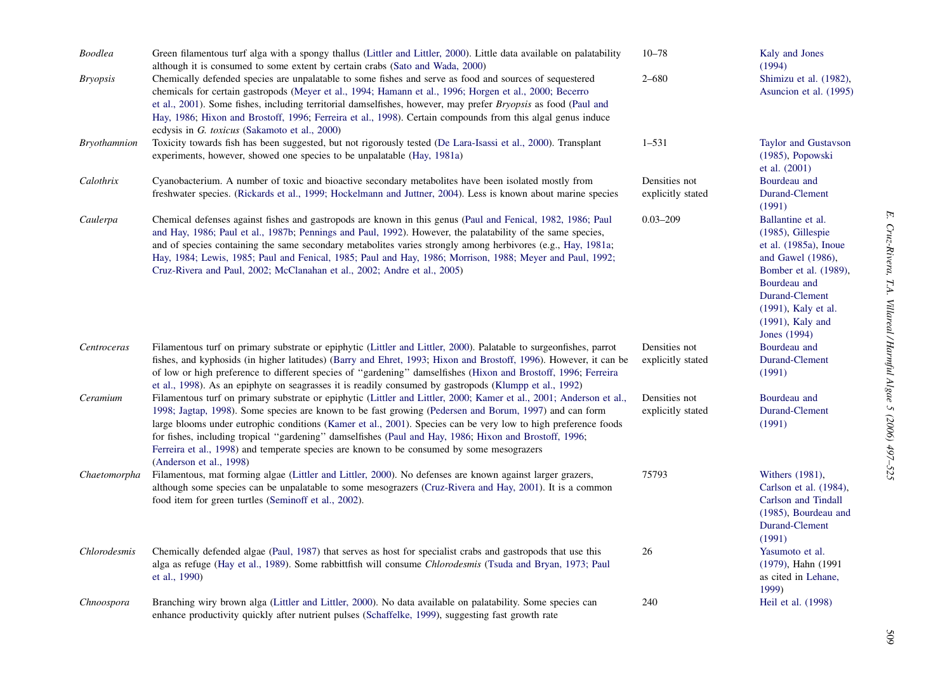| <b>Boodlea</b>      | Green filamentous turf alga with a spongy thallus (Littler and Littler, 2000). Little data available on palatability<br>although it is consumed to some extent by certain crabs (Sato and Wada, 2000)                                                                                                                                                                                                                                                                                                                                                                             | $10 - 78$                          | Kaly and Jones<br>(1994)                                                                                                                                                                                            |
|---------------------|-----------------------------------------------------------------------------------------------------------------------------------------------------------------------------------------------------------------------------------------------------------------------------------------------------------------------------------------------------------------------------------------------------------------------------------------------------------------------------------------------------------------------------------------------------------------------------------|------------------------------------|---------------------------------------------------------------------------------------------------------------------------------------------------------------------------------------------------------------------|
| <b>Bryopsis</b>     | Chemically defended species are unpalatable to some fishes and serve as food and sources of sequestered<br>chemicals for certain gastropods (Meyer et al., 1994; Hamann et al., 1996; Horgen et al., 2000; Becerro<br>et al., 2001). Some fishes, including territorial damselfishes, however, may prefer <i>Bryopsis</i> as food (Paul and<br>Hay, 1986; Hixon and Brostoff, 1996; Ferreira et al., 1998). Certain compounds from this algal genus induce<br>ecdysis in G. toxicus (Sakamoto et al., 2000)                                                                       | $2 - 680$                          | Shimizu et al. (1982),<br>Asuncion et al. (1995)                                                                                                                                                                    |
| <b>Bryothamnion</b> | Toxicity towards fish has been suggested, but not rigorously tested (De Lara-Isassi et al., 2000). Transplant<br>experiments, however, showed one species to be unpalatable (Hay, 1981a)                                                                                                                                                                                                                                                                                                                                                                                          | $1 - 531$                          | Taylor and Gustavson<br>(1985), Popowski<br>et al. $(2001)$                                                                                                                                                         |
| Calothrix           | Cyanobacterium. A number of toxic and bioactive secondary metabolites have been isolated mostly from<br>freshwater species. (Rickards et al., 1999; Hockelmann and Juttner, 2004). Less is known about marine species                                                                                                                                                                                                                                                                                                                                                             | Densities not<br>explicitly stated | Bourdeau and<br>Durand-Clement<br>(1991)                                                                                                                                                                            |
| Caulerpa            | Chemical defenses against fishes and gastropods are known in this genus (Paul and Fenical, 1982, 1986; Paul<br>and Hay, 1986; Paul et al., 1987b; Pennings and Paul, 1992). However, the palatability of the same species,<br>and of species containing the same secondary metabolites varies strongly among herbivores (e.g., Hay, 1981a;<br>Hay, 1984; Lewis, 1985; Paul and Fenical, 1985; Paul and Hay, 1986; Morrison, 1988; Meyer and Paul, 1992;<br>Cruz-Rivera and Paul, 2002; McClanahan et al., 2002; Andre et al., 2005)                                               | $0.03 - 209$                       | Ballantine et al.<br>$(1985)$ , Gillespie<br>et al. $(1985a)$ , Inoue<br>and Gawel (1986),<br>Bomber et al. (1989),<br>Bourdeau and<br>Durand-Clement<br>(1991), Kaly et al.<br>$(1991)$ , Kaly and<br>Jones (1994) |
| Centroceras         | Filamentous turf on primary substrate or epiphytic (Littler and Littler, 2000). Palatable to surgeonfishes, parrot<br>fishes, and kyphosids (in higher latitudes) (Barry and Ehret, 1993; Hixon and Brostoff, 1996). However, it can be<br>of low or high preference to different species of "gardening" damselfishes (Hixon and Brostoff, 1996; Ferreira<br>et al., 1998). As an epiphyte on seagrasses it is readily consumed by gastropods (Klumpp et al., 1992)                                                                                                               | Densities not<br>explicitly stated | Bourdeau and<br>Durand-Clement<br>(1991)                                                                                                                                                                            |
| Ceramium            | Filamentous turf on primary substrate or epiphytic (Littler and Littler, 2000; Kamer et al., 2001; Anderson et al.,<br>1998; Jagtap, 1998). Some species are known to be fast growing (Pedersen and Borum, 1997) and can form<br>large blooms under eutrophic conditions (Kamer et al., 2001). Species can be very low to high preference foods<br>for fishes, including tropical "gardening" damselfishes (Paul and Hay, 1986; Hixon and Brostoff, 1996;<br>Ferreira et al., 1998) and temperate species are known to be consumed by some mesograzers<br>(Anderson et al., 1998) | Densities not<br>explicitly stated | Bourdeau and<br>Durand-Clement<br>(1991)                                                                                                                                                                            |
| Chaetomorpha        | Filamentous, mat forming algae (Littler and Littler, 2000). No defenses are known against larger grazers,<br>although some species can be unpalatable to some mesograzers (Cruz-Rivera and Hay, 2001). It is a common<br>food item for green turtles (Seminoff et al., 2002).                                                                                                                                                                                                                                                                                                     | 75793                              | Withers (1981),<br>Carlson et al. (1984),<br>Carlson and Tindall<br>(1985), Bourdeau and<br>Durand-Clement<br>(1991)                                                                                                |
| Chlorodesmis        | Chemically defended algae (Paul, 1987) that serves as host for specialist crabs and gastropods that use this<br>alga as refuge (Hay et al., 1989). Some rabbittfish will consume Chlorodesmis (Tsuda and Bryan, 1973; Paul<br>et al., 1990)                                                                                                                                                                                                                                                                                                                                       | 26                                 | Yasumoto et al.<br>(1979), Hahn (1991<br>as cited in Lehane,<br>1999)                                                                                                                                               |
| Chnoospora          | Branching wiry brown alga (Littler and Littler, 2000). No data available on palatability. Some species can<br>enhance productivity quickly after nutrient pulses (Schaffelke, 1999), suggesting fast growth rate                                                                                                                                                                                                                                                                                                                                                                  | 240                                | Heil et al. (1998)                                                                                                                                                                                                  |

509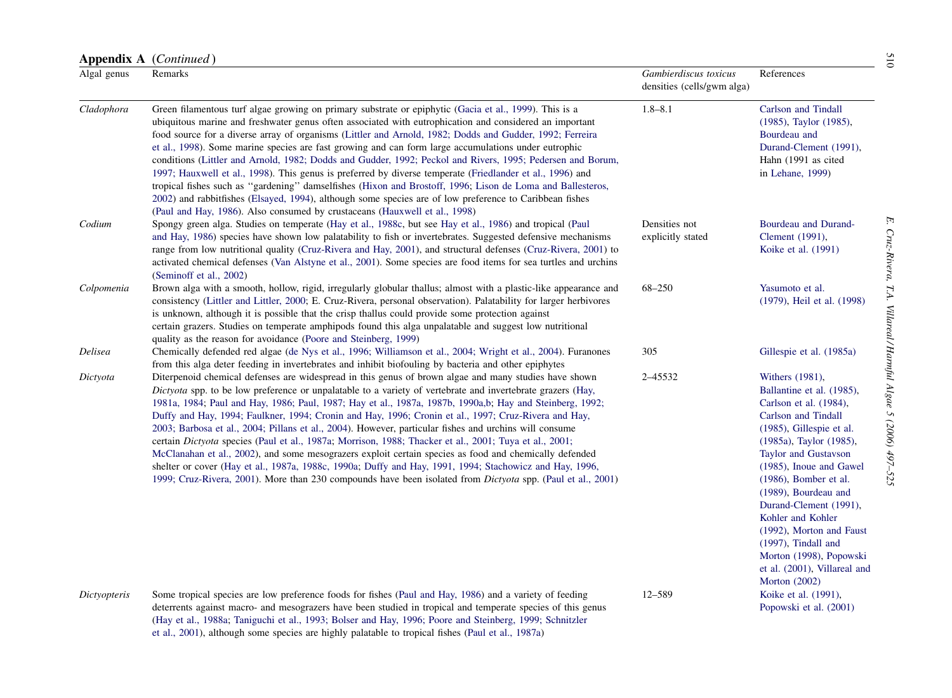| Appendix A (Continued) |                                                                                                                                                                                                                                                                                                                                                                                                                                                                                                                                                                                                                                                                                                                                                                                                                                                                                                                                                                                                         |                                                     |                                                                                                                                                                                                                                     |
|------------------------|---------------------------------------------------------------------------------------------------------------------------------------------------------------------------------------------------------------------------------------------------------------------------------------------------------------------------------------------------------------------------------------------------------------------------------------------------------------------------------------------------------------------------------------------------------------------------------------------------------------------------------------------------------------------------------------------------------------------------------------------------------------------------------------------------------------------------------------------------------------------------------------------------------------------------------------------------------------------------------------------------------|-----------------------------------------------------|-------------------------------------------------------------------------------------------------------------------------------------------------------------------------------------------------------------------------------------|
| Algal genus            | Remarks                                                                                                                                                                                                                                                                                                                                                                                                                                                                                                                                                                                                                                                                                                                                                                                                                                                                                                                                                                                                 | Gambierdiscus toxicus<br>densities (cells/gwm alga) | References                                                                                                                                                                                                                          |
| Cladophora             | Green filamentous turf algae growing on primary substrate or epiphytic (Gacia et al., 1999). This is a<br>ubiquitous marine and freshwater genus often associated with eutrophication and considered an important<br>food source for a diverse array of organisms (Littler and Arnold, 1982; Dodds and Gudder, 1992; Ferreira<br>et al., 1998). Some marine species are fast growing and can form large accumulations under eutrophic<br>conditions (Littler and Arnold, 1982; Dodds and Gudder, 1992; Peckol and Rivers, 1995; Pedersen and Borum,<br>1997; Hauxwell et al., 1998). This genus is preferred by diverse temperate (Friedlander et al., 1996) and<br>tropical fishes such as "gardening" damselfishes (Hixon and Brostoff, 1996; Lison de Loma and Ballesteros,<br>2002) and rabbitfishes (Elsayed, 1994), although some species are of low preference to Caribbean fishes<br>(Paul and Hay, 1986). Also consumed by crustaceans (Hauxwell et al., 1998)                                 | $1.8 - 8.1$                                         | Carlson and Tindall<br>(1985), Taylor (1985),<br>Bourdeau and<br>Durand-Clement (1991),<br>Hahn (1991 as cited<br>in Lehane, 1999)                                                                                                  |
| Codium                 | Spongy green alga. Studies on temperate (Hay et al., 1988c, but see Hay et al., 1986) and tropical (Paul<br>and Hay, 1986) species have shown low palatability to fish or invertebrates. Suggested defensive mechanisms<br>range from low nutritional quality (Cruz-Rivera and Hay, 2001), and structural defenses (Cruz-Rivera, 2001) to<br>activated chemical defenses (Van Alstyne et al., 2001). Some species are food items for sea turtles and urchins<br>(Seminoff et al., 2002)                                                                                                                                                                                                                                                                                                                                                                                                                                                                                                                 | Densities not<br>explicitly stated                  | Bourdeau and Durand-<br>Clement (1991),<br>Koike et al. (1991)                                                                                                                                                                      |
| Colpomenia             | Brown alga with a smooth, hollow, rigid, irregularly globular thallus; almost with a plastic-like appearance and<br>consistency (Littler and Littler, 2000; E. Cruz-Rivera, personal observation). Palatability for larger herbivores<br>is unknown, although it is possible that the crisp thallus could provide some protection against<br>certain grazers. Studies on temperate amphipods found this alga unpalatable and suggest low nutritional<br>quality as the reason for avoidance (Poore and Steinberg, 1999)                                                                                                                                                                                                                                                                                                                                                                                                                                                                                 | 68-250                                              | Yasumoto et al.<br>(1979), Heil et al. (1998)                                                                                                                                                                                       |
| Delisea                | Chemically defended red algae (de Nys et al., 1996; Williamson et al., 2004; Wright et al., 2004). Furanones<br>from this alga deter feeding in invertebrates and inhibit biofouling by bacteria and other epiphytes                                                                                                                                                                                                                                                                                                                                                                                                                                                                                                                                                                                                                                                                                                                                                                                    | 305                                                 | Gillespie et al. (1985a)                                                                                                                                                                                                            |
| Dictyota               | Diterpenoid chemical defenses are widespread in this genus of brown algae and many studies have shown<br>Dictyota spp. to be low preference or unpalatable to a variety of vertebrate and invertebrate grazers (Hay,<br>1981a, 1984; Paul and Hay, 1986; Paul, 1987; Hay et al., 1987a, 1987b, 1990a,b; Hay and Steinberg, 1992;<br>Duffy and Hay, 1994; Faulkner, 1994; Cronin and Hay, 1996; Cronin et al., 1997; Cruz-Rivera and Hay,<br>2003; Barbosa et al., 2004; Pillans et al., 2004). However, particular fishes and urchins will consume<br>certain Dictyota species (Paul et al., 1987a; Morrison, 1988; Thacker et al., 2001; Tuya et al., 2001;<br>McClanahan et al., 2002), and some mesograzers exploit certain species as food and chemically defended<br>shelter or cover (Hay et al., 1987a, 1988c, 1990a; Duffy and Hay, 1991, 1994; Stachowicz and Hay, 1996,<br>1999; Cruz-Rivera, 2001). More than 230 compounds have been isolated from <i>Dictyota</i> spp. (Paul et al., 2001) | 2-45532                                             | Withers (1981),<br>Ballantine et al. (1985),<br>Carlson et al. (1984),<br>Carlson and Tindall<br>(1985), Gillespie et al.<br>(1985a), Taylor (1985),<br>Taylor and Gustavson<br>(1985), Inoue and Gawel<br>$(1986)$ , Bomber et al. |

[\(1989\)](#page-21-0), [Bourdeau](#page-21-0) and [Durand-Clement](#page-21-0) (1991), Kohler and [Kohler](#page-24-0) [\(1992\)](#page-24-0), [Morton](#page-25-0) and Faust [\(1997\)](#page-25-0), [Tindall](#page-27-0) and Morton [\(1998\)](#page-27-0), [Popowski](#page-26-0) et al. [\(2001\)](#page-26-0), [Villareal](#page-28-0) and

Morton [\(2002\)](#page-28-0)

 Koike et al. [\(1991\)](#page-24-0), [Popowski](#page-26-0) et al. (2001)

Dictyopteris Some tropical species are low preference foods for fishes (Paul and Hay, [1986](#page-26-0)) and a variety of feeding deterrents against macro- and mesograzers have been studied in tropical and temperate species of this genus (Hay et al., [1988a](#page-23-0); Taniguchi et al., 1993; Bolser and Hay, 1996; Poore and [Steinberg,](#page-27-0) 1999; Schnitzler et al., [2001\)](#page-27-0), although some species are highly palatable to tropical fishes (Paul et al., [1987a](#page-26-0))

12–589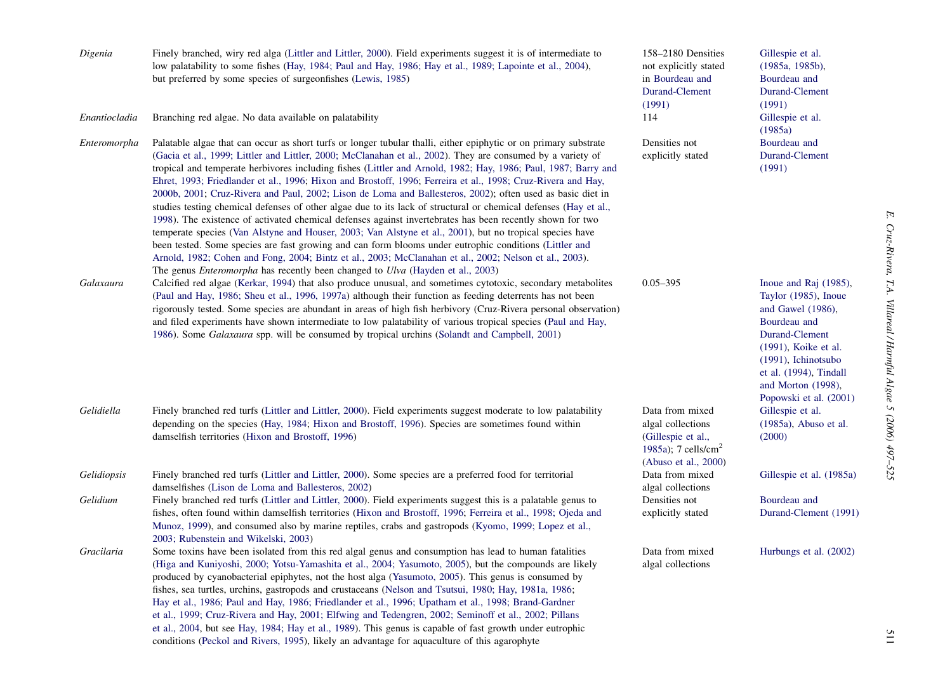| Digenia<br>Enantiocladia | Finely branched, wiry red alga (Littler and Littler, 2000). Field experiments suggest it is of intermediate to<br>low palatability to some fishes (Hay, 1984; Paul and Hay, 1986; Hay et al., 1989; Lapointe et al., 2004),<br>but preferred by some species of surgeonfishes (Lewis, 1985)<br>Branching red algae. No data available on palatability                                                                                                                                                                                                                                                                                                                                                                                                                                                                                                                                                                                                                                                                                                                                                                                                                                                                              | 158-2180 Densities<br>not explicitly stated<br>in Bourdeau and<br>Durand-Clement<br>(1991)<br>114                     | Gillespie et al.<br>(1985a, 1985b),<br>Bourdeau and<br>Durand-Clement<br>(1991)<br>Gillespie et al.                                                                                                                              |
|--------------------------|------------------------------------------------------------------------------------------------------------------------------------------------------------------------------------------------------------------------------------------------------------------------------------------------------------------------------------------------------------------------------------------------------------------------------------------------------------------------------------------------------------------------------------------------------------------------------------------------------------------------------------------------------------------------------------------------------------------------------------------------------------------------------------------------------------------------------------------------------------------------------------------------------------------------------------------------------------------------------------------------------------------------------------------------------------------------------------------------------------------------------------------------------------------------------------------------------------------------------------|-----------------------------------------------------------------------------------------------------------------------|----------------------------------------------------------------------------------------------------------------------------------------------------------------------------------------------------------------------------------|
| Enteromorpha             | Palatable algae that can occur as short turfs or longer tubular thalli, either epiphytic or on primary substrate<br>(Gacia et al., 1999; Littler and Littler, 2000; McClanahan et al., 2002). They are consumed by a variety of<br>tropical and temperate herbivores including fishes (Littler and Arnold, 1982; Hay, 1986; Paul, 1987; Barry and<br>Ehret, 1993; Friedlander et al., 1996; Hixon and Brostoff, 1996; Ferreira et al., 1998; Cruz-Rivera and Hay,<br>2000b, 2001; Cruz-Rivera and Paul, 2002; Lison de Loma and Ballesteros, 2002); often used as basic diet in<br>studies testing chemical defenses of other algae due to its lack of structural or chemical defenses (Hay et al.,<br>1998). The existence of activated chemical defenses against invertebrates has been recently shown for two<br>temperate species (Van Alstyne and Houser, 2003; Van Alstyne et al., 2001), but no tropical species have<br>been tested. Some species are fast growing and can form blooms under eutrophic conditions (Littler and<br>Arnold, 1982; Cohen and Fong, 2004; Bintz et al., 2003; McClanahan et al., 2002; Nelson et al., 2003).<br>The genus Enteromorpha has recently been changed to Ulva (Hayden et al., 2003) | Densities not<br>explicitly stated                                                                                    | (1985a)<br>Bourdeau and<br>Durand-Clement<br>(1991)                                                                                                                                                                              |
| Galaxaura                | Calcified red algae (Kerkar, 1994) that also produce unusual, and sometimes cytotoxic, secondary metabolites<br>(Paul and Hay, 1986; Sheu et al., 1996, 1997a) although their function as feeding deterrents has not been<br>rigorously tested. Some species are abundant in areas of high fish herbivory (Cruz-Rivera personal observation)<br>and filed experiments have shown intermediate to low palatability of various tropical species (Paul and Hay,<br>1986). Some <i>Galaxaura</i> spp. will be consumed by tropical urchins (Solandt and Campbell, 2001)                                                                                                                                                                                                                                                                                                                                                                                                                                                                                                                                                                                                                                                                | $0.05 - 395$                                                                                                          | Inoue and Raj (1985),<br>Taylor (1985), Inoue<br>and Gawel (1986),<br>Bourdeau and<br>Durand-Clement<br>(1991), Koike et al.<br>$(1991)$ , Ichinotsubo<br>et al. (1994), Tindall<br>and Morton (1998),<br>Popowski et al. (2001) |
| Gelidiella               | Finely branched red turfs (Littler and Littler, 2000). Field experiments suggest moderate to low palatability<br>depending on the species (Hay, 1984; Hixon and Brostoff, 1996). Species are sometimes found within<br>damselfish territories (Hixon and Brostoff, 1996)                                                                                                                                                                                                                                                                                                                                                                                                                                                                                                                                                                                                                                                                                                                                                                                                                                                                                                                                                           | Data from mixed<br>algal collections<br>(Gillespie et al.,<br>1985a); 7 cells/cm <sup>2</sup><br>(Abuso et al., 2000) | Gillespie et al.<br>(1985a), Abuso et al.<br>(2000)                                                                                                                                                                              |
| Gelidiopsis              | Finely branched red turfs (Littler and Littler, 2000). Some species are a preferred food for territorial<br>damselfishes (Lison de Loma and Ballesteros, 2002)                                                                                                                                                                                                                                                                                                                                                                                                                                                                                                                                                                                                                                                                                                                                                                                                                                                                                                                                                                                                                                                                     | Data from mixed<br>algal collections                                                                                  | Gillespie et al. (1985a)                                                                                                                                                                                                         |
| Gelidium                 | Finely branched red turfs (Littler and Littler, 2000). Field experiments suggest this is a palatable genus to<br>fishes, often found within damselfish territories (Hixon and Brostoff, 1996; Ferreira et al., 1998; Ojeda and<br>Munoz, 1999), and consumed also by marine reptiles, crabs and gastropods (Kyomo, 1999; Lopez et al.,<br>2003; Rubenstein and Wikelski, 2003)                                                                                                                                                                                                                                                                                                                                                                                                                                                                                                                                                                                                                                                                                                                                                                                                                                                     | Densities not<br>explicitly stated                                                                                    | Bourdeau and<br>Durand-Clement (1991)                                                                                                                                                                                            |
| Gracilaria               | Some toxins have been isolated from this red algal genus and consumption has lead to human fatalities<br>(Higa and Kuniyoshi, 2000; Yotsu-Yamashita et al., 2004; Yasumoto, 2005), but the compounds are likely<br>produced by cyanobacterial epiphytes, not the host alga (Yasumoto, 2005). This genus is consumed by<br>fishes, sea turtles, urchins, gastropods and crustaceans (Nelson and Tsutsui, 1980; Hay, 1981a, 1986;<br>Hay et al., 1986; Paul and Hay, 1986; Friedlander et al., 1996; Upatham et al., 1998; Brand-Gardner<br>et al., 1999; Cruz-Rivera and Hay, 2001; Elfwing and Tedengren, 2002; Seminoff et al., 2002; Pillans<br>et al., 2004, but see Hay, 1984; Hay et al., 1989). This genus is capable of fast growth under eutrophic<br>conditions (Peckol and Rivers, 1995), likely an advantage for aquaculture of this agarophyte                                                                                                                                                                                                                                                                                                                                                                         | Data from mixed<br>algal collections                                                                                  | Hurbungs et al. (2002)                                                                                                                                                                                                           |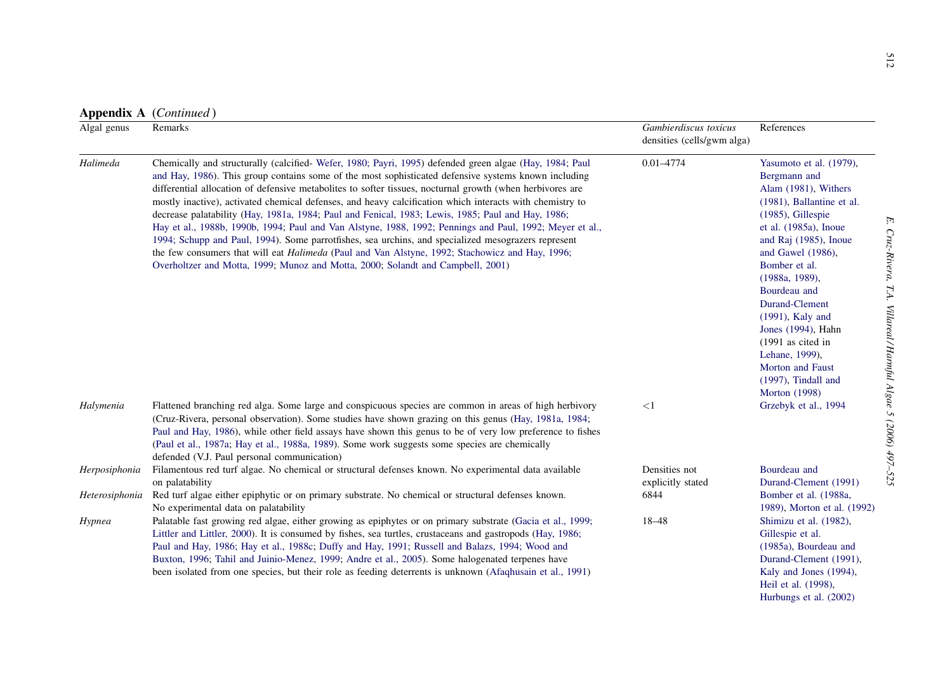| Algal genus    | Remarks                                                                                                                                                                                                                                                                                                                                                                                                                                                                                                                                                                                                                                                                                                                                                                                                                                                                                                                                                      | Gambierdiscus toxicus<br>densities (cells/gwm alga) | References                                                                                                                                                                                                                                                                                                                                                                                                       |
|----------------|--------------------------------------------------------------------------------------------------------------------------------------------------------------------------------------------------------------------------------------------------------------------------------------------------------------------------------------------------------------------------------------------------------------------------------------------------------------------------------------------------------------------------------------------------------------------------------------------------------------------------------------------------------------------------------------------------------------------------------------------------------------------------------------------------------------------------------------------------------------------------------------------------------------------------------------------------------------|-----------------------------------------------------|------------------------------------------------------------------------------------------------------------------------------------------------------------------------------------------------------------------------------------------------------------------------------------------------------------------------------------------------------------------------------------------------------------------|
| Halimeda       | Chemically and structurally (calcified-Wefer, 1980; Payri, 1995) defended green algae (Hay, 1984; Paul<br>and Hay, 1986). This group contains some of the most sophisticated defensive systems known including<br>differential allocation of defensive metabolites to softer tissues, nocturnal growth (when herbivores are<br>mostly inactive), activated chemical defenses, and heavy calcification which interacts with chemistry to<br>decrease palatability (Hay, 1981a, 1984; Paul and Fenical, 1983; Lewis, 1985; Paul and Hay, 1986;<br>Hay et al., 1988b, 1990b, 1994; Paul and Van Alstyne, 1988, 1992; Pennings and Paul, 1992; Meyer et al.,<br>1994; Schupp and Paul, 1994). Some parrotfishes, sea urchins, and specialized mesograzers represent<br>the few consumers that will eat <i>Halimeda</i> (Paul and Van Alstyne, 1992; Stachowicz and Hay, 1996;<br>Overholtzer and Motta, 1999; Munoz and Motta, 2000; Solandt and Campbell, 2001) | $0.01 - 4774$                                       | Yasumoto et al. (1979),<br>Bergmann and<br>Alam (1981), Withers<br>(1981), Ballantine et al.<br>(1985), Gillespie<br>et al. $(1985a)$ , Inoue<br>and Raj (1985), Inoue<br>and Gawel (1986),<br>Bomber et al.<br>(1988a, 1989),<br>Bourdeau and<br>Durand-Clement<br>(1991), Kaly and<br>Jones (1994), Hahn<br>(1991 as cited in<br>Lehane, 1999),<br>Morton and Faust<br>$(1997)$ , Tindall and<br>Morton (1998) |
| Halymenia      | Flattened branching red alga. Some large and conspicuous species are common in areas of high herbivory<br>(Cruz-Rivera, personal observation). Some studies have shown grazing on this genus (Hay, 1981a, 1984;<br>Paul and Hay, 1986), while other field assays have shown this genus to be of very low preference to fishes<br>(Paul et al., 1987a; Hay et al., 1988a, 1989). Some work suggests some species are chemically<br>defended (V.J. Paul personal communication)                                                                                                                                                                                                                                                                                                                                                                                                                                                                                | $<$ 1                                               | Grzebyk et al., 1994                                                                                                                                                                                                                                                                                                                                                                                             |
| Herposiphonia  | Filamentous red turf algae. No chemical or structural defenses known. No experimental data available                                                                                                                                                                                                                                                                                                                                                                                                                                                                                                                                                                                                                                                                                                                                                                                                                                                         | Densities not                                       | Bourdeau and                                                                                                                                                                                                                                                                                                                                                                                                     |
| Heterosiphonia | on palatability<br>Red turf algae either epiphytic or on primary substrate. No chemical or structural defenses known.                                                                                                                                                                                                                                                                                                                                                                                                                                                                                                                                                                                                                                                                                                                                                                                                                                        | explicitly stated<br>6844                           | Durand-Clement (1991)<br>Bomber et al. (1988a,                                                                                                                                                                                                                                                                                                                                                                   |
| Hypnea         | No experimental data on palatability<br>Palatable fast growing red algae, either growing as epiphytes or on primary substrate (Gacia et al., 1999;<br>Littler and Littler, 2000). It is consumed by fishes, sea turtles, crustaceans and gastropods (Hay, 1986;<br>Paul and Hay, 1986; Hay et al., 1988c; Duffy and Hay, 1991; Russell and Balazs, 1994; Wood and<br>Buxton, 1996; Tahil and Juinio-Menez, 1999; Andre et al., 2005). Some halogenated terpenes have<br>been isolated from one species, but their role as feeding deterrents is unknown (Afaqhusain et al., 1991)                                                                                                                                                                                                                                                                                                                                                                            | $18 - 48$                                           | 1989), Morton et al. (1992)<br>Shimizu et al. (1982),<br>Gillespie et al.<br>(1985a), Bourdeau and<br>Durand-Clement (1991),<br>Kaly and Jones (1994),<br>Heil et al. (1998),<br>Hurbungs et al. (2002)                                                                                                                                                                                                          |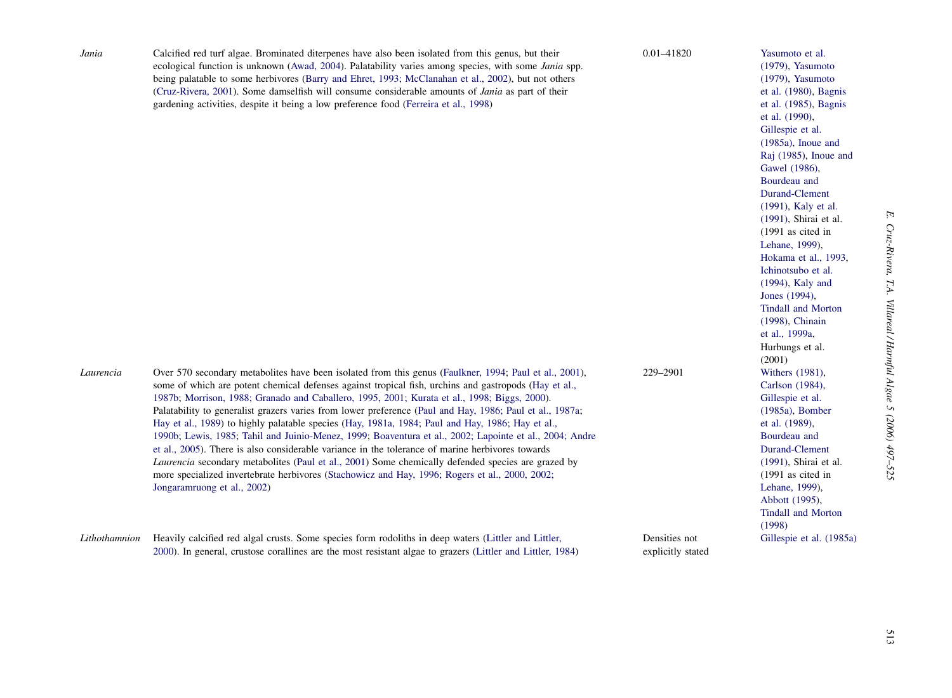| Jania         | Calcified red turf algae. Brominated diterpenes have also been isolated from this genus, but their<br>ecological function is unknown (Awad, 2004). Palatability varies among species, with some <i>Jania</i> spp.<br>being palatable to some herbivores (Barry and Ehret, 1993; McClanahan et al., 2002), but not others<br>(Cruz-Rivera, 2001). Some damselfish will consume considerable amounts of <i>Jania</i> as part of their<br>gardening activities, despite it being a low preference food (Ferreira et al., 1998)                                                                                                                                                                                                                                                                                                                                                                                                                                                                  | 0.01-41820                         | Yasumoto et al.<br>$(1979)$ , Yasumoto<br>$(1979)$ , Yasumoto<br>et al. (1980), Bagnis<br>et al. (1985), Bagnis<br>et al. (1990),<br>Gillespie et al.<br>$(1985a)$ , Inoue and<br>Raj (1985), Inoue and<br>Gawel (1986),<br>Bourdeau and<br>Durand-Clement<br>(1991), Kaly et al.<br>(1991), Shirai et al.<br>$(1991$ as cited in<br>Lehane, 1999),<br>Hokama et al., 1993,<br>Ichinotsubo et al.<br>$(1994)$ , Kaly and<br>Jones (1994),<br><b>Tindall and Morton</b><br>(1998), Chinain<br>et al., 1999a,<br>Hurbungs et al.<br>(2001) |
|---------------|----------------------------------------------------------------------------------------------------------------------------------------------------------------------------------------------------------------------------------------------------------------------------------------------------------------------------------------------------------------------------------------------------------------------------------------------------------------------------------------------------------------------------------------------------------------------------------------------------------------------------------------------------------------------------------------------------------------------------------------------------------------------------------------------------------------------------------------------------------------------------------------------------------------------------------------------------------------------------------------------|------------------------------------|------------------------------------------------------------------------------------------------------------------------------------------------------------------------------------------------------------------------------------------------------------------------------------------------------------------------------------------------------------------------------------------------------------------------------------------------------------------------------------------------------------------------------------------|
| Laurencia     | Over 570 secondary metabolites have been isolated from this genus (Faulkner, 1994; Paul et al., 2001),<br>some of which are potent chemical defenses against tropical fish, urchins and gastropods (Hay et al.,<br>1987b; Morrison, 1988; Granado and Caballero, 1995, 2001; Kurata et al., 1998; Biggs, 2000).<br>Palatability to generalist grazers varies from lower preference (Paul and Hay, 1986; Paul et al., 1987a;<br>Hay et al., 1989) to highly palatable species (Hay, 1981a, 1984; Paul and Hay, 1986; Hay et al.,<br>1990b; Lewis, 1985; Tahil and Juinio-Menez, 1999; Boaventura et al., 2002; Lapointe et al., 2004; Andre<br>et al., 2005). There is also considerable variance in the tolerance of marine herbivores towards<br><i>Laurencia</i> secondary metabolites (Paul et al., 2001) Some chemically defended species are grazed by<br>more specialized invertebrate herbivores (Stachowicz and Hay, 1996; Rogers et al., 2000, 2002;<br>Jongaramruong et al., 2002) | 229-2901                           | Withers (1981),<br>Carlson (1984),<br>Gillespie et al.<br>$(1985a)$ , Bomber<br>et al. (1989),<br>Bourdeau and<br>Durand-Clement<br>(1991), Shirai et al.<br>$(1991$ as cited in<br>Lehane, 1999),<br>Abbott (1995),<br><b>Tindall and Morton</b><br>(1998)                                                                                                                                                                                                                                                                              |
| Lithothamnion | Heavily calcified red algal crusts. Some species form rodoliths in deep waters (Littler and Littler,<br>2000). In general, crustose corallines are the most resistant algae to grazers (Littler and Littler, 1984)                                                                                                                                                                                                                                                                                                                                                                                                                                                                                                                                                                                                                                                                                                                                                                           | Densities not<br>explicitly stated | Gillespie et al. (1985a)                                                                                                                                                                                                                                                                                                                                                                                                                                                                                                                 |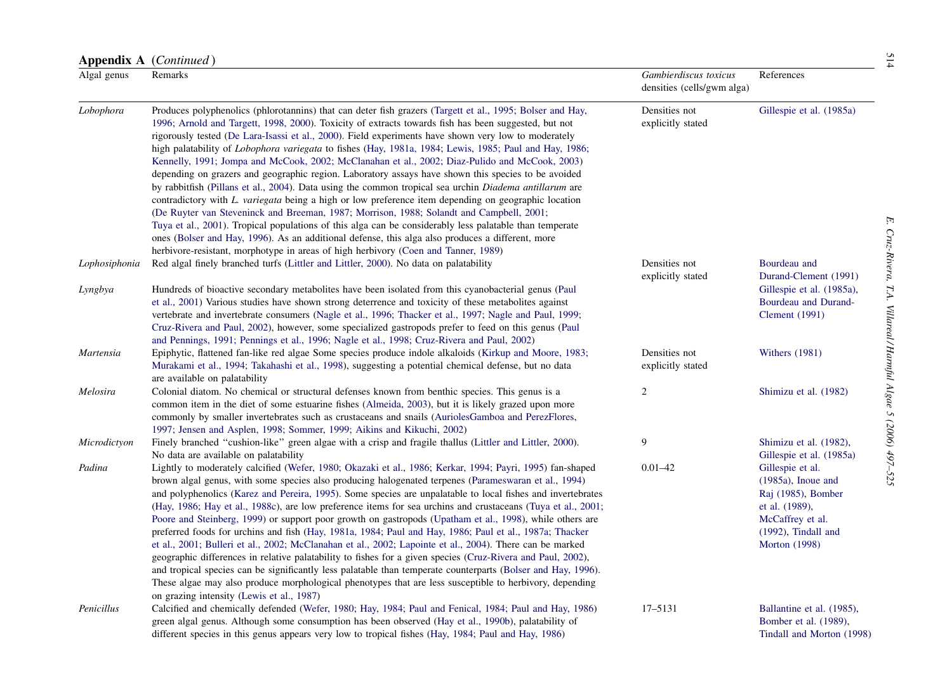|               | Appendix A (Continued)                                                                                                                                                                                                                                                                                                                                                                                                                                                                                                                                                                                                                                                                                                                                                                                                                                                                                                                                                                                                                                                                                                                                                                                                                                                 |                                                     |                                                                                                                                                         |
|---------------|------------------------------------------------------------------------------------------------------------------------------------------------------------------------------------------------------------------------------------------------------------------------------------------------------------------------------------------------------------------------------------------------------------------------------------------------------------------------------------------------------------------------------------------------------------------------------------------------------------------------------------------------------------------------------------------------------------------------------------------------------------------------------------------------------------------------------------------------------------------------------------------------------------------------------------------------------------------------------------------------------------------------------------------------------------------------------------------------------------------------------------------------------------------------------------------------------------------------------------------------------------------------|-----------------------------------------------------|---------------------------------------------------------------------------------------------------------------------------------------------------------|
| Algal genus   | Remarks                                                                                                                                                                                                                                                                                                                                                                                                                                                                                                                                                                                                                                                                                                                                                                                                                                                                                                                                                                                                                                                                                                                                                                                                                                                                | Gambierdiscus toxicus<br>densities (cells/gwm alga) | References                                                                                                                                              |
| Lobophora     | Produces polyphenolics (phlorotannins) that can deter fish grazers (Targett et al., 1995; Bolser and Hay,<br>1996; Arnold and Targett, 1998, 2000). Toxicity of extracts towards fish has been suggested, but not<br>rigorously tested (De Lara-Isassi et al., 2000). Field experiments have shown very low to moderately<br>high palatability of <i>Lobophora variegata</i> to fishes (Hay, 1981a, 1984; Lewis, 1985; Paul and Hay, 1986;<br>Kennelly, 1991; Jompa and McCook, 2002; McClanahan et al., 2002; Diaz-Pulido and McCook, 2003)<br>depending on grazers and geographic region. Laboratory assays have shown this species to be avoided<br>by rabbitfish (Pillans et al., 2004). Data using the common tropical sea urchin Diadema antillarum are<br>contradictory with L. variegata being a high or low preference item depending on geographic location<br>(De Ruyter van Steveninck and Breeman, 1987; Morrison, 1988; Solandt and Campbell, 2001;<br>Tuya et al., 2001). Tropical populations of this alga can be considerably less palatable than temperate<br>ones (Bolser and Hay, 1996). As an additional defense, this alga also produces a different, more<br>herbivore-resistant, morphotype in areas of high herbivory (Coen and Tanner, 1989) | Densities not<br>explicitly stated                  | Gillespie et al. (1985a)                                                                                                                                |
| Lophosiphonia | Red algal finely branched turfs (Littler and Littler, 2000). No data on palatability                                                                                                                                                                                                                                                                                                                                                                                                                                                                                                                                                                                                                                                                                                                                                                                                                                                                                                                                                                                                                                                                                                                                                                                   | Densities not<br>explicitly stated                  | Bourdeau and<br>Durand-Clement (1991)                                                                                                                   |
| Lyngbya       | Hundreds of bioactive secondary metabolites have been isolated from this cyanobacterial genus (Paul<br>et al., 2001) Various studies have shown strong deterrence and toxicity of these metabolites against<br>vertebrate and invertebrate consumers (Nagle et al., 1996; Thacker et al., 1997; Nagle and Paul, 1999;<br>Cruz-Rivera and Paul, 2002), however, some specialized gastropods prefer to feed on this genus (Paul<br>and Pennings, 1991; Pennings et al., 1996; Nagle et al., 1998; Cruz-Rivera and Paul, 2002)                                                                                                                                                                                                                                                                                                                                                                                                                                                                                                                                                                                                                                                                                                                                            |                                                     | Gillespie et al. (1985a),<br>Bourdeau and Durand-<br>Clement $(1991)$                                                                                   |
| Martensia     | Epiphytic, flattened fan-like red algae Some species produce indole alkaloids (Kirkup and Moore, 1983;<br>Murakami et al., 1994; Takahashi et al., 1998), suggesting a potential chemical defense, but no data<br>are available on palatability                                                                                                                                                                                                                                                                                                                                                                                                                                                                                                                                                                                                                                                                                                                                                                                                                                                                                                                                                                                                                        | Densities not<br>explicitly stated                  | Withers $(1981)$                                                                                                                                        |
| Melosira      | Colonial diatom. No chemical or structural defenses known from benthic species. This genus is a<br>common item in the diet of some estuarine fishes (Almeida, 2003), but it is likely grazed upon more<br>commonly by smaller invertebrates such as crustaceans and snails (AuriolesGamboa and PerezFlores,<br>1997; Jensen and Asplen, 1998; Sommer, 1999; Aikins and Kikuchi, 2002)                                                                                                                                                                                                                                                                                                                                                                                                                                                                                                                                                                                                                                                                                                                                                                                                                                                                                  | $\boldsymbol{2}$                                    | Shimizu et al. (1982)                                                                                                                                   |
| Microdictyon  | Finely branched "cushion-like" green algae with a crisp and fragile thallus (Littler and Littler, 2000).<br>No data are available on palatability                                                                                                                                                                                                                                                                                                                                                                                                                                                                                                                                                                                                                                                                                                                                                                                                                                                                                                                                                                                                                                                                                                                      | 9                                                   | Shimizu et al. (1982),<br>Gillespie et al. (1985a)                                                                                                      |
| Padina        | Lightly to moderately calcified (Wefer, 1980; Okazaki et al., 1986; Kerkar, 1994; Payri, 1995) fan-shaped<br>brown algal genus, with some species also producing halogenated terpenes (Parameswaran et al., 1994)<br>and polyphenolics (Karez and Pereira, 1995). Some species are unpalatable to local fishes and invertebrates<br>(Hay, 1986; Hay et al., 1988c), are low preference items for sea urchins and crustaceans (Tuya et al., 2001;<br>Poore and Steinberg, 1999) or support poor growth on gastropods (Upatham et al., 1998), while others are<br>preferred foods for urchins and fish (Hay, 1981a, 1984; Paul and Hay, 1986; Paul et al., 1987a; Thacker<br>et al., 2001; Bulleri et al., 2002; McClanahan et al., 2002; Lapointe et al., 2004). There can be marked<br>geographic differences in relative palatability to fishes for a given species (Cruz-Rivera and Paul, 2002),<br>and tropical species can be significantly less palatable than temperate counterparts (Bolser and Hay, 1996).<br>These algae may also produce morphological phenotypes that are less susceptible to herbivory, depending<br>on grazing intensity (Lewis et al., 1987)                                                                                             | $0.01 - 42$                                         | Gillespie et al.<br>$(1985a)$ , Inoue and<br>Raj (1985), Bomber<br>et al. (1989),<br>McCaffrey et al.<br>$(1992)$ , Tindall and<br><b>Morton</b> (1998) |
| Penicillus    | Calcified and chemically defended (Wefer, 1980; Hay, 1984; Paul and Fenical, 1984; Paul and Hay, 1986)<br>green algal genus. Although some consumption has been observed (Hay et al., 1990b), palatability of<br>different species in this genus appears very low to tropical fishes (Hay, 1984; Paul and Hay, 1986)                                                                                                                                                                                                                                                                                                                                                                                                                                                                                                                                                                                                                                                                                                                                                                                                                                                                                                                                                   | 17-5131                                             | Ballantine et al. (1985),<br>Bomber et al. (1989),<br>Tindall and Morton (1998)                                                                         |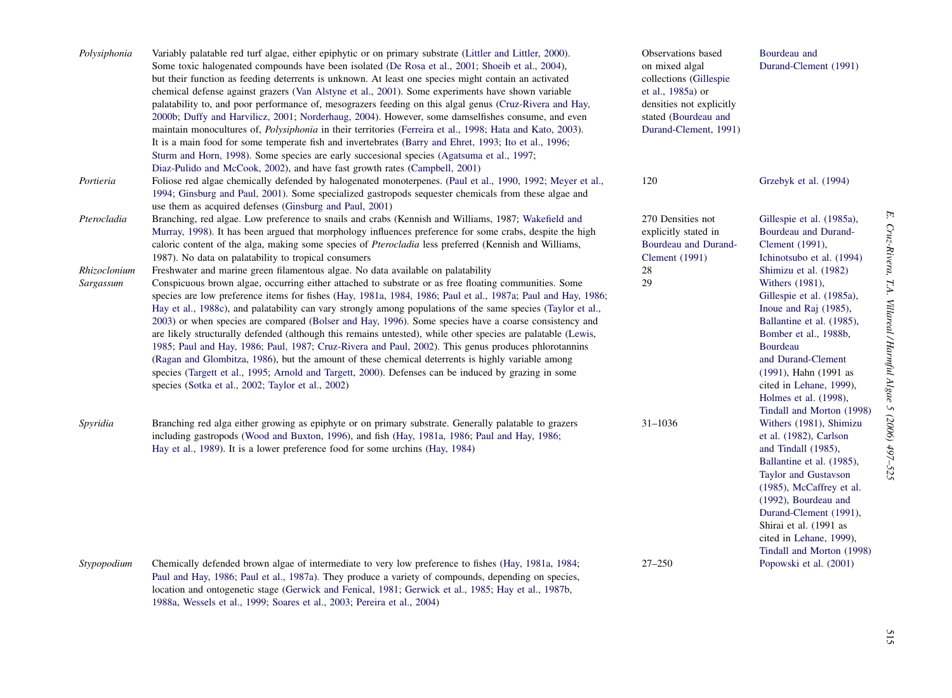| Polysiphonia              | Variably palatable red turf algae, either epiphytic or on primary substrate (Littler and Littler, 2000).<br>Some toxic halogenated compounds have been isolated (De Rosa et al., 2001; Shoeib et al., 2004),<br>but their function as feeding deterrents is unknown. At least one species might contain an activated<br>chemical defense against grazers (Van Alstyne et al., 2001). Some experiments have shown variable<br>palatability to, and poor performance of, mesograzers feeding on this algal genus (Cruz-Rivera and Hay,<br>2000b; Duffy and Harvilicz, 2001; Norderhaug, 2004). However, some damselfishes consume, and even<br>maintain monocultures of, <i>Polysiphonia</i> in their territories (Ferreira et al., 1998; Hata and Kato, 2003).<br>It is a main food for some temperate fish and invertebrates (Barry and Ehret, 1993; Ito et al., 1996;<br>Sturm and Horn, 1998). Some species are early succesional species (Agatsuma et al., 1997;<br>Diaz-Pulido and McCook, 2002), and have fast growth rates (Campbell, 2001) | Observations based<br>on mixed algal<br>collections (Gillespie<br>et al., 1985a) or<br>densities not explicitly<br>stated (Bourdeau and<br>Durand-Clement, 1991) | Bourdeau and<br>Durand-Clement (1991)                                                                                                                                                                                                                                                                   |
|---------------------------|---------------------------------------------------------------------------------------------------------------------------------------------------------------------------------------------------------------------------------------------------------------------------------------------------------------------------------------------------------------------------------------------------------------------------------------------------------------------------------------------------------------------------------------------------------------------------------------------------------------------------------------------------------------------------------------------------------------------------------------------------------------------------------------------------------------------------------------------------------------------------------------------------------------------------------------------------------------------------------------------------------------------------------------------------|------------------------------------------------------------------------------------------------------------------------------------------------------------------|---------------------------------------------------------------------------------------------------------------------------------------------------------------------------------------------------------------------------------------------------------------------------------------------------------|
| Portieria                 | Foliose red algae chemically defended by halogenated monoterpenes. (Paul et al., 1990, 1992; Meyer et al.,<br>1994; Ginsburg and Paul, 2001). Some specialized gastropods sequester chemicals from these algae and<br>use them as acquired defenses (Ginsburg and Paul, 2001)                                                                                                                                                                                                                                                                                                                                                                                                                                                                                                                                                                                                                                                                                                                                                                     | 120                                                                                                                                                              | Grzebyk et al. (1994)                                                                                                                                                                                                                                                                                   |
| Pterocladia               | Branching, red algae. Low preference to snails and crabs (Kennish and Williams, 1987; Wakefield and<br>Murray, 1998). It has been argued that morphology influences preference for some crabs, despite the high<br>caloric content of the alga, making some species of <i>Pterocladia</i> less preferred (Kennish and Williams,<br>1987). No data on palatability to tropical consumers                                                                                                                                                                                                                                                                                                                                                                                                                                                                                                                                                                                                                                                           | 270 Densities not<br>explicitly stated in<br>Bourdeau and Durand-<br>Clement $(1991)$                                                                            | Gillespie et al. (1985a),<br>Bourdeau and Durand-<br>Clement (1991),<br>Ichinotsubo et al. (1994)                                                                                                                                                                                                       |
| Rhizoclonium<br>Sargassum | Freshwater and marine green filamentous algae. No data available on palatability<br>Conspicuous brown algae, occurring either attached to substrate or as free floating communities. Some<br>species are low preference items for fishes (Hay, 1981a, 1984, 1986; Paul et al., 1987a; Paul and Hay, 1986;<br>Hay et al., 1988c), and palatability can vary strongly among populations of the same species (Taylor et al.,<br>2003) or when species are compared (Bolser and Hay, 1996). Some species have a coarse consistency and<br>are likely structurally defended (although this remains untested), while other species are palatable (Lewis,<br>1985; Paul and Hay, 1986; Paul, 1987; Cruz-Rivera and Paul, 2002). This genus produces phlorotannins<br>(Ragan and Glombitza, 1986), but the amount of these chemical deterrents is highly variable among<br>species (Targett et al., 1995; Arnold and Targett, 2000). Defenses can be induced by grazing in some<br>species (Sotka et al., 2002; Taylor et al., 2002)                      | 28<br>29                                                                                                                                                         | Shimizu et al. (1982)<br>Withers (1981),<br>Gillespie et al. (1985a),<br>Inoue and Raj (1985),<br>Ballantine et al. (1985),<br>Bomber et al., 1988b,<br>Bourdeau<br>and Durand-Clement<br>(1991), Hahn (1991 as<br>cited in Lehane, 1999),<br>Holmes et al. (1998),<br>Tindall and Morton (1998)        |
| Spyridia                  | Branching red alga either growing as epiphyte or on primary substrate. Generally palatable to grazers<br>including gastropods (Wood and Buxton, 1996), and fish (Hay, 1981a, 1986; Paul and Hay, 1986;<br>Hay et al., 1989). It is a lower preference food for some urchins (Hay, 1984)                                                                                                                                                                                                                                                                                                                                                                                                                                                                                                                                                                                                                                                                                                                                                           | $31 - 1036$                                                                                                                                                      | Withers (1981), Shimizu<br>et al. (1982), Carlson<br>and Tindall (1985).<br>Ballantine et al. (1985),<br><b>Taylor and Gustavson</b><br>$(1985)$ , McCaffrey et al.<br>(1992), Bourdeau and<br>Durand-Clement (1991),<br>Shirai et al. (1991 as<br>cited in Lehane, 1999),<br>Tindall and Morton (1998) |
| Stypopodium               | Chemically defended brown algae of intermediate to very low preference to fishes (Hay, 1981a, 1984;<br>Paul and Hay, 1986; Paul et al., 1987a). They produce a variety of compounds, depending on species,<br>location and ontogenetic stage (Gerwick and Fenical, 1981; Gerwick et al., 1985; Hay et al., 1987b,<br>1988a, Wessels et al., 1999; Soares et al., 2003; Pereira et al., 2004)                                                                                                                                                                                                                                                                                                                                                                                                                                                                                                                                                                                                                                                      | $27 - 250$                                                                                                                                                       | Popowski et al. (2001)                                                                                                                                                                                                                                                                                  |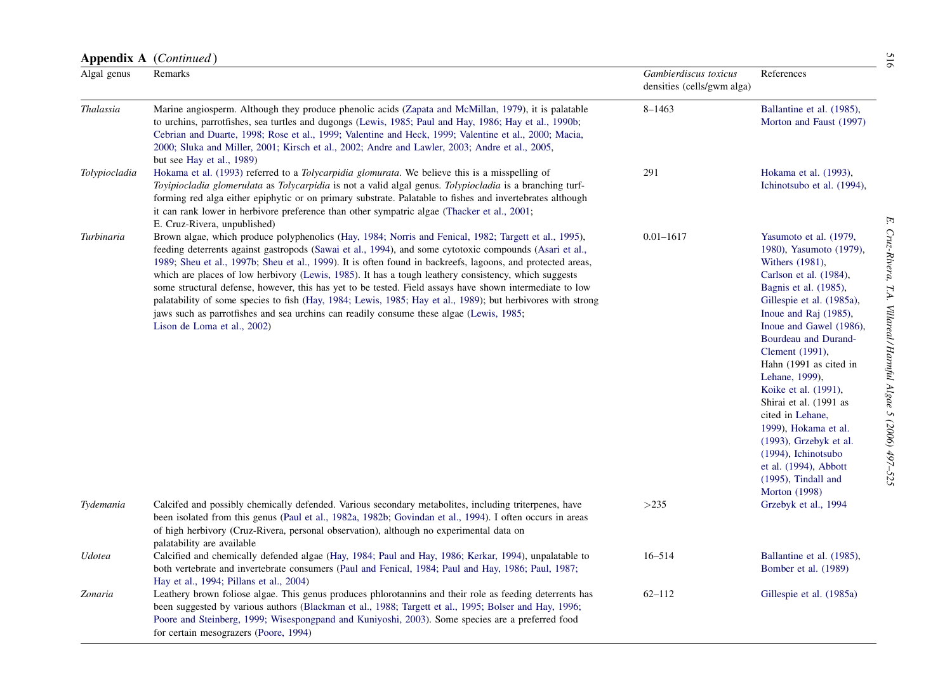|               | <b>Appendix A</b> ( <i>Continued</i> )                                                                                                                                                                                                                                                                                                                                                                                                                                                                                                                                                                                                                                                                                                                                                       |                                                     |                                                                                                                                                                                                                                                                                                                                                                                                                                                                                                                              | 516                                                                    |
|---------------|----------------------------------------------------------------------------------------------------------------------------------------------------------------------------------------------------------------------------------------------------------------------------------------------------------------------------------------------------------------------------------------------------------------------------------------------------------------------------------------------------------------------------------------------------------------------------------------------------------------------------------------------------------------------------------------------------------------------------------------------------------------------------------------------|-----------------------------------------------------|------------------------------------------------------------------------------------------------------------------------------------------------------------------------------------------------------------------------------------------------------------------------------------------------------------------------------------------------------------------------------------------------------------------------------------------------------------------------------------------------------------------------------|------------------------------------------------------------------------|
| Algal genus   | Remarks                                                                                                                                                                                                                                                                                                                                                                                                                                                                                                                                                                                                                                                                                                                                                                                      | Gambierdiscus toxicus<br>densities (cells/gwm alga) | References                                                                                                                                                                                                                                                                                                                                                                                                                                                                                                                   |                                                                        |
| Thalassia     | Marine angiosperm. Although they produce phenolic acids (Zapata and McMillan, 1979), it is palatable<br>to urchins, parrotfishes, sea turtles and dugongs (Lewis, 1985; Paul and Hay, 1986; Hay et al., 1990b;<br>Cebrian and Duarte, 1998; Rose et al., 1999; Valentine and Heck, 1999; Valentine et al., 2000; Macia,<br>2000; Sluka and Miller, 2001; Kirsch et al., 2002; Andre and Lawler, 2003; Andre et al., 2005,<br>but see Hay et al., 1989)                                                                                                                                                                                                                                                                                                                                       | $8 - 1463$                                          | Ballantine et al. (1985),<br>Morton and Faust (1997)                                                                                                                                                                                                                                                                                                                                                                                                                                                                         |                                                                        |
| Tolypiocladia | Hokama et al. (1993) referred to a <i>Tolycarpidia glomurata</i> . We believe this is a misspelling of<br>Toyipiocladia glomerulata as Tolycarpidia is not a valid algal genus. Tolypiocladia is a branching turf-<br>forming red alga either epiphytic or on primary substrate. Palatable to fishes and invertebrates although<br>it can rank lower in herbivore preference than other sympatric algae (Thacker et al., 2001;<br>E. Cruz-Rivera, unpublished)                                                                                                                                                                                                                                                                                                                               | 291                                                 | Hokama et al. (1993),<br>Ichinotsubo et al. (1994),                                                                                                                                                                                                                                                                                                                                                                                                                                                                          | F,                                                                     |
| Turbinaria    | Brown algae, which produce polyphenolics (Hay, 1984; Norris and Fenical, 1982; Targett et al., 1995),<br>feeding deterrents against gastropods (Sawai et al., 1994), and some cytotoxic compounds (Asari et al.,<br>1989; Sheu et al., 1997b; Sheu et al., 1999). It is often found in backreefs, lagoons, and protected areas,<br>which are places of low herbivory (Lewis, 1985). It has a tough leathery consistency, which suggests<br>some structural defense, however, this has yet to be tested. Field assays have shown intermediate to low<br>palatability of some species to fish (Hay, 1984; Lewis, 1985; Hay et al., 1989); but herbivores with strong<br>jaws such as parrotfishes and sea urchins can readily consume these algae (Lewis, 1985;<br>Lison de Loma et al., 2002) | $0.01 - 1617$                                       | Yasumoto et al. (1979,<br>1980), Yasumoto (1979),<br>Withers (1981),<br>Carlson et al. (1984),<br>Bagnis et al. (1985),<br>Gillespie et al. (1985a),<br>Inoue and Raj (1985),<br>Inoue and Gawel (1986),<br>Bourdeau and Durand-<br>Clement (1991),<br>Hahn (1991 as cited in<br>Lehane, 1999),<br>Koike et al. (1991),<br>Shirai et al. (1991 as<br>cited in Lehane,<br>1999), Hokama et al.<br>$(1993)$ , Grzebyk et al.<br>(1994), Ichinotsubo<br>et al. (1994), Abbott<br>$(1995)$ , Tindall and<br><b>Morton</b> (1998) | $Cniz-Rivera$<br>TA.<br>Villareal / Harnful Algae<br>$5(2006)$ 497-525 |
| Tydemania     | Calcifed and possibly chemically defended. Various secondary metabolites, including triterpenes, have<br>been isolated from this genus (Paul et al., 1982a, 1982b; Govindan et al., 1994). I often occurs in areas<br>of high herbivory (Cruz-Rivera, personal observation), although no experimental data on<br>palatability are available                                                                                                                                                                                                                                                                                                                                                                                                                                                  | >235                                                | Grzebyk et al., 1994                                                                                                                                                                                                                                                                                                                                                                                                                                                                                                         |                                                                        |
| Udotea        | Calcified and chemically defended algae (Hay, 1984; Paul and Hay, 1986; Kerkar, 1994), unpalatable to<br>both vertebrate and invertebrate consumers (Paul and Fenical, 1984; Paul and Hay, 1986; Paul, 1987;<br>Hay et al., 1994; Pillans et al., 2004)                                                                                                                                                                                                                                                                                                                                                                                                                                                                                                                                      | $16 - 514$                                          | Ballantine et al. (1985),<br>Bomber et al. (1989)                                                                                                                                                                                                                                                                                                                                                                                                                                                                            |                                                                        |
| Zonaria       | Leathery brown foliose algae. This genus produces phlorotannins and their role as feeding deterrents has<br>been suggested by various authors (Blackman et al., 1988; Targett et al., 1995; Bolser and Hay, 1996;<br>Poore and Steinberg, 1999; Wisespongpand and Kuniyoshi, 2003). Some species are a preferred food<br>for certain mesograzers (Poore, 1994)                                                                                                                                                                                                                                                                                                                                                                                                                               | $62 - 112$                                          | Gillespie et al. (1985a)                                                                                                                                                                                                                                                                                                                                                                                                                                                                                                     |                                                                        |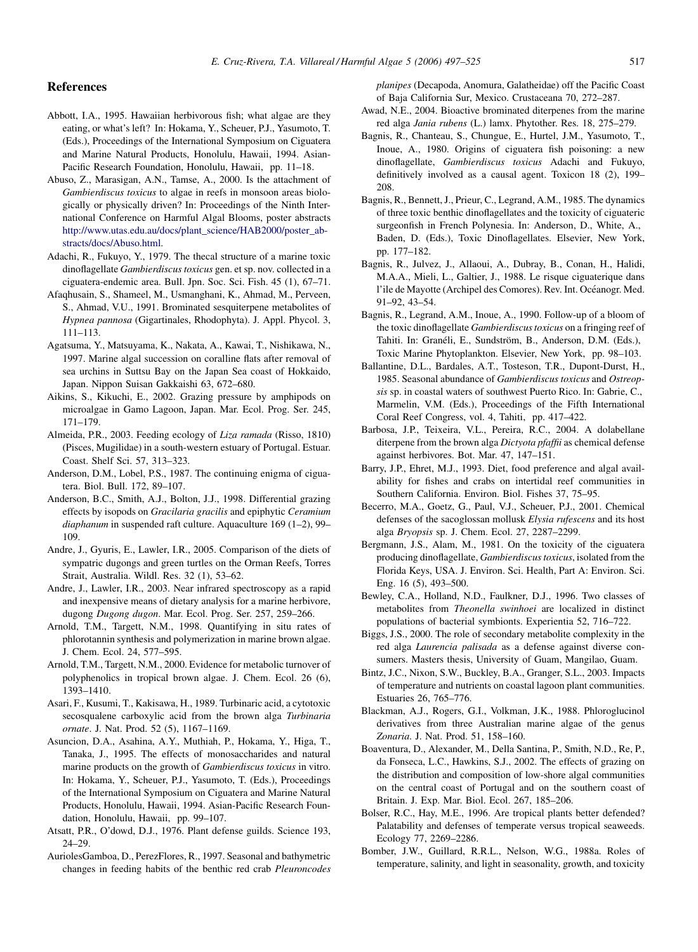## <span id="page-20-0"></span>References

- Abbott, I.A., 1995. Hawaiian herbivorous fish; what algae are they eating, or what's left? In: Hokama, Y., Scheuer, P.J., Yasumoto, T. (Eds.), Proceedings of the International Symposium on Ciguatera and Marine Natural Products, Honolulu, Hawaii, 1994. Asian-Pacific Research Foundation, Honolulu, Hawaii, pp. 11–18.
- Abuso, Z., Marasigan, A.N., Tamse, A., 2000. Is the attachment of Gambierdiscus toxicus to algae in reefs in monsoon areas biologically or physically driven? In: Proceedings of the Ninth International Conference on Harmful Algal Blooms, poster abstracts [http://www.utas.edu.au/docs/plant\\_science/HAB2000/poster\\_ab](http://www.utas.edu.au/docs/plant_science/HAB2000/poster_abstracts/docs/Abuso.html)[stracts/docs/Abuso.html](http://www.utas.edu.au/docs/plant_science/HAB2000/poster_abstracts/docs/Abuso.html).
- Adachi, R., Fukuyo, Y., 1979. The thecal structure of a marine toxic dinoflagellate Gambierdiscus toxicus gen. et sp. nov. collected in a ciguatera-endemic area. Bull. Jpn. Soc. Sci. Fish. 45 (1), 67–71.
- Afaqhusain, S., Shameel, M., Usmanghani, K., Ahmad, M., Perveen, S., Ahmad, V.U., 1991. Brominated sesquiterpene metabolites of Hypnea pannosa (Gigartinales, Rhodophyta). J. Appl. Phycol. 3, 111–113.
- Agatsuma, Y., Matsuyama, K., Nakata, A., Kawai, T., Nishikawa, N., 1997. Marine algal succession on coralline flats after removal of sea urchins in Suttsu Bay on the Japan Sea coast of Hokkaido, Japan. Nippon Suisan Gakkaishi 63, 672–680.
- Aikins, S., Kikuchi, E., 2002. Grazing pressure by amphipods on microalgae in Gamo Lagoon, Japan. Mar. Ecol. Prog. Ser. 245, 171–179.
- Almeida, P.R., 2003. Feeding ecology of Liza ramada (Risso, 1810) (Pisces, Mugilidae) in a south-western estuary of Portugal. Estuar. Coast. Shelf Sci. 57, 313–323.
- Anderson, D.M., Lobel, P.S., 1987. The continuing enigma of ciguatera. Biol. Bull. 172, 89–107.
- Anderson, B.C., Smith, A.J., Bolton, J.J., 1998. Differential grazing effects by isopods on Gracilaria gracilis and epiphytic Ceramium diaphanum in suspended raft culture. Aquaculture 169 (1–2), 99– 109.
- Andre, J., Gyuris, E., Lawler, I.R., 2005. Comparison of the diets of sympatric dugongs and green turtles on the Orman Reefs, Torres Strait, Australia. Wildl. Res. 32 (1), 53–62.
- Andre, J., Lawler, I.R., 2003. Near infrared spectroscopy as a rapid and inexpensive means of dietary analysis for a marine herbivore, dugong Dugong dugon. Mar. Ecol. Prog. Ser. 257, 259–266.
- Arnold, T.M., Targett, N.M., 1998. Quantifying in situ rates of phlorotannin synthesis and polymerization in marine brown algae. J. Chem. Ecol. 24, 577–595.
- Arnold, T.M., Targett, N.M., 2000. Evidence for metabolic turnover of polyphenolics in tropical brown algae. J. Chem. Ecol. 26 (6), 1393–1410.
- Asari, F., Kusumi, T., Kakisawa, H., 1989. Turbinaric acid, a cytotoxic secosqualene carboxylic acid from the brown alga Turbinaria ornate. J. Nat. Prod. 52 (5), 1167–1169.
- Asuncion, D.A., Asahina, A.Y., Muthiah, P., Hokama, Y., Higa, T., Tanaka, J., 1995. The effects of monosaccharides and natural marine products on the growth of Gambierdiscus toxicus in vitro. In: Hokama, Y., Scheuer, P.J., Yasumoto, T. (Eds.), Proceedings of the International Symposium on Ciguatera and Marine Natural Products, Honolulu, Hawaii, 1994. Asian-Pacific Research Foundation, Honolulu, Hawaii, pp. 99–107.
- Atsatt, P.R., O'dowd, D.J., 1976. Plant defense guilds. Science 193, 24–29.
- AuriolesGamboa, D., PerezFlores, R., 1997. Seasonal and bathymetric changes in feeding habits of the benthic red crab Pleuroncodes

planipes (Decapoda, Anomura, Galatheidae) off the Pacific Coast of Baja California Sur, Mexico. Crustaceana 70, 272–287.

- Awad, N.E., 2004. Bioactive brominated diterpenes from the marine red alga Jania rubens (L.) lamx. Phytother. Res. 18, 275–279.
- Bagnis, R., Chanteau, S., Chungue, E., Hurtel, J.M., Yasumoto, T., Inoue, A., 1980. Origins of ciguatera fish poisoning: a new dinoflagellate, Gambierdiscus toxicus Adachi and Fukuyo, definitively involved as a causal agent. Toxicon 18 (2), 199– 208.
- Bagnis, R., Bennett, J., Prieur, C., Legrand, A.M., 1985. The dynamics of three toxic benthic dinoflagellates and the toxicity of ciguateric surgeonfish in French Polynesia. In: Anderson, D., White, A., Baden, D. (Eds.), Toxic Dinoflagellates. Elsevier, New York, pp. 177–182.
- Bagnis, R., Julvez, J., Allaoui, A., Dubray, B., Conan, H., Halidi, M.A.A., Mieli, L., Galtier, J., 1988. Le risque ciguaterique dans l'ile de Mayotte (Archipel des Comores). Rev. Int. Océanogr. Med. 91–92, 43–54.
- Bagnis, R., Legrand, A.M., Inoue, A., 1990. Follow-up of a bloom of the toxic dinoflagellate Gambierdiscus toxicus on a fringing reef of Tahiti. In: Granéli, E., Sundström, B., Anderson, D.M. (Eds.), Toxic Marine Phytoplankton. Elsevier, New York, pp. 98–103.
- Ballantine, D.L., Bardales, A.T., Tosteson, T.R., Dupont-Durst, H., 1985. Seasonal abundance of Gambierdiscus toxicus and Ostreopsis sp. in coastal waters of southwest Puerto Rico. In: Gabrie, C., Marmelin, V.M. (Eds.), Proceedings of the Fifth International Coral Reef Congress, vol. 4, Tahiti, pp. 417–422.
- Barbosa, J.P., Teixeira, V.L., Pereira, R.C., 2004. A dolabellane diterpene from the brown alga *Dictyota pfaffii* as chemical defense against herbivores. Bot. Mar. 47, 147–151.
- Barry, J.P., Ehret, M.J., 1993. Diet, food preference and algal availability for fishes and crabs on intertidal reef communities in Southern California. Environ. Biol. Fishes 37, 75–95.
- Becerro, M.A., Goetz, G., Paul, V.J., Scheuer, P.J., 2001. Chemical defenses of the sacoglossan mollusk Elysia rufescens and its host alga Bryopsis sp. J. Chem. Ecol. 27, 2287–2299.
- Bergmann, J.S., Alam, M., 1981. On the toxicity of the ciguatera producing dinoflagellate, Gambierdiscus toxicus, isolated from the Florida Keys, USA. J. Environ. Sci. Health, Part A: Environ. Sci. Eng. 16 (5), 493–500.
- Bewley, C.A., Holland, N.D., Faulkner, D.J., 1996. Two classes of metabolites from Theonella swinhoei are localized in distinct populations of bacterial symbionts. Experientia 52, 716–722.
- Biggs, J.S., 2000. The role of secondary metabolite complexity in the red alga Laurencia palisada as a defense against diverse consumers. Masters thesis, University of Guam, Mangilao, Guam.
- Bintz, J.C., Nixon, S.W., Buckley, B.A., Granger, S.L., 2003. Impacts of temperature and nutrients on coastal lagoon plant communities. Estuaries 26, 765–776.
- Blackman, A.J., Rogers, G.I., Volkman, J.K., 1988. Phloroglucinol derivatives from three Australian marine algae of the genus Zonaria. J. Nat. Prod. 51, 158–160.
- Boaventura, D., Alexander, M., Della Santina, P., Smith, N.D., Re, P., da Fonseca, L.C., Hawkins, S.J., 2002. The effects of grazing on the distribution and composition of low-shore algal communities on the central coast of Portugal and on the southern coast of Britain. J. Exp. Mar. Biol. Ecol. 267, 185–206.
- Bolser, R.C., Hay, M.E., 1996. Are tropical plants better defended? Palatability and defenses of temperate versus tropical seaweeds. Ecology 77, 2269–2286.
- Bomber, J.W., Guillard, R.R.L., Nelson, W.G., 1988a. Roles of temperature, salinity, and light in seasonality, growth, and toxicity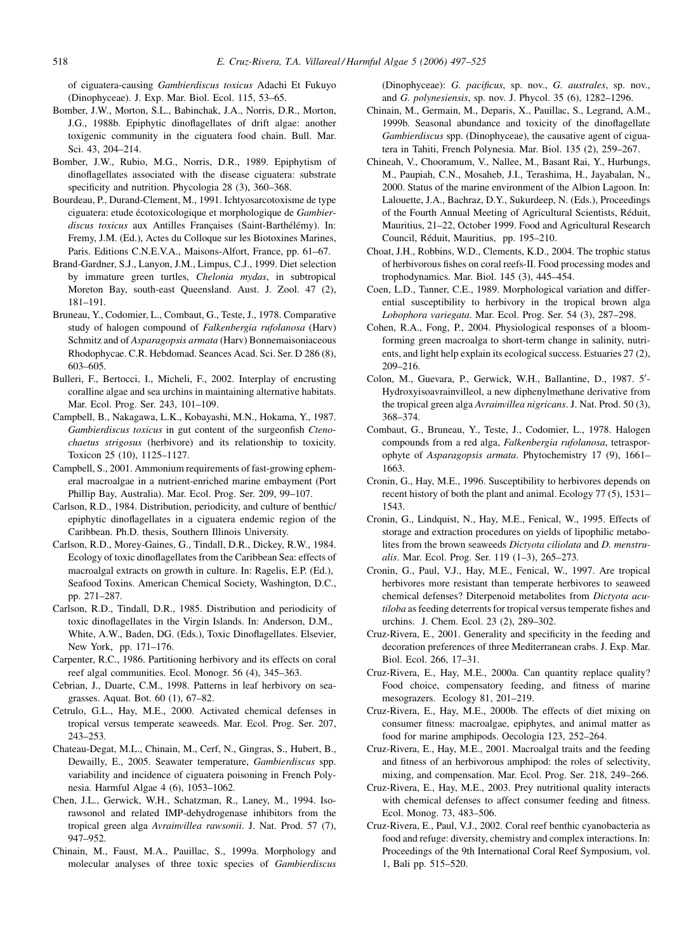<span id="page-21-0"></span>of ciguatera-causing Gambierdiscus toxicus Adachi Et Fukuyo (Dinophyceae). J. Exp. Mar. Biol. Ecol. 115, 53–65.

- Bomber, J.W., Morton, S.L., Babinchak, J.A., Norris, D.R., Morton, J.G., 1988b. Epiphytic dinoflagellates of drift algae: another toxigenic community in the ciguatera food chain. Bull. Mar. Sci. 43, 204–214.
- Bomber, J.W., Rubio, M.G., Norris, D.R., 1989. Epiphytism of dinoflagellates associated with the disease ciguatera: substrate specificity and nutrition. Phycologia 28 (3), 360–368.
- Bourdeau, P., Durand-Clement, M., 1991. Ichtyosarcotoxisme de type ciguatera: etude écotoxicologique et morphologique de Gambierdiscus toxicus aux Antilles Françaises (Saint-Barthélémy). In: Fremy, J.M. (Ed.), Actes du Colloque sur les Biotoxines Marines, Paris. Editions C.N.E.V.A., Maisons-Alfort, France, pp. 61–67.
- Brand-Gardner, S.J., Lanyon, J.M., Limpus, C.J., 1999. Diet selection by immature green turtles, Chelonia mydas, in subtropical Moreton Bay, south-east Queensland. Aust. J. Zool. 47 (2), 181–191.
- Bruneau, Y., Codomier, L., Combaut, G., Teste, J., 1978. Comparative study of halogen compound of Falkenbergia rufolanosa (Harv) Schmitz and of Asparagopsis armata (Harv) Bonnemaisoniaceous Rhodophycae. C.R. Hebdomad. Seances Acad. Sci. Ser. D 286 (8), 603–605.
- Bulleri, F., Bertocci, I., Micheli, F., 2002. Interplay of encrusting coralline algae and sea urchins in maintaining alternative habitats. Mar. Ecol. Prog. Ser. 243, 101–109.
- Campbell, B., Nakagawa, L.K., Kobayashi, M.N., Hokama, Y., 1987. Gambierdiscus toxicus in gut content of the surgeonfish Ctenochaetus strigosus (herbivore) and its relationship to toxicity. Toxicon 25 (10), 1125–1127.
- Campbell, S., 2001. Ammonium requirements of fast-growing ephemeral macroalgae in a nutrient-enriched marine embayment (Port Phillip Bay, Australia). Mar. Ecol. Prog. Ser. 209, 99–107.
- Carlson, R.D., 1984. Distribution, periodicity, and culture of benthic/ epiphytic dinoflagellates in a ciguatera endemic region of the Caribbean. Ph.D. thesis, Southern Illinois University.
- Carlson, R.D., Morey-Gaines, G., Tindall, D.R., Dickey, R.W., 1984. Ecology of toxic dinoflagellates from the Caribbean Sea: effects of macroalgal extracts on growth in culture. In: Ragelis, E.P. (Ed.), Seafood Toxins. American Chemical Society, Washington, D.C., pp. 271–287.
- Carlson, R.D., Tindall, D.R., 1985. Distribution and periodicity of toxic dinoflagellates in the Virgin Islands. In: Anderson, D.M., White, A.W., Baden, DG. (Eds.), Toxic Dinoflagellates. Elsevier, New York, pp. 171–176.
- Carpenter, R.C., 1986. Partitioning herbivory and its effects on coral reef algal communities. Ecol. Monogr. 56 (4), 345–363.
- Cebrian, J., Duarte, C.M., 1998. Patterns in leaf herbivory on seagrasses. Aquat. Bot. 60 (1), 67–82.
- Cetrulo, G.L., Hay, M.E., 2000. Activated chemical defenses in tropical versus temperate seaweeds. Mar. Ecol. Prog. Ser. 207, 243–253.
- Chateau-Degat, M.L., Chinain, M., Cerf, N., Gingras, S., Hubert, B., Dewailly, E., 2005. Seawater temperature, Gambierdiscus spp. variability and incidence of ciguatera poisoning in French Polynesia. Harmful Algae 4 (6), 1053–1062.
- Chen, J.L., Gerwick, W.H., Schatzman, R., Laney, M., 1994. Isorawsonol and related IMP-dehydrogenase inhibitors from the tropical green alga Avrainvillea rawsonii. J. Nat. Prod. 57 (7), 947–952.
- Chinain, M., Faust, M.A., Pauillac, S., 1999a. Morphology and molecular analyses of three toxic species of Gambierdiscus

(Dinophyceae): G. pacificus, sp. nov., G. australes, sp. nov., and G. polynesiensis, sp. nov. J. Phycol. 35 (6), 1282–1296.

- Chinain, M., Germain, M., Deparis, X., Pauillac, S., Legrand, A.M., 1999b. Seasonal abundance and toxicity of the dinoflagellate Gambierdiscus spp. (Dinophyceae), the causative agent of ciguatera in Tahiti, French Polynesia. Mar. Biol. 135 (2), 259–267.
- Chineah, V., Chooramum, V., Nallee, M., Basant Rai, Y., Hurbungs, M., Paupiah, C.N., Mosaheb, J.I., Terashima, H., Jayabalan, N., 2000. Status of the marine environment of the Albion Lagoon. In: Lalouette, J.A., Bachraz, D.Y., Sukurdeep, N. (Eds.), Proceedings of the Fourth Annual Meeting of Agricultural Scientists, Réduit, Mauritius, 21–22, October 1999. Food and Agricultural Research Council, Réduit, Mauritius, pp. 195-210.
- Choat, J.H., Robbins, W.D., Clements, K.D., 2004. The trophic status of herbivorous fishes on coral reefs-II. Food processing modes and trophodynamics. Mar. Biol. 145 (3), 445–454.
- Coen, L.D., Tanner, C.E., 1989. Morphological variation and differential susceptibility to herbivory in the tropical brown alga Lobophora variegata. Mar. Ecol. Prog. Ser. 54 (3), 287–298.
- Cohen, R.A., Fong, P., 2004. Physiological responses of a bloomforming green macroalga to short-term change in salinity, nutrients, and light help explain its ecological success. Estuaries 27 (2), 209–216.
- Colon, M., Guevara, P., Gerwick, W.H., Ballantine, D., 1987. 5'-Hydroxyisoavrainvilleol, a new diphenylmethane derivative from the tropical green alga Avrainvillea nigricans. J. Nat. Prod. 50 (3), 368–374.
- Combaut, G., Bruneau, Y., Teste, J., Codomier, L., 1978. Halogen compounds from a red alga, Falkenbergia rufolanosa, tetrasporophyte of Asparagopsis armata. Phytochemistry 17 (9), 1661– 1663.
- Cronin, G., Hay, M.E., 1996. Susceptibility to herbivores depends on recent history of both the plant and animal. Ecology 77 (5), 1531– 1543.
- Cronin, G., Lindquist, N., Hay, M.E., Fenical, W., 1995. Effects of storage and extraction procedures on yields of lipophilic metabolites from the brown seaweeds Dictyota ciliolata and D. menstrualis. Mar. Ecol. Prog. Ser. 119 (1–3), 265–273.
- Cronin, G., Paul, V.J., Hay, M.E., Fenical, W., 1997. Are tropical herbivores more resistant than temperate herbivores to seaweed chemical defenses? Diterpenoid metabolites from Dictyota acutiloba as feeding deterrents for tropical versus temperate fishes and urchins. J. Chem. Ecol. 23 (2), 289–302.
- Cruz-Rivera, E., 2001. Generality and specificity in the feeding and decoration preferences of three Mediterranean crabs. J. Exp. Mar. Biol. Ecol. 266, 17–31.
- Cruz-Rivera, E., Hay, M.E., 2000a. Can quantity replace quality? Food choice, compensatory feeding, and fitness of marine mesograzers. Ecology 81, 201–219.
- Cruz-Rivera, E., Hay, M.E., 2000b. The effects of diet mixing on consumer fitness: macroalgae, epiphytes, and animal matter as food for marine amphipods. Oecologia 123, 252–264.
- Cruz-Rivera, E., Hay, M.E., 2001. Macroalgal traits and the feeding and fitness of an herbivorous amphipod: the roles of selectivity, mixing, and compensation. Mar. Ecol. Prog. Ser. 218, 249–266.
- Cruz-Rivera, E., Hay, M.E., 2003. Prey nutritional quality interacts with chemical defenses to affect consumer feeding and fitness. Ecol. Monog. 73, 483–506.
- Cruz-Rivera, E., Paul, V.J., 2002. Coral reef benthic cyanobacteria as food and refuge: diversity, chemistry and complex interactions. In: Proceedings of the 9th International Coral Reef Symposium, vol. 1, Bali pp. 515–520.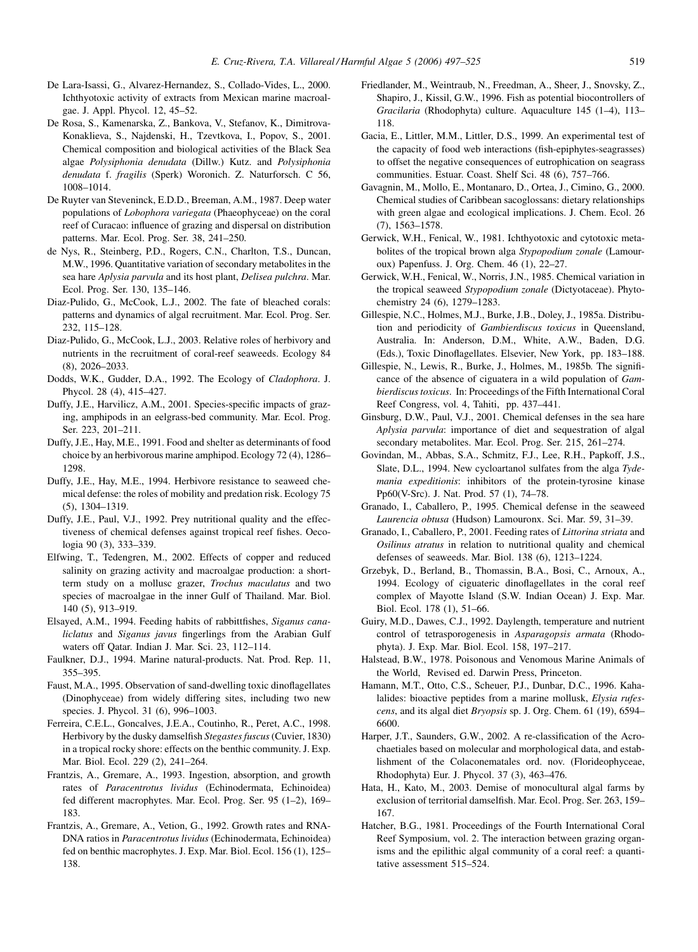- <span id="page-22-0"></span>De Lara-Isassi, G., Alvarez-Hernandez, S., Collado-Vides, L., 2000. Ichthyotoxic activity of extracts from Mexican marine macroalgae. J. Appl. Phycol. 12, 45–52.
- De Rosa, S., Kamenarska, Z., Bankova, V., Stefanov, K., Dimitrova-Konaklieva, S., Najdenski, H., Tzevtkova, I., Popov, S., 2001. Chemical composition and biological activities of the Black Sea algae Polysiphonia denudata (Dillw.) Kutz. and Polysiphonia denudata f. fragilis (Sperk) Woronich. Z. Naturforsch. C 56, 1008–1014.
- De Ruyter van Steveninck, E.D.D., Breeman, A.M., 1987. Deep water populations of Lobophora variegata (Phaeophyceae) on the coral reef of Curacao: influence of grazing and dispersal on distribution patterns. Mar. Ecol. Prog. Ser. 38, 241–250.
- de Nys, R., Steinberg, P.D., Rogers, C.N., Charlton, T.S., Duncan, M.W., 1996. Quantitative variation of secondary metabolites in the sea hare Aplysia parvula and its host plant, Delisea pulchra. Mar. Ecol. Prog. Ser. 130, 135–146.
- Diaz-Pulido, G., McCook, L.J., 2002. The fate of bleached corals: patterns and dynamics of algal recruitment. Mar. Ecol. Prog. Ser. 232, 115–128.
- Diaz-Pulido, G., McCook, L.J., 2003. Relative roles of herbivory and nutrients in the recruitment of coral-reef seaweeds. Ecology 84 (8), 2026–2033.
- Dodds, W.K., Gudder, D.A., 1992. The Ecology of Cladophora. J. Phycol. 28 (4), 415–427.
- Duffy, J.E., Harvilicz, A.M., 2001. Species-specific impacts of grazing, amphipods in an eelgrass-bed community. Mar. Ecol. Prog. Ser. 223, 201–211.
- Duffy, J.E., Hay, M.E., 1991. Food and shelter as determinants of food choice by an herbivorous marine amphipod. Ecology 72 (4), 1286– 1298.
- Duffy, J.E., Hay, M.E., 1994. Herbivore resistance to seaweed chemical defense: the roles of mobility and predation risk. Ecology 75 (5), 1304–1319.
- Duffy, J.E., Paul, V.J., 1992. Prey nutritional quality and the effectiveness of chemical defenses against tropical reef fishes. Oecologia 90 (3), 333–339.
- Elfwing, T., Tedengren, M., 2002. Effects of copper and reduced salinity on grazing activity and macroalgae production: a shortterm study on a mollusc grazer, Trochus maculatus and two species of macroalgae in the inner Gulf of Thailand. Mar. Biol. 140 (5), 913–919.
- Elsayed, A.M., 1994. Feeding habits of rabbittfishes, Siganus canaliclatus and Siganus javus fingerlings from the Arabian Gulf waters off Qatar. Indian J. Mar. Sci. 23, 112–114.
- Faulkner, D.J., 1994. Marine natural-products. Nat. Prod. Rep. 11, 355–395.
- Faust, M.A., 1995. Observation of sand-dwelling toxic dinoflagellates (Dinophyceae) from widely differing sites, including two new species. J. Phycol. 31 (6), 996-1003.
- Ferreira, C.E.L., Goncalves, J.E.A., Coutinho, R., Peret, A.C., 1998. Herbivory by the dusky damselfish Stegastes fuscus (Cuvier, 1830) in a tropical rocky shore: effects on the benthic community. J. Exp. Mar. Biol. Ecol. 229 (2), 241–264.
- Frantzis, A., Gremare, A., 1993. Ingestion, absorption, and growth rates of Paracentrotus lividus (Echinodermata, Echinoidea) fed different macrophytes. Mar. Ecol. Prog. Ser. 95 (1–2), 169– 183.
- Frantzis, A., Gremare, A., Vetion, G., 1992. Growth rates and RNA-DNA ratios in Paracentrotus lividus (Echinodermata, Echinoidea) fed on benthic macrophytes. J. Exp. Mar. Biol. Ecol. 156 (1), 125– 138.
- Friedlander, M., Weintraub, N., Freedman, A., Sheer, J., Snovsky, Z., Shapiro, J., Kissil, G.W., 1996. Fish as potential biocontrollers of Gracilaria (Rhodophyta) culture. Aquaculture 145 (1–4), 113– 118.
- Gacia, E., Littler, M.M., Littler, D.S., 1999. An experimental test of the capacity of food web interactions (fish-epiphytes-seagrasses) to offset the negative consequences of eutrophication on seagrass communities. Estuar. Coast. Shelf Sci. 48 (6), 757–766.
- Gavagnin, M., Mollo, E., Montanaro, D., Ortea, J., Cimino, G., 2000. Chemical studies of Caribbean sacoglossans: dietary relationships with green algae and ecological implications. J. Chem. Ecol. 26 (7), 1563–1578.
- Gerwick, W.H., Fenical, W., 1981. Ichthyotoxic and cytotoxic metabolites of the tropical brown alga Stypopodium zonale (Lamouroux) Papenfuss. J. Org. Chem. 46 (1), 22–27.
- Gerwick, W.H., Fenical, W., Norris, J.N., 1985. Chemical variation in the tropical seaweed Stypopodium zonale (Dictyotaceae). Phytochemistry 24 (6), 1279–1283.
- Gillespie, N.C., Holmes, M.J., Burke, J.B., Doley, J., 1985a. Distribution and periodicity of Gambierdiscus toxicus in Queensland, Australia. In: Anderson, D.M., White, A.W., Baden, D.G. (Eds.), Toxic Dinoflagellates. Elsevier, New York, pp. 183–188.
- Gillespie, N., Lewis, R., Burke, J., Holmes, M., 1985b. The significance of the absence of ciguatera in a wild population of Gambierdiscus toxicus. In: Proceedings of the Fifth International Coral Reef Congress, vol. 4, Tahiti, pp. 437–441.
- Ginsburg, D.W., Paul, V.J., 2001. Chemical defenses in the sea hare Aplysia parvula: importance of diet and sequestration of algal secondary metabolites. Mar. Ecol. Prog. Ser. 215, 261–274.
- Govindan, M., Abbas, S.A., Schmitz, F.J., Lee, R.H., Papkoff, J.S., Slate, D.L., 1994. New cycloartanol sulfates from the alga Tydemania expeditionis: inhibitors of the protein-tyrosine kinase Pp60(V-Src). J. Nat. Prod. 57 (1), 74–78.
- Granado, I., Caballero, P., 1995. Chemical defense in the seaweed Laurencia obtusa (Hudson) Lamouronx. Sci. Mar. 59, 31–39.
- Granado, I., Caballero, P., 2001. Feeding rates of Littorina striata and Osilinus atratus in relation to nutritional quality and chemical defenses of seaweeds. Mar. Biol. 138 (6), 1213–1224.
- Grzebyk, D., Berland, B., Thomassin, B.A., Bosi, C., Arnoux, A., 1994. Ecology of ciguateric dinoflagellates in the coral reef complex of Mayotte Island (S.W. Indian Ocean) J. Exp. Mar. Biol. Ecol. 178 (1), 51–66.
- Guiry, M.D., Dawes, C.J., 1992. Daylength, temperature and nutrient control of tetrasporogenesis in Asparagopsis armata (Rhodophyta). J. Exp. Mar. Biol. Ecol. 158, 197–217.
- Halstead, B.W., 1978. Poisonous and Venomous Marine Animals of the World, Revised ed. Darwin Press, Princeton.
- Hamann, M.T., Otto, C.S., Scheuer, P.J., Dunbar, D.C., 1996. Kahalalides: bioactive peptides from a marine mollusk, Elysia rufescens, and its algal diet Bryopsis sp. J. Org. Chem. 61 (19), 6594– 6600.
- Harper, J.T., Saunders, G.W., 2002. A re-classification of the Acrochaetiales based on molecular and morphological data, and establishment of the Colaconematales ord. nov. (Florideophyceae, Rhodophyta) Eur. J. Phycol. 37 (3), 463–476.
- Hata, H., Kato, M., 2003. Demise of monocultural algal farms by exclusion of territorial damselfish. Mar. Ecol. Prog. Ser. 263, 159– 167.
- Hatcher, B.G., 1981. Proceedings of the Fourth International Coral Reef Symposium, vol. 2. The interaction between grazing organisms and the epilithic algal community of a coral reef: a quantitative assessment 515–524.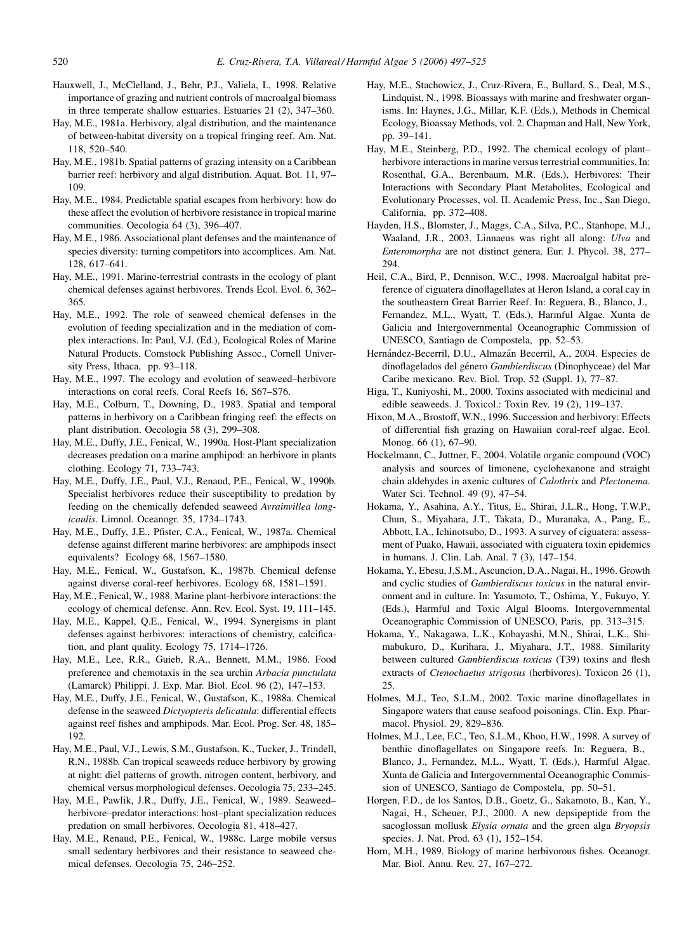- <span id="page-23-0"></span>Hauxwell, J., McClelland, J., Behr, P.J., Valiela, I., 1998. Relative importance of grazing and nutrient controls of macroalgal biomass in three temperate shallow estuaries. Estuaries 21 (2), 347–360.
- Hay, M.E., 1981a. Herbivory, algal distribution, and the maintenance of between-habitat diversity on a tropical fringing reef. Am. Nat. 118, 520–540.
- Hay, M.E., 1981b. Spatial patterns of grazing intensity on a Caribbean barrier reef: herbivory and algal distribution. Aquat. Bot. 11, 97– 109.
- Hay, M.E., 1984. Predictable spatial escapes from herbivory: how do these affect the evolution of herbivore resistance in tropical marine communities. Oecologia 64 (3), 396–407.
- Hay, M.E., 1986. Associational plant defenses and the maintenance of species diversity: turning competitors into accomplices. Am. Nat. 128, 617–641.
- Hay, M.E., 1991. Marine-terrestrial contrasts in the ecology of plant chemical defenses against herbivores. Trends Ecol. Evol. 6, 362– 365.
- Hay, M.E., 1992. The role of seaweed chemical defenses in the evolution of feeding specialization and in the mediation of complex interactions. In: Paul, V.J. (Ed.), Ecological Roles of Marine Natural Products. Comstock Publishing Assoc., Cornell University Press, Ithaca, pp. 93–118.
- Hay, M.E., 1997. The ecology and evolution of seaweed–herbivore interactions on coral reefs. Coral Reefs 16, S67–S76.
- Hay, M.E., Colburn, T., Downing, D., 1983. Spatial and temporal patterns in herbivory on a Caribbean fringing reef: the effects on plant distribution. Oecologia 58 (3), 299–308.
- Hay, M.E., Duffy, J.E., Fenical, W., 1990a. Host-Plant specialization decreases predation on a marine amphipod: an herbivore in plants clothing. Ecology 71, 733–743.
- Hay, M.E., Duffy, J.E., Paul, V.J., Renaud, P.E., Fenical, W., 1990b. Specialist herbivores reduce their susceptibility to predation by feeding on the chemically defended seaweed Avrainvillea longicaulis. Limnol. Oceanogr. 35, 1734–1743.
- Hay, M.E., Duffy, J.E., Pfister, C.A., Fenical, W., 1987a. Chemical defense against different marine herbivores: are amphipods insect equivalents? Ecology 68, 1567–1580.
- Hay, M.E., Fenical, W., Gustafson, K., 1987b. Chemical defense against diverse coral-reef herbivores. Ecology 68, 1581–1591.
- Hay, M.E., Fenical, W., 1988. Marine plant-herbivore interactions: the ecology of chemical defense. Ann. Rev. Ecol. Syst. 19, 111–145.
- Hay, M.E., Kappel, Q.E., Fenical, W., 1994. Synergisms in plant defenses against herbivores: interactions of chemistry, calcification, and plant quality. Ecology 75, 1714–1726.
- Hay, M.E., Lee, R.R., Guieb, R.A., Bennett, M.M., 1986. Food preference and chemotaxis in the sea urchin Arbacia punctulata (Lamarck) Philippi. J. Exp. Mar. Biol. Ecol. 96 (2), 147–153.
- Hay, M.E., Duffy, J.E., Fenical, W., Gustafson, K., 1988a. Chemical defense in the seaweed Dictyopteris delicatula: differential effects against reef fishes and amphipods. Mar. Ecol. Prog. Ser. 48, 185– 192.
- Hay, M.E., Paul, V.J., Lewis, S.M., Gustafson, K., Tucker, J., Trindell, R.N., 1988b. Can tropical seaweeds reduce herbivory by growing at night: diel patterns of growth, nitrogen content, herbivory, and chemical versus morphological defenses. Oecologia 75, 233–245.
- Hay, M.E., Pawlik, J.R., Duffy, J.E., Fenical, W., 1989. Seaweed– herbivore–predator interactions: host–plant specialization reduces predation on small herbivores. Oecologia 81, 418–427.
- Hay, M.E., Renaud, P.E., Fenical, W., 1988c. Large mobile versus small sedentary herbivores and their resistance to seaweed chemical defenses. Oecologia 75, 246–252.
- Hay, M.E., Stachowicz, J., Cruz-Rivera, E., Bullard, S., Deal, M.S., Lindquist, N., 1998. Bioassays with marine and freshwater organisms. In: Haynes, J.G., Millar, K.F. (Eds.), Methods in Chemical Ecology, Bioassay Methods, vol. 2. Chapman and Hall, New York, pp. 39–141.
- Hay, M.E., Steinberg, P.D., 1992. The chemical ecology of plant– herbivore interactions in marine versus terrestrial communities. In: Rosenthal, G.A., Berenbaum, M.R. (Eds.), Herbivores: Their Interactions with Secondary Plant Metabolites, Ecological and Evolutionary Processes, vol. II. Academic Press, Inc., San Diego, California, pp. 372–408.
- Hayden, H.S., Blomster, J., Maggs, C.A., Silva, P.C., Stanhope, M.J., Waaland, J.R., 2003. Linnaeus was right all along: Ulva and Enteromorpha are not distinct genera. Eur. J. Phycol. 38, 277– 294.
- Heil, C.A., Bird, P., Dennison, W.C., 1998. Macroalgal habitat preference of ciguatera dinoflagellates at Heron Island, a coral cay in the southeastern Great Barrier Reef. In: Reguera, B., Blanco, J., Fernandez, M.L., Wyatt, T. (Eds.), Harmful Algae. Xunta de Galicia and Intergovernmental Oceanographic Commission of UNESCO, Santiago de Compostela, pp. 52–53.
- Hernández-Becerril, D.U., Almazán Becerril, A., 2004. Especies de dinoflagelados del género Gambierdiscus (Dinophyceae) del Mar Caribe mexicano. Rev. Biol. Trop. 52 (Suppl. 1), 77–87.
- Higa, T., Kuniyoshi, M., 2000. Toxins associated with medicinal and edible seaweeds. J. Toxicol.: Toxin Rev. 19 (2), 119–137.
- Hixon, M.A., Brostoff, W.N., 1996. Succession and herbivory: Effects of differential fish grazing on Hawaiian coral-reef algae. Ecol. Monog. 66 (1), 67–90.
- Hockelmann, C., Juttner, F., 2004. Volatile organic compound (VOC) analysis and sources of limonene, cyclohexanone and straight chain aldehydes in axenic cultures of Calothrix and Plectonema. Water Sci. Technol. 49 (9), 47–54.
- Hokama, Y., Asahina, A.Y., Titus, E., Shirai, J.L.R., Hong, T.W.P., Chun, S., Miyahara, J.T., Takata, D., Muranaka, A., Pang, E., Abbott, I.A., Ichinotsubo, D., 1993. A survey of ciguatera: assessment of Puako, Hawaii, associated with ciguatera toxin epidemics in humans. J. Clin. Lab. Anal. 7 (3), 147–154.
- Hokama, Y., Ebesu, J.S.M., Ascuncion, D.A., Nagai, H., 1996. Growth and cyclic studies of Gambierdiscus toxicus in the natural environment and in culture. In: Yasumoto, T., Oshima, Y., Fukuyo, Y. (Eds.), Harmful and Toxic Algal Blooms. Intergovernmental Oceanographic Commission of UNESCO, Paris, pp. 313–315.
- Hokama, Y., Nakagawa, L.K., Kobayashi, M.N., Shirai, L.K., Shimabukuro, D., Kurihara, J., Miyahara, J.T., 1988. Similarity between cultured Gambierdiscus toxicus (T39) toxins and flesh extracts of *Ctenochaetus strigosus* (herbivores). Toxicon 26 (1), 25.
- Holmes, M.J., Teo, S.L.M., 2002. Toxic marine dinoflagellates in Singapore waters that cause seafood poisonings. Clin. Exp. Pharmacol. Physiol. 29, 829–836.
- Holmes, M.J., Lee, F.C., Teo, S.L.M., Khoo, H.W., 1998. A survey of benthic dinoflagellates on Singapore reefs. In: Reguera, B., Blanco, J., Fernandez, M.L., Wyatt, T. (Eds.), Harmful Algae. Xunta de Galicia and Intergovernmental Oceanographic Commission of UNESCO, Santiago de Compostela, pp. 50–51.
- Horgen, F.D., de los Santos, D.B., Goetz, G., Sakamoto, B., Kan, Y., Nagai, H., Scheuer, P.J., 2000. A new depsipeptide from the sacoglossan mollusk Elysia ornata and the green alga Bryopsis species. J. Nat. Prod. 63 (1), 152–154.
- Horn, M.H., 1989. Biology of marine herbivorous fishes. Oceanogr. Mar. Biol. Annu. Rev. 27, 167–272.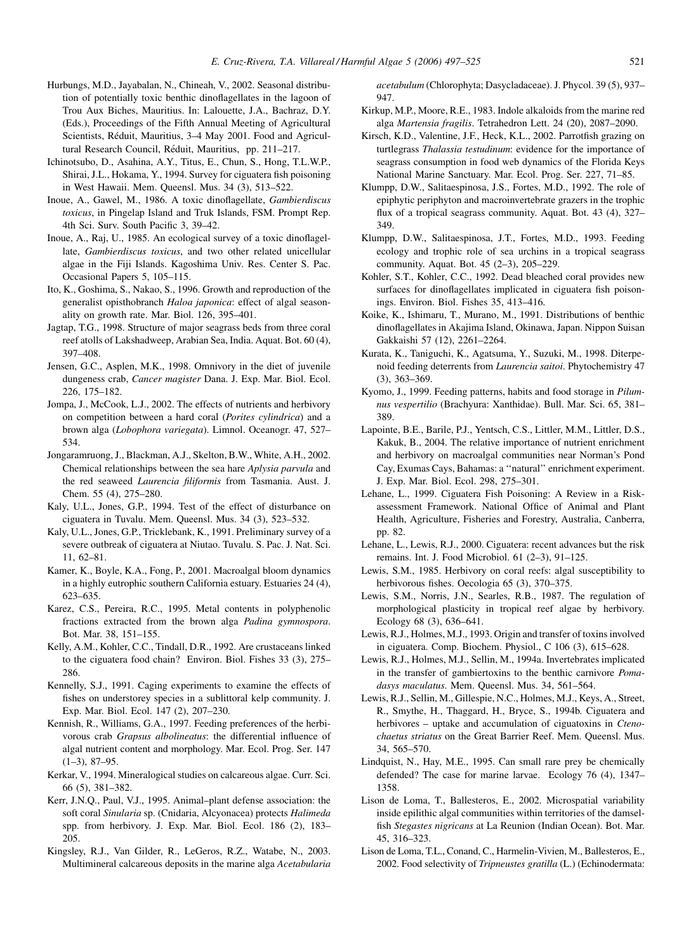- <span id="page-24-0"></span>Hurbungs, M.D., Jayabalan, N., Chineah, V., 2002. Seasonal distribution of potentially toxic benthic dinoflagellates in the lagoon of Trou Aux Biches, Mauritius. In: Lalouette, J.A., Bachraz, D.Y. (Eds.), Proceedings of the Fifth Annual Meeting of Agricultural Scientists, Réduit, Mauritius, 3–4 May 2001. Food and Agricultural Research Council, Réduit, Mauritius, pp. 211-217.
- Ichinotsubo, D., Asahina, A.Y., Titus, E., Chun, S., Hong, T.L.W.P., Shirai, J.L., Hokama, Y., 1994. Survey for ciguatera fish poisoning in West Hawaii. Mem. Queensl. Mus. 34 (3), 513–522.
- Inoue, A., Gawel, M., 1986. A toxic dinoflagellate, Gambierdiscus toxicus, in Pingelap Island and Truk Islands, FSM. Prompt Rep. 4th Sci. Surv. South Pacific 3, 39–42.
- Inoue, A., Raj, U., 1985. An ecological survey of a toxic dinoflagellate, Gambierdiscus toxicus, and two other related unicellular algae in the Fiji Islands. Kagoshima Univ. Res. Center S. Pac. Occasional Papers 5, 105–115.
- Ito, K., Goshima, S., Nakao, S., 1996. Growth and reproduction of the generalist opisthobranch Haloa japonica: effect of algal seasonality on growth rate. Mar. Biol. 126, 395–401.
- Jagtap, T.G., 1998. Structure of major seagrass beds from three coral reef atolls of Lakshadweep, Arabian Sea, India. Aquat. Bot. 60 (4), 397–408.
- Jensen, G.C., Asplen, M.K., 1998. Omnivory in the diet of juvenile dungeness crab, Cancer magister Dana. J. Exp. Mar. Biol. Ecol. 226, 175–182.
- Jompa, J., McCook, L.J., 2002. The effects of nutrients and herbivory on competition between a hard coral (Porites cylindrica) and a brown alga (Lobophora variegata). Limnol. Oceanogr. 47, 527– 534.
- Jongaramruong, J., Blackman, A.J., Skelton, B.W., White, A.H., 2002. Chemical relationships between the sea hare Aplysia parvula and the red seaweed Laurencia filiformis from Tasmania. Aust. J. Chem. 55 (4), 275–280.
- Kaly, U.L., Jones, G.P., 1994. Test of the effect of disturbance on ciguatera in Tuvalu. Mem. Queensl. Mus. 34 (3), 523–532.
- Kaly, U.L., Jones, G.P., Tricklebank, K., 1991. Preliminary survey of a severe outbreak of ciguatera at Niutao. Tuvalu. S. Pac. J. Nat. Sci. 11, 62–81.
- Kamer, K., Boyle, K.A., Fong, P., 2001. Macroalgal bloom dynamics in a highly eutrophic southern California estuary. Estuaries 24 (4), 623–635.
- Karez, C.S., Pereira, R.C., 1995. Metal contents in polyphenolic fractions extracted from the brown alga Padina gymnospora. Bot. Mar. 38, 151–155.
- Kelly, A.M., Kohler, C.C., Tindall, D.R., 1992. Are crustaceans linked to the ciguatera food chain? Environ. Biol. Fishes 33 (3), 275– 286.
- Kennelly, S.J., 1991. Caging experiments to examine the effects of fishes on understorey species in a sublittoral kelp community. J. Exp. Mar. Biol. Ecol. 147 (2), 207–230.
- Kennish, R., Williams, G.A., 1997. Feeding preferences of the herbivorous crab Grapsus albolineatus: the differential influence of algal nutrient content and morphology. Mar. Ecol. Prog. Ser. 147  $(1-3)$ , 87-95.
- Kerkar, V., 1994. Mineralogical studies on calcareous algae. Curr. Sci. 66 (5), 381–382.
- Kerr, J.N.Q., Paul, V.J., 1995. Animal–plant defense association: the soft coral Sinularia sp. (Cnidaria, Alcyonacea) protects Halimeda spp. from herbivory. J. Exp. Mar. Biol. Ecol. 186 (2), 183– 205.
- Kingsley, R.J., Van Gilder, R., LeGeros, R.Z., Watabe, N., 2003. Multimineral calcareous deposits in the marine alga Acetabularia

acetabulum (Chlorophyta; Dasycladaceae). J. Phycol. 39 (5), 937– 947.

- Kirkup, M.P., Moore, R.E., 1983. Indole alkaloids from the marine red alga Martensia fragilis. Tetrahedron Lett. 24 (20), 2087–2090.
- Kirsch, K.D., Valentine, J.F., Heck, K.L., 2002. Parrotfish grazing on turtlegrass Thalassia testudinum: evidence for the importance of seagrass consumption in food web dynamics of the Florida Keys National Marine Sanctuary. Mar. Ecol. Prog. Ser. 227, 71–85.
- Klumpp, D.W., Salitaespinosa, J.S., Fortes, M.D., 1992. The role of epiphytic periphyton and macroinvertebrate grazers in the trophic flux of a tropical seagrass community. Aquat. Bot. 43 (4), 327– 349.
- Klumpp, D.W., Salitaespinosa, J.T., Fortes, M.D., 1993. Feeding ecology and trophic role of sea urchins in a tropical seagrass community. Aquat. Bot. 45 (2–3), 205–229.
- Kohler, S.T., Kohler, C.C., 1992. Dead bleached coral provides new surfaces for dinoflagellates implicated in ciguatera fish poisonings. Environ. Biol. Fishes 35, 413–416.
- Koike, K., Ishimaru, T., Murano, M., 1991. Distributions of benthic dinoflagellates in Akajima Island, Okinawa, Japan. Nippon Suisan Gakkaishi 57 (12), 2261–2264.
- Kurata, K., Taniguchi, K., Agatsuma, Y., Suzuki, M., 1998. Diterpenoid feeding deterrents from Laurencia saitoi. Phytochemistry 47 (3), 363–369.
- Kyomo, J., 1999. Feeding patterns, habits and food storage in Pilumnus vespertilio (Brachyura: Xanthidae). Bull. Mar. Sci. 65, 381– 389.
- Lapointe, B.E., Barile, P.J., Yentsch, C.S., Littler, M.M., Littler, D.S., Kakuk, B., 2004. The relative importance of nutrient enrichment and herbivory on macroalgal communities near Norman's Pond Cay, Exumas Cays, Bahamas: a ''natural'' enrichment experiment. J. Exp. Mar. Biol. Ecol. 298, 275–301.
- Lehane, L., 1999. Ciguatera Fish Poisoning: A Review in a Riskassessment Framework. National Office of Animal and Plant Health, Agriculture, Fisheries and Forestry, Australia, Canberra, pp. 82.
- Lehane, L., Lewis, R.J., 2000. Ciguatera: recent advances but the risk remains. Int. J. Food Microbiol. 61 (2–3), 91–125.
- Lewis, S.M., 1985. Herbivory on coral reefs: algal susceptibility to herbivorous fishes. Oecologia 65 (3), 370–375.
- Lewis, S.M., Norris, J.N., Searles, R.B., 1987. The regulation of morphological plasticity in tropical reef algae by herbivory. Ecology 68 (3), 636–641.
- Lewis, R.J., Holmes, M.J., 1993. Origin and transfer of toxins involved in ciguatera. Comp. Biochem. Physiol., C 106 (3), 615–628.
- Lewis, R.J., Holmes, M.J., Sellin, M., 1994a. Invertebrates implicated in the transfer of gambiertoxins to the benthic carnivore Pomadasys maculatus. Mem. Queensl. Mus. 34, 561-564.
- Lewis, R.J., Sellin, M., Gillespie, N.C., Holmes, M.J., Keys, A., Street, R., Smythe, H., Thaggard, H., Bryce, S., 1994b. Ciguatera and herbivores – uptake and accumulation of ciguatoxins in *Cteno*chaetus striatus on the Great Barrier Reef. Mem. Queensl. Mus. 34, 565–570.
- Lindquist, N., Hay, M.E., 1995. Can small rare prey be chemically defended? The case for marine larvae. Ecology 76 (4), 1347– 1358.
- Lison de Loma, T., Ballesteros, E., 2002. Microspatial variability inside epilithic algal communities within territories of the damselfish Stegastes nigricans at La Reunion (Indian Ocean). Bot. Mar. 45, 316–323.
- Lison de Loma, T.L., Conand, C., Harmelin-Vivien, M., Ballesteros, E., 2002. Food selectivity of Tripneustes gratilla (L.) (Echinodermata: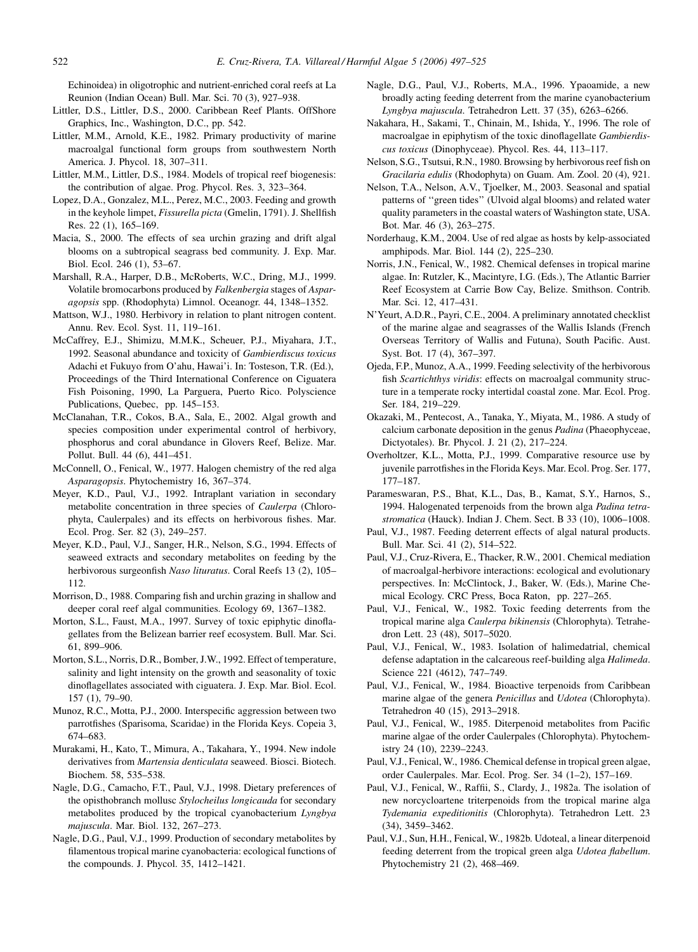<span id="page-25-0"></span>Echinoidea) in oligotrophic and nutrient-enriched coral reefs at La Reunion (Indian Ocean) Bull. Mar. Sci. 70 (3), 927–938.

- Littler, D.S., Littler, D.S., 2000. Caribbean Reef Plants. OffShore Graphics, Inc., Washington, D.C., pp. 542.
- Littler, M.M., Arnold, K.E., 1982. Primary productivity of marine macroalgal functional form groups from southwestern North America. J. Phycol. 18, 307–311.
- Littler, M.M., Littler, D.S., 1984. Models of tropical reef biogenesis: the contribution of algae. Prog. Phycol. Res. 3, 323–364.
- Lopez, D.A., Gonzalez, M.L., Perez, M.C., 2003. Feeding and growth in the keyhole limpet, Fissurella picta (Gmelin, 1791). J. Shellfish Res. 22 (1), 165–169.
- Macia, S., 2000. The effects of sea urchin grazing and drift algal blooms on a subtropical seagrass bed community. J. Exp. Mar. Biol. Ecol. 246 (1), 53–67.
- Marshall, R.A., Harper, D.B., McRoberts, W.C., Dring, M.J., 1999. Volatile bromocarbons produced by Falkenbergia stages of Asparagopsis spp. (Rhodophyta) Limnol. Oceanogr. 44, 1348–1352.
- Mattson, W.J., 1980. Herbivory in relation to plant nitrogen content. Annu. Rev. Ecol. Syst. 11, 119–161.
- McCaffrey, E.J., Shimizu, M.M.K., Scheuer, P.J., Miyahara, J.T., 1992. Seasonal abundance and toxicity of Gambierdiscus toxicus Adachi et Fukuyo from O'ahu, Hawai'i. In: Tosteson, T.R. (Ed.), Proceedings of the Third International Conference on Ciguatera Fish Poisoning, 1990, La Parguera, Puerto Rico. Polyscience Publications, Quebec, pp. 145–153.
- McClanahan, T.R., Cokos, B.A., Sala, E., 2002. Algal growth and species composition under experimental control of herbivory, phosphorus and coral abundance in Glovers Reef, Belize. Mar. Pollut. Bull. 44 (6), 441–451.
- McConnell, O., Fenical, W., 1977. Halogen chemistry of the red alga Asparagopsis. Phytochemistry 16, 367–374.
- Meyer, K.D., Paul, V.J., 1992. Intraplant variation in secondary metabolite concentration in three species of Caulerpa (Chlorophyta, Caulerpales) and its effects on herbivorous fishes. Mar. Ecol. Prog. Ser. 82 (3), 249–257.
- Meyer, K.D., Paul, V.J., Sanger, H.R., Nelson, S.G., 1994. Effects of seaweed extracts and secondary metabolites on feeding by the herbivorous surgeonfish Naso lituratus. Coral Reefs 13 (2), 105– 112.
- Morrison, D., 1988. Comparing fish and urchin grazing in shallow and deeper coral reef algal communities. Ecology 69, 1367–1382.
- Morton, S.L., Faust, M.A., 1997. Survey of toxic epiphytic dinoflagellates from the Belizean barrier reef ecosystem. Bull. Mar. Sci. 61, 899–906.
- Morton, S.L., Norris, D.R., Bomber, J.W., 1992. Effect of temperature, salinity and light intensity on the growth and seasonality of toxic dinoflagellates associated with ciguatera. J. Exp. Mar. Biol. Ecol. 157 (1), 79–90.
- Munoz, R.C., Motta, P.J., 2000. Interspecific aggression between two parrotfishes (Sparisoma, Scaridae) in the Florida Keys. Copeia 3, 674–683.
- Murakami, H., Kato, T., Mimura, A., Takahara, Y., 1994. New indole derivatives from Martensia denticulata seaweed. Biosci. Biotech. Biochem. 58, 535–538.
- Nagle, D.G., Camacho, F.T., Paul, V.J., 1998. Dietary preferences of the opisthobranch mollusc Stylocheilus longicauda for secondary metabolites produced by the tropical cyanobacterium Lyngbya majuscula. Mar. Biol. 132, 267–273.
- Nagle, D.G., Paul, V.J., 1999. Production of secondary metabolites by filamentous tropical marine cyanobacteria: ecological functions of the compounds. J. Phycol. 35, 1412–1421.
- Nagle, D.G., Paul, V.J., Roberts, M.A., 1996. Ypaoamide, a new broadly acting feeding deterrent from the marine cyanobacterium Lyngbya majuscula. Tetrahedron Lett. 37 (35), 6263–6266.
- Nakahara, H., Sakami, T., Chinain, M., Ishida, Y., 1996. The role of macroalgae in epiphytism of the toxic dinoflagellate Gambierdiscus toxicus (Dinophyceae). Phycol. Res. 44, 113–117.
- Nelson, S.G., Tsutsui, R.N., 1980. Browsing by herbivorous reef fish on Gracilaria edulis (Rhodophyta) on Guam. Am. Zool. 20 (4), 921.
- Nelson, T.A., Nelson, A.V., Tjoelker, M., 2003. Seasonal and spatial patterns of ''green tides'' (Ulvoid algal blooms) and related water quality parameters in the coastal waters of Washington state, USA. Bot. Mar. 46 (3), 263–275.
- Norderhaug, K.M., 2004. Use of red algae as hosts by kelp-associated amphipods. Mar. Biol. 144 (2), 225–230.
- Norris, J.N., Fenical, W., 1982. Chemical defenses in tropical marine algae. In: Rutzler, K., Macintyre, I.G. (Eds.), The Atlantic Barrier Reef Ecosystem at Carrie Bow Cay, Belize. Smithson. Contrib. Mar. Sci. 12, 417–431.
- N'Yeurt, A.D.R., Payri, C.E., 2004. A preliminary annotated checklist of the marine algae and seagrasses of the Wallis Islands (French Overseas Territory of Wallis and Futuna), South Pacific. Aust. Syst. Bot. 17 (4), 367–397.
- Ojeda, F.P., Munoz, A.A., 1999. Feeding selectivity of the herbivorous fish Scartichthys viridis: effects on macroalgal community structure in a temperate rocky intertidal coastal zone. Mar. Ecol. Prog. Ser. 184, 219–229.
- Okazaki, M., Pentecost, A., Tanaka, Y., Miyata, M., 1986. A study of calcium carbonate deposition in the genus Padina (Phaeophyceae, Dictyotales). Br. Phycol. J. 21 (2), 217–224.
- Overholtzer, K.L., Motta, P.J., 1999. Comparative resource use by juvenile parrotfishes in the Florida Keys. Mar. Ecol. Prog. Ser. 177, 177–187.
- Parameswaran, P.S., Bhat, K.L., Das, B., Kamat, S.Y., Harnos, S., 1994. Halogenated terpenoids from the brown alga Padina tetrastromatica (Hauck). Indian J. Chem. Sect. B 33 (10), 1006–1008.
- Paul, V.J., 1987. Feeding deterrent effects of algal natural products. Bull. Mar. Sci. 41 (2), 514–522.
- Paul, V.J., Cruz-Rivera, E., Thacker, R.W., 2001. Chemical mediation of macroalgal-herbivore interactions: ecological and evolutionary perspectives. In: McClintock, J., Baker, W. (Eds.), Marine Chemical Ecology. CRC Press, Boca Raton, pp. 227–265.
- Paul, V.J., Fenical, W., 1982. Toxic feeding deterrents from the tropical marine alga Caulerpa bikinensis (Chlorophyta). Tetrahedron Lett. 23 (48), 5017–5020.
- Paul, V.J., Fenical, W., 1983. Isolation of halimedatrial, chemical defense adaptation in the calcareous reef-building alga Halimeda. Science 221 (4612), 747–749.
- Paul, V.J., Fenical, W., 1984. Bioactive terpenoids from Caribbean marine algae of the genera Penicillus and Udotea (Chlorophyta). Tetrahedron 40 (15), 2913–2918.
- Paul, V.J., Fenical, W., 1985. Diterpenoid metabolites from Pacific marine algae of the order Caulerpales (Chlorophyta). Phytochemistry 24 (10), 2239–2243.
- Paul, V.J., Fenical, W., 1986. Chemical defense in tropical green algae, order Caulerpales. Mar. Ecol. Prog. Ser. 34 (1–2), 157–169.
- Paul, V.J., Fenical, W., Raffii, S., Clardy, J., 1982a. The isolation of new norcycloartene triterpenoids from the tropical marine alga Tydemania expeditionitis (Chlorophyta). Tetrahedron Lett. 23 (34), 3459–3462.
- Paul, V.J., Sun, H.H., Fenical, W., 1982b. Udoteal, a linear diterpenoid feeding deterrent from the tropical green alga Udotea flabellum. Phytochemistry 21 (2), 468–469.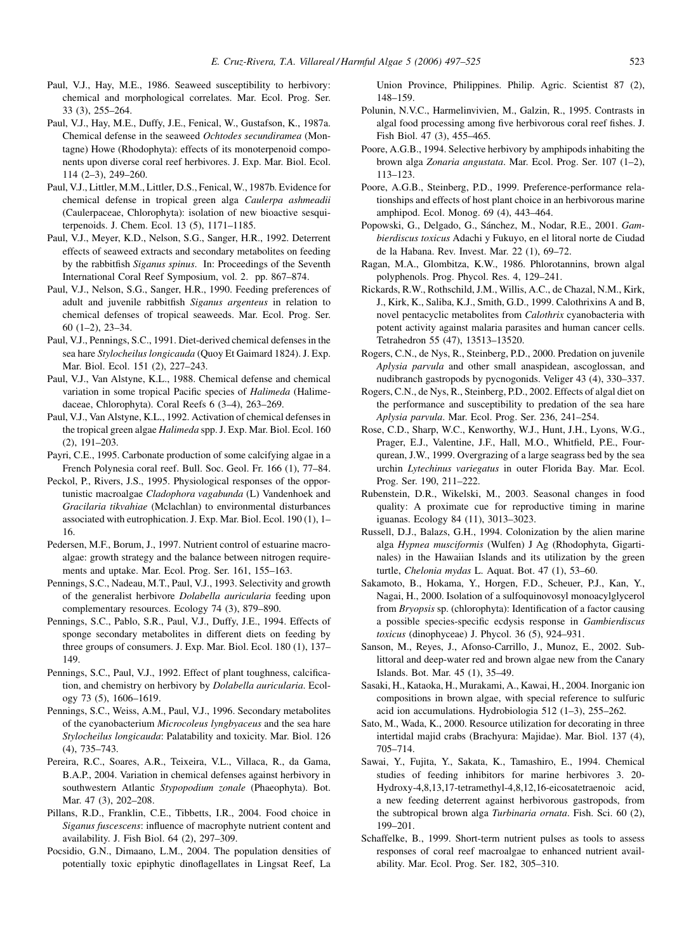- <span id="page-26-0"></span>Paul, V.J., Hay, M.E., 1986. Seaweed susceptibility to herbivory: chemical and morphological correlates. Mar. Ecol. Prog. Ser. 33 (3), 255–264.
- Paul, V.J., Hay, M.E., Duffy, J.E., Fenical, W., Gustafson, K., 1987a. Chemical defense in the seaweed Ochtodes secundiramea (Montagne) Howe (Rhodophyta): effects of its monoterpenoid components upon diverse coral reef herbivores. J. Exp. Mar. Biol. Ecol. 114 (2–3), 249–260.
- Paul, V.J., Littler, M.M., Littler, D.S., Fenical, W., 1987b. Evidence for chemical defense in tropical green alga Caulerpa ashmeadii (Caulerpaceae, Chlorophyta): isolation of new bioactive sesquiterpenoids. J. Chem. Ecol. 13 (5), 1171–1185.
- Paul, V.J., Meyer, K.D., Nelson, S.G., Sanger, H.R., 1992. Deterrent effects of seaweed extracts and secondary metabolites on feeding by the rabbitfish Siganus spinus. In: Proceedings of the Seventh International Coral Reef Symposium, vol. 2. pp. 867–874.
- Paul, V.J., Nelson, S.G., Sanger, H.R., 1990. Feeding preferences of adult and juvenile rabbitfish Siganus argenteus in relation to chemical defenses of tropical seaweeds. Mar. Ecol. Prog. Ser. 60 (1–2), 23–34.
- Paul, V.J., Pennings, S.C., 1991. Diet-derived chemical defenses in the sea hare Stylocheilus longicauda (Quoy Et Gaimard 1824). J. Exp. Mar. Biol. Ecol. 151 (2), 227–243.
- Paul, V.J., Van Alstyne, K.L., 1988. Chemical defense and chemical variation in some tropical Pacific species of Halimeda (Halimedaceae, Chlorophyta). Coral Reefs 6 (3–4), 263–269.
- Paul, V.J., Van Alstyne, K.L., 1992. Activation of chemical defenses in the tropical green algae Halimeda spp. J. Exp. Mar. Biol. Ecol. 160 (2), 191–203.
- Payri, C.E., 1995. Carbonate production of some calcifying algae in a French Polynesia coral reef. Bull. Soc. Geol. Fr. 166 (1), 77–84.
- Peckol, P., Rivers, J.S., 1995. Physiological responses of the opportunistic macroalgae Cladophora vagabunda (L) Vandenhoek and Gracilaria tikvahiae (Mclachlan) to environmental disturbances associated with eutrophication. J. Exp. Mar. Biol. Ecol. 190 (1), 1– 16.
- Pedersen, M.F., Borum, J., 1997. Nutrient control of estuarine macroalgae: growth strategy and the balance between nitrogen requirements and uptake. Mar. Ecol. Prog. Ser. 161, 155–163.
- Pennings, S.C., Nadeau, M.T., Paul, V.J., 1993. Selectivity and growth of the generalist herbivore Dolabella auricularia feeding upon complementary resources. Ecology 74 (3), 879–890.
- Pennings, S.C., Pablo, S.R., Paul, V.J., Duffy, J.E., 1994. Effects of sponge secondary metabolites in different diets on feeding by three groups of consumers. J. Exp. Mar. Biol. Ecol. 180 (1), 137– 149.
- Pennings, S.C., Paul, V.J., 1992. Effect of plant toughness, calcification, and chemistry on herbivory by Dolabella auricularia. Ecology 73 (5), 1606–1619.
- Pennings, S.C., Weiss, A.M., Paul, V.J., 1996. Secondary metabolites of the cyanobacterium Microcoleus lyngbyaceus and the sea hare Stylocheilus longicauda: Palatability and toxicity. Mar. Biol. 126 (4), 735–743.
- Pereira, R.C., Soares, A.R., Teixeira, V.L., Villaca, R., da Gama, B.A.P., 2004. Variation in chemical defenses against herbivory in southwestern Atlantic Stypopodium zonale (Phaeophyta). Bot. Mar. 47 (3), 202–208.
- Pillans, R.D., Franklin, C.E., Tibbetts, I.R., 2004. Food choice in Siganus fuscescens: influence of macrophyte nutrient content and availability. J. Fish Biol. 64 (2), 297–309.
- Pocsidio, G.N., Dimaano, L.M., 2004. The population densities of potentially toxic epiphytic dinoflagellates in Lingsat Reef, La

Union Province, Philippines. Philip. Agric. Scientist 87 (2), 148–159.

- Polunin, N.V.C., Harmelinvivien, M., Galzin, R., 1995. Contrasts in algal food processing among five herbivorous coral reef fishes. J. Fish Biol. 47 (3), 455–465.
- Poore, A.G.B., 1994. Selective herbivory by amphipods inhabiting the brown alga Zonaria angustata. Mar. Ecol. Prog. Ser. 107 (1–2), 113–123.
- Poore, A.G.B., Steinberg, P.D., 1999. Preference-performance relationships and effects of host plant choice in an herbivorous marine amphipod. Ecol. Monog. 69 (4), 443–464.
- Popowski, G., Delgado, G., Sánchez, M., Nodar, R.E., 2001. Gambierdiscus toxicus Adachi y Fukuyo, en el litoral norte de Ciudad de la Habana. Rev. Invest. Mar. 22 (1), 69–72.
- Ragan, M.A., Glombitza, K.W., 1986. Phlorotannins, brown algal polyphenols. Prog. Phycol. Res. 4, 129–241.
- Rickards, R.W., Rothschild, J.M., Willis, A.C., de Chazal, N.M., Kirk, J., Kirk, K., Saliba, K.J., Smith, G.D., 1999. Calothrixins A and B, novel pentacyclic metabolites from *Calothrix* cyanobacteria with potent activity against malaria parasites and human cancer cells. Tetrahedron 55 (47), 13513–13520.
- Rogers, C.N., de Nys, R., Steinberg, P.D., 2000. Predation on juvenile Aplysia parvula and other small anaspidean, ascoglossan, and nudibranch gastropods by pycnogonids. Veliger 43 (4), 330–337.
- Rogers, C.N., de Nys, R., Steinberg, P.D., 2002. Effects of algal diet on the performance and susceptibility to predation of the sea hare Aplysia parvula. Mar. Ecol. Prog. Ser. 236, 241–254.
- Rose, C.D., Sharp, W.C., Kenworthy, W.J., Hunt, J.H., Lyons, W.G., Prager, E.J., Valentine, J.F., Hall, M.O., Whitfield, P.E., Fourqurean, J.W., 1999. Overgrazing of a large seagrass bed by the sea urchin Lytechinus variegatus in outer Florida Bay. Mar. Ecol. Prog. Ser. 190, 211–222.
- Rubenstein, D.R., Wikelski, M., 2003. Seasonal changes in food quality: A proximate cue for reproductive timing in marine iguanas. Ecology 84 (11), 3013–3023.
- Russell, D.J., Balazs, G.H., 1994. Colonization by the alien marine alga Hypnea musciformis (Wulfen) J Ag (Rhodophyta, Gigartinales) in the Hawaiian Islands and its utilization by the green turtle, Chelonia mydas L. Aquat. Bot. 47 (1), 53-60.
- Sakamoto, B., Hokama, Y., Horgen, F.D., Scheuer, P.J., Kan, Y., Nagai, H., 2000. Isolation of a sulfoquinovosyl monoacylglycerol from Bryopsis sp. (chlorophyta): Identification of a factor causing a possible species-specific ecdysis response in Gambierdiscus toxicus (dinophyceae) J. Phycol. 36 (5), 924–931.
- Sanson, M., Reyes, J., Afonso-Carrillo, J., Munoz, E., 2002. Sublittoral and deep-water red and brown algae new from the Canary Islands. Bot. Mar. 45 (1), 35–49.
- Sasaki, H., Kataoka, H., Murakami, A., Kawai, H., 2004. Inorganic ion compositions in brown algae, with special reference to sulfuric acid ion accumulations. Hydrobiologia 512 (1–3), 255–262.
- Sato, M., Wada, K., 2000. Resource utilization for decorating in three intertidal majid crabs (Brachyura: Majidae). Mar. Biol. 137 (4), 705–714.
- Sawai, Y., Fujita, Y., Sakata, K., Tamashiro, E., 1994. Chemical studies of feeding inhibitors for marine herbivores 3. 20- Hydroxy-4,8,13,17-tetramethyl-4,8,12,16-eicosatetraenoic acid, a new feeding deterrent against herbivorous gastropods, from the subtropical brown alga Turbinaria ornata. Fish. Sci. 60 (2), 199–201.
- Schaffelke, B., 1999. Short-term nutrient pulses as tools to assess responses of coral reef macroalgae to enhanced nutrient availability. Mar. Ecol. Prog. Ser. 182, 305–310.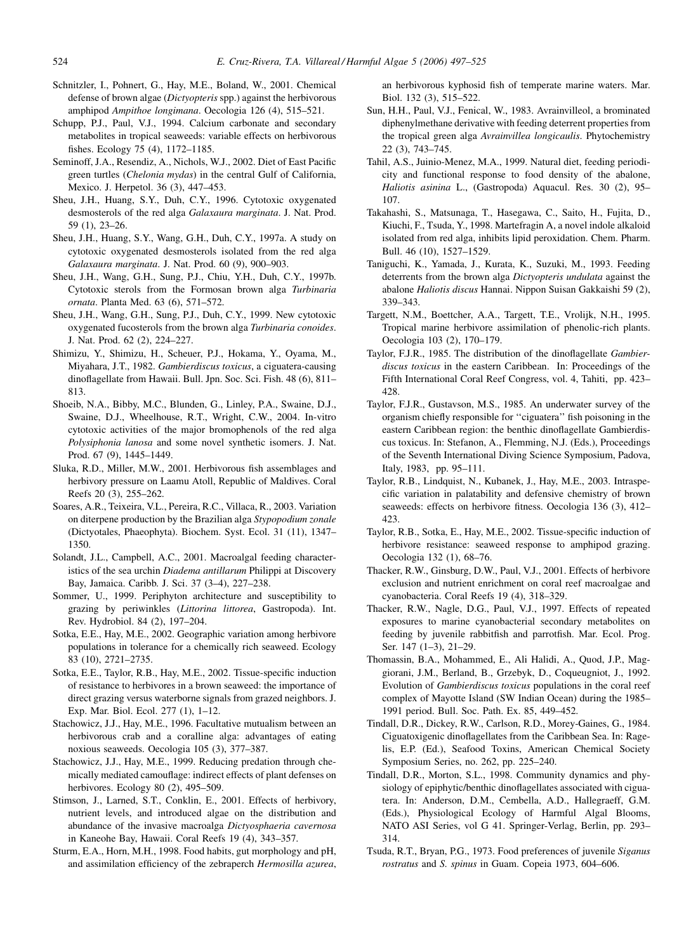- <span id="page-27-0"></span>Schnitzler, I., Pohnert, G., Hay, M.E., Boland, W., 2001. Chemical defense of brown algae (Dictyopteris spp.) against the herbivorous amphipod Ampithoe longimana. Oecologia 126 (4), 515–521.
- Schupp, P.J., Paul, V.J., 1994. Calcium carbonate and secondary metabolites in tropical seaweeds: variable effects on herbivorous fishes. Ecology 75 (4), 1172–1185.
- Seminoff, J.A., Resendiz, A., Nichols, W.J., 2002. Diet of East Pacific green turtles (Chelonia mydas) in the central Gulf of California, Mexico. J. Herpetol. 36 (3), 447–453.
- Sheu, J.H., Huang, S.Y., Duh, C.Y., 1996. Cytotoxic oxygenated desmosterols of the red alga Galaxaura marginata. J. Nat. Prod. 59 (1), 23–26.
- Sheu, J.H., Huang, S.Y., Wang, G.H., Duh, C.Y., 1997a. A study on cytotoxic oxygenated desmosterols isolated from the red alga Galaxaura marginata. J. Nat. Prod. 60 (9), 900–903.
- Sheu, J.H., Wang, G.H., Sung, P.J., Chiu, Y.H., Duh, C.Y., 1997b. Cytotoxic sterols from the Formosan brown alga Turbinaria ornata. Planta Med. 63 (6), 571–572.
- Sheu, J.H., Wang, G.H., Sung, P.J., Duh, C.Y., 1999. New cytotoxic oxygenated fucosterols from the brown alga Turbinaria conoides. J. Nat. Prod. 62 (2), 224–227.
- Shimizu, Y., Shimizu, H., Scheuer, P.J., Hokama, Y., Oyama, M., Miyahara, J.T., 1982. Gambierdiscus toxicus, a ciguatera-causing dinoflagellate from Hawaii. Bull. Jpn. Soc. Sci. Fish. 48 (6), 811– 813.
- Shoeib, N.A., Bibby, M.C., Blunden, G., Linley, P.A., Swaine, D.J., Swaine, D.J., Wheelhouse, R.T., Wright, C.W., 2004. In-vitro cytotoxic activities of the major bromophenols of the red alga Polysiphonia lanosa and some novel synthetic isomers. J. Nat. Prod. 67 (9), 1445–1449.
- Sluka, R.D., Miller, M.W., 2001. Herbivorous fish assemblages and herbivory pressure on Laamu Atoll, Republic of Maldives. Coral Reefs 20 (3), 255–262.
- Soares, A.R., Teixeira, V.L., Pereira, R.C., Villaca, R., 2003. Variation on diterpene production by the Brazilian alga Stypopodium zonale (Dictyotales, Phaeophyta). Biochem. Syst. Ecol. 31 (11), 1347– 1350.
- Solandt, J.L., Campbell, A.C., 2001. Macroalgal feeding characteristics of the sea urchin Diadema antillarum Philippi at Discovery Bay, Jamaica. Caribb. J. Sci. 37 (3–4), 227–238.
- Sommer, U., 1999. Periphyton architecture and susceptibility to grazing by periwinkles (Littorina littorea, Gastropoda). Int. Rev. Hydrobiol. 84 (2), 197–204.
- Sotka, E.E., Hay, M.E., 2002. Geographic variation among herbivore populations in tolerance for a chemically rich seaweed. Ecology 83 (10), 2721–2735.
- Sotka, E.E., Taylor, R.B., Hay, M.E., 2002. Tissue-specific induction of resistance to herbivores in a brown seaweed: the importance of direct grazing versus waterborne signals from grazed neighbors. J. Exp. Mar. Biol. Ecol. 277 (1), 1–12.
- Stachowicz, J.J., Hay, M.E., 1996. Facultative mutualism between an herbivorous crab and a coralline alga: advantages of eating noxious seaweeds. Oecologia 105 (3), 377–387.
- Stachowicz, J.J., Hay, M.E., 1999. Reducing predation through chemically mediated camouflage: indirect effects of plant defenses on herbivores. Ecology 80 (2), 495–509.
- Stimson, J., Larned, S.T., Conklin, E., 2001. Effects of herbivory, nutrient levels, and introduced algae on the distribution and abundance of the invasive macroalga Dictyosphaeria cavernosa in Kaneohe Bay, Hawaii. Coral Reefs 19 (4), 343–357.
- Sturm, E.A., Horn, M.H., 1998. Food habits, gut morphology and pH, and assimilation efficiency of the zebraperch Hermosilla azurea,

an herbivorous kyphosid fish of temperate marine waters. Mar. Biol. 132 (3), 515–522.

- Sun, H.H., Paul, V.J., Fenical, W., 1983. Avrainvilleol, a brominated diphenylmethane derivative with feeding deterrent properties from the tropical green alga Avrainvillea longicaulis. Phytochemistry 22 (3), 743–745.
- Tahil, A.S., Juinio-Menez, M.A., 1999. Natural diet, feeding periodicity and functional response to food density of the abalone, Haliotis asinina L., (Gastropoda) Aquacul. Res. 30 (2), 95– 107.
- Takahashi, S., Matsunaga, T., Hasegawa, C., Saito, H., Fujita, D., Kiuchi, F., Tsuda, Y., 1998. Martefragin A, a novel indole alkaloid isolated from red alga, inhibits lipid peroxidation. Chem. Pharm. Bull. 46 (10), 1527–1529.
- Taniguchi, K., Yamada, J., Kurata, K., Suzuki, M., 1993. Feeding deterrents from the brown alga Dictyopteris undulata against the abalone Haliotis discus Hannai. Nippon Suisan Gakkaishi 59 (2), 339–343.
- Targett, N.M., Boettcher, A.A., Targett, T.E., Vrolijk, N.H., 1995. Tropical marine herbivore assimilation of phenolic-rich plants. Oecologia 103 (2), 170–179.
- Taylor, F.J.R., 1985. The distribution of the dinoflagellate Gambierdiscus toxicus in the eastern Caribbean. In: Proceedings of the Fifth International Coral Reef Congress, vol. 4, Tahiti, pp. 423– 428.
- Taylor, F.J.R., Gustavson, M.S., 1985. An underwater survey of the organism chiefly responsible for ''ciguatera'' fish poisoning in the eastern Caribbean region: the benthic dinoflagellate Gambierdiscus toxicus. In: Stefanon, A., Flemming, N.J. (Eds.), Proceedings of the Seventh International Diving Science Symposium, Padova, Italy, 1983, pp. 95–111.
- Taylor, R.B., Lindquist, N., Kubanek, J., Hay, M.E., 2003. Intraspecific variation in palatability and defensive chemistry of brown seaweeds: effects on herbivore fitness. Oecologia 136 (3), 412– 423.
- Taylor, R.B., Sotka, E., Hay, M.E., 2002. Tissue-specific induction of herbivore resistance: seaweed response to amphipod grazing. Oecologia 132 (1), 68–76.
- Thacker, R.W., Ginsburg, D.W., Paul, V.J., 2001. Effects of herbivore exclusion and nutrient enrichment on coral reef macroalgae and cyanobacteria. Coral Reefs 19 (4), 318–329.
- Thacker, R.W., Nagle, D.G., Paul, V.J., 1997. Effects of repeated exposures to marine cyanobacterial secondary metabolites on feeding by juvenile rabbitfish and parrotfish. Mar. Ecol. Prog. Ser. 147 (1–3), 21–29.
- Thomassin, B.A., Mohammed, E., Ali Halidi, A., Quod, J.P., Maggiorani, J.M., Berland, B., Grzebyk, D., Coqueugniot, J., 1992. Evolution of Gambierdiscus toxicus populations in the coral reef complex of Mayotte Island (SW Indian Ocean) during the 1985– 1991 period. Bull. Soc. Path. Ex. 85, 449–452.
- Tindall, D.R., Dickey, R.W., Carlson, R.D., Morey-Gaines, G., 1984. Ciguatoxigenic dinoflagellates from the Caribbean Sea. In: Ragelis, E.P. (Ed.), Seafood Toxins, American Chemical Society Symposium Series, no. 262, pp. 225–240.
- Tindall, D.R., Morton, S.L., 1998. Community dynamics and physiology of epiphytic/benthic dinoflagellates associated with ciguatera. In: Anderson, D.M., Cembella, A.D., Hallegraeff, G.M. (Eds.), Physiological Ecology of Harmful Algal Blooms, NATO ASI Series, vol G 41. Springer-Verlag, Berlin, pp. 293– 314.
- Tsuda, R.T., Bryan, P.G., 1973. Food preferences of juvenile Siganus rostratus and S. spinus in Guam. Copeia 1973, 604–606.